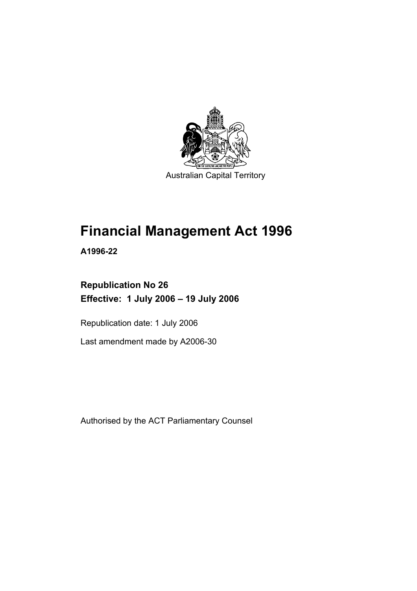

# **Financial Management Act 1996**

**A1996-22** 

### **Republication No 26 Effective: 1 July 2006 – 19 July 2006**

Republication date: 1 July 2006

Last amendment made by A2006-30

Authorised by the ACT Parliamentary Counsel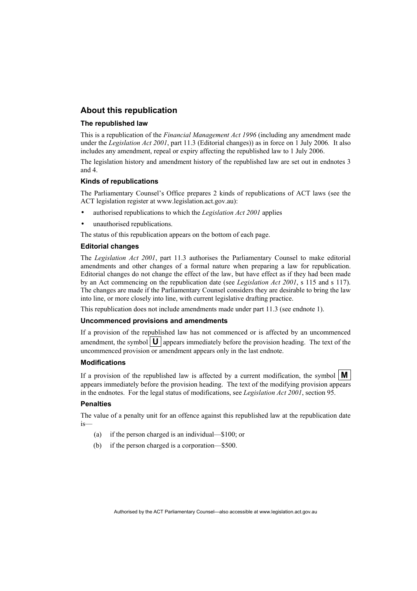#### **About this republication**

#### **The republished law**

This is a republication of the *Financial Management Act 1996* (including any amendment made under the *Legislation Act 2001*, part 11.3 (Editorial changes)) as in force on 1 July 2006*.* It also includes any amendment, repeal or expiry affecting the republished law to 1 July 2006.

The legislation history and amendment history of the republished law are set out in endnotes 3 and 4.

#### **Kinds of republications**

The Parliamentary Counsel's Office prepares 2 kinds of republications of ACT laws (see the ACT legislation register at www.legislation.act.gov.au):

- authorised republications to which the *Legislation Act 2001* applies
- unauthorised republications.

The status of this republication appears on the bottom of each page.

#### **Editorial changes**

The *Legislation Act 2001*, part 11.3 authorises the Parliamentary Counsel to make editorial amendments and other changes of a formal nature when preparing a law for republication. Editorial changes do not change the effect of the law, but have effect as if they had been made by an Act commencing on the republication date (see *Legislation Act 2001*, s 115 and s 117). The changes are made if the Parliamentary Counsel considers they are desirable to bring the law into line, or more closely into line, with current legislative drafting practice.

This republication does not include amendments made under part 11.3 (see endnote 1).

#### **Uncommenced provisions and amendments**

If a provision of the republished law has not commenced or is affected by an uncommenced amendment, the symbol  $\mathbf{U}$  appears immediately before the provision heading. The text of the uncommenced provision or amendment appears only in the last endnote.

#### **Modifications**

If a provision of the republished law is affected by a current modification, the symbol  $\mathbf{M}$ appears immediately before the provision heading. The text of the modifying provision appears in the endnotes. For the legal status of modifications, see *Legislation Act 2001*, section 95.

#### **Penalties**

The value of a penalty unit for an offence against this republished law at the republication date is—

- (a) if the person charged is an individual—\$100; or
- (b) if the person charged is a corporation—\$500.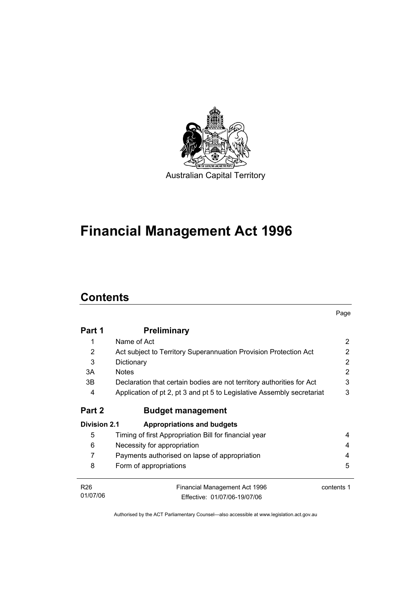

# **Financial Management Act 1996**

# **Contents**

|                     |                                                                        | Page       |
|---------------------|------------------------------------------------------------------------|------------|
| Part 1              | <b>Preliminary</b>                                                     |            |
|                     | Name of Act                                                            | 2          |
| 2                   | Act subject to Territory Superannuation Provision Protection Act       | 2          |
| 3                   | Dictionary                                                             | 2          |
| 3A                  | <b>Notes</b>                                                           | 2          |
| 3B.                 | Declaration that certain bodies are not territory authorities for Act  | 3          |
| 4                   | Application of pt 2, pt 3 and pt 5 to Legislative Assembly secretariat | 3          |
| Part 2              | <b>Budget management</b>                                               |            |
| <b>Division 2.1</b> | Appropriations and budgets                                             |            |
| 5                   | Timing of first Appropriation Bill for financial year                  | 4          |
| 6                   | Necessity for appropriation                                            | 4          |
| 7                   | Payments authorised on lapse of appropriation                          | 4          |
| 8                   | Form of appropriations                                                 | 5          |
| R <sub>26</sub>     | Financial Management Act 1996                                          | contents 1 |
| 01/07/06            | Effective: 01/07/06-19/07/06                                           |            |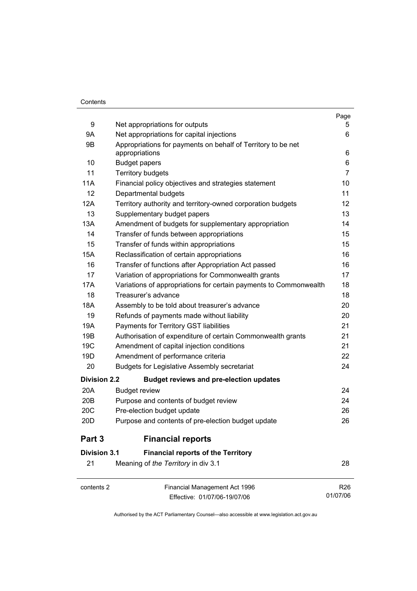#### **Contents**

|                     |                                                                                | Page            |
|---------------------|--------------------------------------------------------------------------------|-----------------|
| 9                   | Net appropriations for outputs                                                 | 5               |
| 9Α                  | Net appropriations for capital injections                                      | 6               |
| 9Β                  | Appropriations for payments on behalf of Territory to be net<br>appropriations | 6               |
| 10                  | <b>Budget papers</b>                                                           | 6               |
| 11                  | <b>Territory budgets</b>                                                       | $\overline{7}$  |
| 11A                 | Financial policy objectives and strategies statement                           | 10              |
| 12                  | Departmental budgets                                                           | 11              |
| 12A                 | Territory authority and territory-owned corporation budgets                    | 12              |
| 13                  | Supplementary budget papers                                                    | 13              |
| 13A                 | Amendment of budgets for supplementary appropriation                           | 14              |
| 14                  | Transfer of funds between appropriations                                       | 15              |
| 15                  | Transfer of funds within appropriations                                        | 15              |
| 15A                 | Reclassification of certain appropriations                                     | 16              |
| 16                  | Transfer of functions after Appropriation Act passed                           | 16              |
| 17                  | Variation of appropriations for Commonwealth grants                            | 17              |
| 17A                 | Variations of appropriations for certain payments to Commonwealth              | 18              |
| 18                  | Treasurer's advance                                                            | 18              |
| 18A                 | Assembly to be told about treasurer's advance                                  | 20              |
| 19                  | Refunds of payments made without liability                                     | 20              |
| 19A                 | Payments for Territory GST liabilities                                         | 21              |
| 19B                 | Authorisation of expenditure of certain Commonwealth grants                    | 21              |
| 19 <sub>C</sub>     | Amendment of capital injection conditions                                      | 21              |
| 19D                 | Amendment of performance criteria                                              | 22              |
| 20                  | <b>Budgets for Legislative Assembly secretariat</b>                            | 24              |
| <b>Division 2.2</b> | <b>Budget reviews and pre-election updates</b>                                 |                 |
| 20A                 | <b>Budget review</b>                                                           | 24              |
| 20 <sub>B</sub>     | Purpose and contents of budget review                                          | 24              |
| 20C                 | Pre-election budget update                                                     | 26              |
| 20 <sub>D</sub>     | Purpose and contents of pre-election budget update                             | 26              |
| Part 3              | <b>Financial reports</b>                                                       |                 |
| <b>Division 3.1</b> | <b>Financial reports of the Territory</b>                                      |                 |
| 21                  | Meaning of the Territory in div 3.1                                            | 28              |
| contents 2          | Financial Management Act 1996                                                  | R <sub>26</sub> |
|                     | Effective: 01/07/06-19/07/06                                                   | 01/07/06        |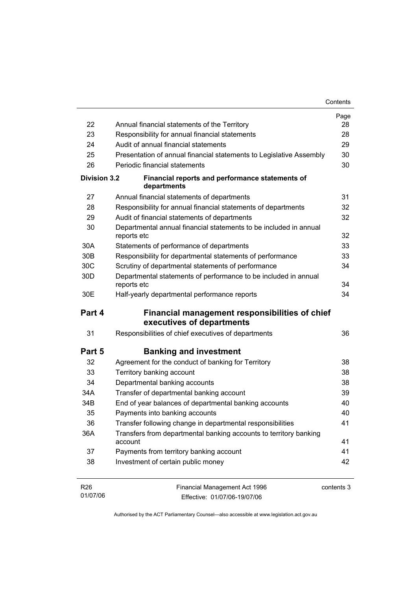|                     |                                                                                    | Contents   |
|---------------------|------------------------------------------------------------------------------------|------------|
|                     |                                                                                    | Page       |
| 22                  | Annual financial statements of the Territory                                       | 28         |
| 23                  | Responsibility for annual financial statements                                     | 28         |
| 24                  | Audit of annual financial statements                                               | 29         |
| 25                  | Presentation of annual financial statements to Legislative Assembly                | 30         |
| 26                  | Periodic financial statements                                                      | 30         |
| <b>Division 3.2</b> | Financial reports and performance statements of<br>departments                     |            |
| 27                  | Annual financial statements of departments                                         | 31         |
| 28                  | Responsibility for annual financial statements of departments                      | 32         |
| 29                  | Audit of financial statements of departments                                       | 32         |
| 30                  | Departmental annual financial statements to be included in annual                  |            |
|                     | reports etc                                                                        | 32         |
| 30A                 | Statements of performance of departments                                           | 33         |
| 30 <sub>B</sub>     | Responsibility for departmental statements of performance                          | 33         |
| 30C                 | Scrutiny of departmental statements of performance                                 | 34         |
| 30 <sub>D</sub>     | Departmental statements of performance to be included in annual<br>reports etc     | 34         |
| 30E                 | Half-yearly departmental performance reports                                       | 34         |
| Part 4              | <b>Financial management responsibilities of chief</b><br>executives of departments |            |
| 31                  | Responsibilities of chief executives of departments                                | 36         |
| Part 5              | <b>Banking and investment</b>                                                      |            |
| 32                  | Agreement for the conduct of banking for Territory                                 | 38         |
| 33                  | Territory banking account                                                          | 38         |
| 34                  | Departmental banking accounts                                                      | 38         |
| 34A                 | Transfer of departmental banking account                                           | 39         |
| 34B                 | End of year balances of departmental banking accounts                              | 40         |
| 35                  | Payments into banking accounts                                                     | 40         |
| 36                  | Transfer following change in departmental responsibilities                         | 41         |
| 36A                 | Transfers from departmental banking accounts to territory banking<br>account       | 41         |
| 37                  | Payments from territory banking account                                            | 41         |
| 38                  | Investment of certain public money                                                 | 42         |
| R <sub>26</sub>     | Financial Management Act 1996                                                      | contents 3 |

| R26      | Financial Management Act 1996 | contents 3 |
|----------|-------------------------------|------------|
| 01/07/06 | Effective: 01/07/06-19/07/06  |            |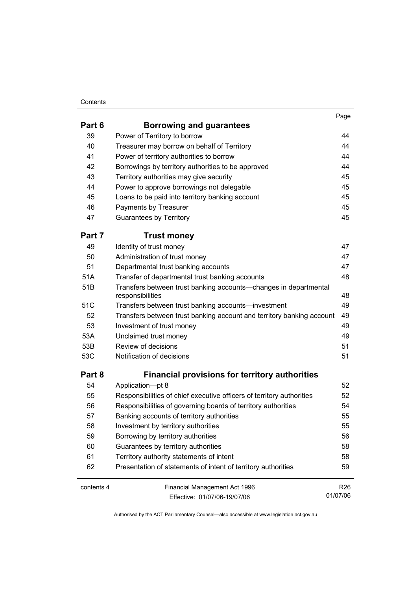#### **Contents**

| . .<br>۰.<br>×<br>× |  |
|---------------------|--|
|                     |  |

| Part 6     | <b>Borrowing and guarantees</b>                                                      |                 |
|------------|--------------------------------------------------------------------------------------|-----------------|
| 39         | Power of Territory to borrow                                                         | 44              |
| 40         | Treasurer may borrow on behalf of Territory                                          | 44              |
| 41         | Power of territory authorities to borrow                                             | 44              |
| 42         | Borrowings by territory authorities to be approved                                   | 44              |
| 43         | Territory authorities may give security                                              | 45              |
| 44         | Power to approve borrowings not delegable                                            | 45              |
| 45         | Loans to be paid into territory banking account                                      | 45              |
| 46         | Payments by Treasurer                                                                | 45              |
| 47         | <b>Guarantees by Territory</b>                                                       | 45              |
| Part 7     | <b>Trust money</b>                                                                   |                 |
| 49         | Identity of trust money                                                              | 47              |
| 50         | Administration of trust money                                                        | 47              |
| 51         | Departmental trust banking accounts                                                  | 47              |
| 51A        | Transfer of departmental trust banking accounts                                      | 48              |
| 51B        | Transfers between trust banking accounts-changes in departmental<br>responsibilities | 48              |
| 51C        | Transfers between trust banking accounts-investment                                  | 49              |
| 52         | Transfers between trust banking account and territory banking account                | 49              |
| 53         | Investment of trust money                                                            | 49              |
| 53A        | Unclaimed trust money                                                                | 49              |
| 53B        | Review of decisions                                                                  | 51              |
| 53C        | Notification of decisions                                                            | 51              |
| Part 8     | <b>Financial provisions for territory authorities</b>                                |                 |
| 54         | Application-pt 8                                                                     | 52              |
| 55         | Responsibilities of chief executive officers of territory authorities                | 52              |
| 56         | Responsibilities of governing boards of territory authorities                        | 54              |
| 57         | Banking accounts of territory authorities                                            | 55              |
| 58         | Investment by territory authorities                                                  | 55              |
| 59         | Borrowing by territory authorities                                                   | 56              |
| 60         | Guarantees by territory authorities                                                  | 58              |
| 61         | Territory authority statements of intent                                             | 58              |
| 62         | Presentation of statements of intent of territory authorities                        | 59              |
| contents 4 | Financial Management Act 1996                                                        | R <sub>26</sub> |
|            | Effective: 01/07/06-19/07/06                                                         | 01/07/06        |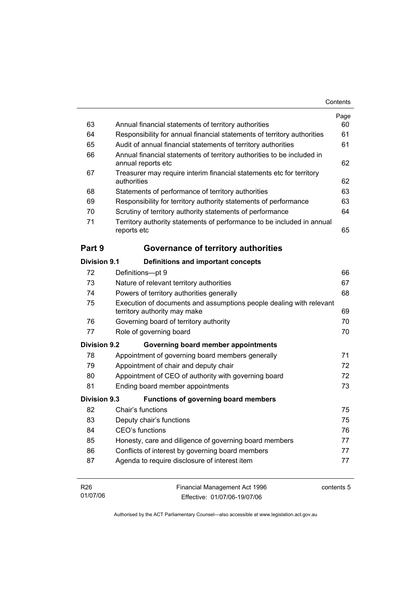|                     |                                                                                                     | Contents |
|---------------------|-----------------------------------------------------------------------------------------------------|----------|
|                     |                                                                                                     | Page     |
| 63                  | Annual financial statements of territory authorities                                                | 60       |
| 64                  | Responsibility for annual financial statements of territory authorities                             | 61       |
| 65                  | Audit of annual financial statements of territory authorities                                       | 61       |
| 66                  | Annual financial statements of territory authorities to be included in<br>annual reports etc        | 62       |
| 67                  | Treasurer may require interim financial statements etc for territory<br>authorities                 | 62       |
| 68                  | Statements of performance of territory authorities                                                  | 63       |
| 69                  | Responsibility for territory authority statements of performance                                    | 63       |
| 70                  | Scrutiny of territory authority statements of performance                                           | 64       |
| 71                  | Territory authority statements of performance to be included in annual<br>reports etc               | 65       |
| Part 9              | Governance of territory authorities                                                                 |          |
| Division 9.1        | Definitions and important concepts                                                                  |          |
| 72                  | Definitions-pt 9                                                                                    | 66       |
| 73                  | Nature of relevant territory authorities                                                            | 67       |
| 74                  | Powers of territory authorities generally                                                           | 68       |
| 75                  | Execution of documents and assumptions people dealing with relevant<br>territory authority may make | 69       |
| 76                  | Governing board of territory authority                                                              | 70       |
| 77                  | Role of governing board                                                                             | 70       |
| <b>Division 9.2</b> |                                                                                                     |          |
|                     | Governing board member appointments                                                                 |          |
| 78                  | Appointment of governing board members generally                                                    | 71       |
| 79                  | Appointment of chair and deputy chair                                                               | 72       |
| 80                  | Appointment of CEO of authority with governing board                                                | 72       |
| 81                  | Ending board member appointments                                                                    | 73       |
| Division 9.3        | <b>Functions of governing board members</b>                                                         |          |
| 82                  | Chair's functions                                                                                   | 75       |
| 83                  | Deputy chair's functions                                                                            | 75       |
| 84                  | CEO's functions                                                                                     | 76       |
| 85                  | Honesty, care and diligence of governing board members                                              | 77       |
| 86                  | Conflicts of interest by governing board members                                                    | 77       |

| R26      | Financial Management Act 1996 | contents 5 |
|----------|-------------------------------|------------|
| 01/07/06 | Effective: 01/07/06-19/07/06  |            |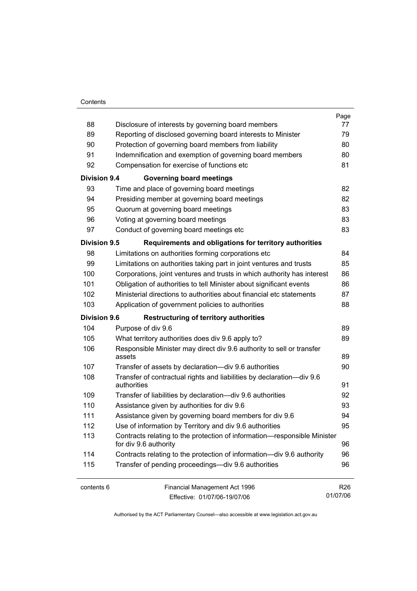#### **Contents**

|                     |                                                                                                   | Page            |
|---------------------|---------------------------------------------------------------------------------------------------|-----------------|
| 88                  | Disclosure of interests by governing board members                                                | 77              |
| 89                  | Reporting of disclosed governing board interests to Minister                                      | 79              |
| 90                  | Protection of governing board members from liability                                              | 80              |
| 91                  | Indemnification and exemption of governing board members                                          | 80              |
| 92                  | Compensation for exercise of functions etc                                                        | 81              |
| <b>Division 9.4</b> | <b>Governing board meetings</b>                                                                   |                 |
| 93                  | Time and place of governing board meetings                                                        | 82              |
| 94                  | Presiding member at governing board meetings                                                      | 82              |
| 95                  | Quorum at governing board meetings                                                                | 83              |
| 96                  | Voting at governing board meetings                                                                | 83              |
| 97                  | Conduct of governing board meetings etc                                                           | 83              |
| <b>Division 9.5</b> | Requirements and obligations for territory authorities                                            |                 |
| 98                  | Limitations on authorities forming corporations etc                                               | 84              |
| 99                  | Limitations on authorities taking part in joint ventures and trusts                               | 85              |
| 100                 | Corporations, joint ventures and trusts in which authority has interest                           | 86              |
| 101                 | Obligation of authorities to tell Minister about significant events                               | 86              |
| 102                 | Ministerial directions to authorities about financial etc statements                              | 87              |
| 103                 | Application of government policies to authorities                                                 | 88              |
| <b>Division 9.6</b> | <b>Restructuring of territory authorities</b>                                                     |                 |
| 104                 | Purpose of div 9.6                                                                                | 89              |
| 105                 | What territory authorities does div 9.6 apply to?                                                 | 89              |
| 106                 | Responsible Minister may direct div 9.6 authority to sell or transfer<br>assets                   | 89              |
| 107                 | Transfer of assets by declaration—div 9.6 authorities                                             | 90              |
| 108                 | Transfer of contractual rights and liabilities by declaration-div 9.6<br>authorities              |                 |
|                     |                                                                                                   | 91              |
| 109<br>110          | Transfer of liabilities by declaration-div 9.6 authorities                                        | 92<br>93        |
| 111                 | Assistance given by authorities for div 9.6                                                       | 94              |
|                     | Assistance given by governing board members for div 9.6                                           |                 |
| 112<br>113          | Use of information by Territory and div 9.6 authorities                                           | 95              |
|                     | Contracts relating to the protection of information-responsible Minister<br>for div 9.6 authority | 96              |
| 114                 | Contracts relating to the protection of information—div 9.6 authority                             | 96              |
| 115                 | Transfer of pending proceedings—div 9.6 authorities                                               | 96              |
| contents 6          | Financial Management Act 1996                                                                     | R <sub>26</sub> |
|                     | Effective: 01/07/06-19/07/06                                                                      | 01/07/06        |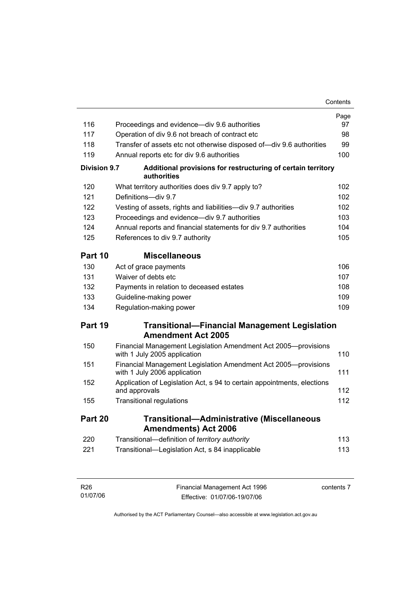|              |                                                                                                | Contents         |
|--------------|------------------------------------------------------------------------------------------------|------------------|
|              |                                                                                                | Page             |
| 116          | Proceedings and evidence-div 9.6 authorities                                                   | 97               |
| 117          | Operation of div 9.6 not breach of contract etc                                                | 98               |
| 118          | Transfer of assets etc not otherwise disposed of-div 9.6 authorities                           | 99               |
| 119          | Annual reports etc for div 9.6 authorities                                                     | 100              |
| Division 9.7 | Additional provisions for restructuring of certain territory<br>authorities                    |                  |
| 120          | What territory authorities does div 9.7 apply to?                                              | 102              |
| 121          | Definitions-div 9.7                                                                            | 102 <sub>2</sub> |
| 122          | Vesting of assets, rights and liabilities-div 9.7 authorities                                  | 102              |
| 123          | Proceedings and evidence-div 9.7 authorities                                                   | 103              |
| 124          | Annual reports and financial statements for div 9.7 authorities                                | 104              |
| 125          | References to div 9.7 authority                                                                | 105              |
| Part 10      | <b>Miscellaneous</b>                                                                           |                  |
| 130          | Act of grace payments                                                                          | 106              |
| 131          | Waiver of debts etc                                                                            | 107              |
| 132          | Payments in relation to deceased estates                                                       | 108              |
| 133          | Guideline-making power                                                                         | 109              |
| 134          | Regulation-making power                                                                        | 109              |
| Part 19      | <b>Transitional-Financial Management Legislation</b>                                           |                  |
|              | <b>Amendment Act 2005</b>                                                                      |                  |
| 150          | Financial Management Legislation Amendment Act 2005-provisions<br>with 1 July 2005 application | 110              |
| 151          | Financial Management Legislation Amendment Act 2005-provisions<br>with 1 July 2006 application | 111              |
| 152          | Application of Legislation Act, s 94 to certain appointments, elections<br>and approvals       | 112              |
| 155          | <b>Transitional regulations</b>                                                                | 112              |
| Part 20      | <b>Transitional-Administrative (Miscellaneous</b><br><b>Amendments) Act 2006</b>               |                  |
| 220          | Transitional-definition of territory authority                                                 | 113              |
| 221          | Transitional-Legislation Act, s 84 inapplicable                                                | 113              |

| R26      | Financial Management Act 1996 | contents 7 |
|----------|-------------------------------|------------|
| 01/07/06 | Effective: 01/07/06-19/07/06  |            |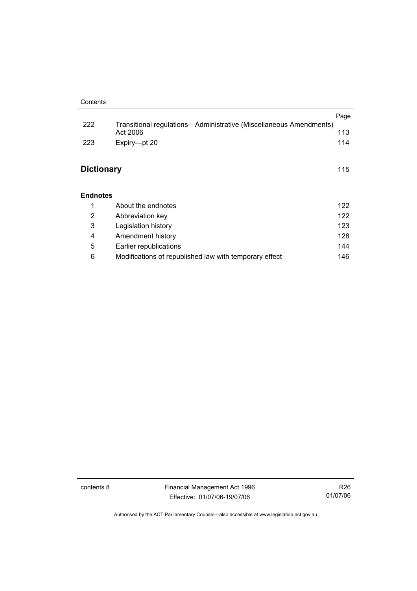|                   |                                                                                | Page |
|-------------------|--------------------------------------------------------------------------------|------|
| 222               | Transitional regulations—Administrative (Miscellaneous Amendments)<br>Act 2006 | 113  |
| 223               | Expiry-pt 20                                                                   | 114  |
|                   |                                                                                |      |
| <b>Dictionary</b> |                                                                                | 115  |
| <b>Endnotes</b>   |                                                                                |      |
| 1                 | About the endnotes                                                             | 122  |
| 2                 | Abbreviation key                                                               | 122  |
| 3                 | Legislation history                                                            | 123  |
| 4                 | Amendment history                                                              | 128  |
| 5                 | Earlier republications                                                         | 144  |
| 6                 | Modifications of republished law with temporary effect                         | 146  |

contents 8 Financial Management Act 1996 Effective: 01/07/06-19/07/06

R26 01/07/06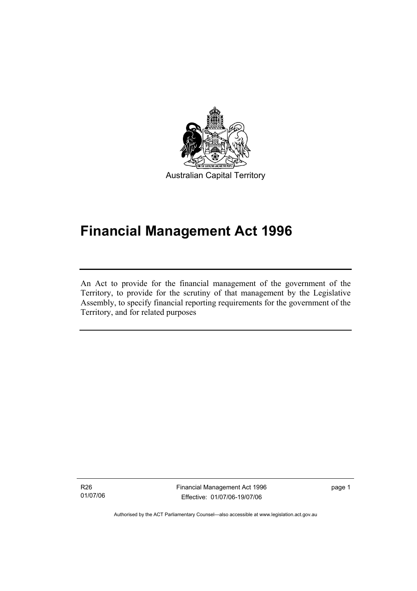

# **Financial Management Act 1996**

An Act to provide for the financial management of the government of the Territory, to provide for the scrutiny of that management by the Legislative Assembly, to specify financial reporting requirements for the government of the Territory, and for related purposes

R26 01/07/06

I

Financial Management Act 1996 Effective: 01/07/06-19/07/06

page 1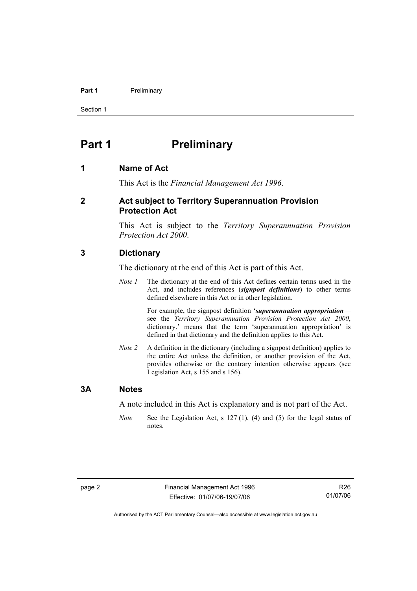#### Part 1 **Preliminary**

Section 1

### **Part 1** Preliminary

#### **1 Name of Act**

This Act is the *Financial Management Act 1996*.

#### **2 Act subject to Territory Superannuation Provision Protection Act**

This Act is subject to the *Territory Superannuation Provision Protection Act 2000*.

#### **3 Dictionary**

The dictionary at the end of this Act is part of this Act.

*Note 1* The dictionary at the end of this Act defines certain terms used in the Act, and includes references (*signpost definitions*) to other terms defined elsewhere in this Act or in other legislation.

> For example, the signpost definition '*superannuation appropriation* see the *Territory Superannuation Provision Protection Act 2000*, dictionary.' means that the term 'superannuation appropriation' is defined in that dictionary and the definition applies to this Act.

*Note 2* A definition in the dictionary (including a signpost definition) applies to the entire Act unless the definition, or another provision of the Act, provides otherwise or the contrary intention otherwise appears (see Legislation Act, s 155 and s 156).

#### **3A Notes**

A note included in this Act is explanatory and is not part of the Act.

*Note* See the Legislation Act, s 127 (1), (4) and (5) for the legal status of notes.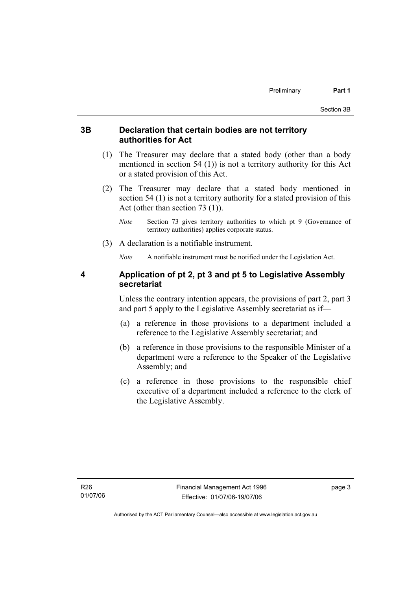#### **3B Declaration that certain bodies are not territory authorities for Act**

- (1) The Treasurer may declare that a stated body (other than a body mentioned in section 54 (1)) is not a territory authority for this Act or a stated provision of this Act.
- (2) The Treasurer may declare that a stated body mentioned in section 54 (1) is not a territory authority for a stated provision of this Act (other than section 73 (1)).
	- *Note* Section 73 gives territory authorities to which pt 9 (Governance of territory authorities) applies corporate status.
- (3) A declaration is a notifiable instrument.

*Note* A notifiable instrument must be notified under the Legislation Act.

#### **4 Application of pt 2, pt 3 and pt 5 to Legislative Assembly secretariat**

Unless the contrary intention appears, the provisions of part 2, part 3 and part 5 apply to the Legislative Assembly secretariat as if—

- (a) a reference in those provisions to a department included a reference to the Legislative Assembly secretariat; and
- (b) a reference in those provisions to the responsible Minister of a department were a reference to the Speaker of the Legislative Assembly; and
- (c) a reference in those provisions to the responsible chief executive of a department included a reference to the clerk of the Legislative Assembly.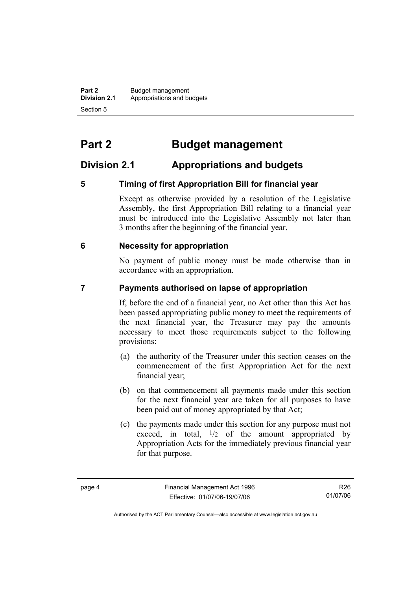**Part 2** Budget management<br>**Division 2.1** Appropriations and by **Division 2.1** Appropriations and budgets Section 5

# **Part 2 Budget management**

### **Division 2.1 Appropriations and budgets**

#### **5 Timing of first Appropriation Bill for financial year**

Except as otherwise provided by a resolution of the Legislative Assembly, the first Appropriation Bill relating to a financial year must be introduced into the Legislative Assembly not later than 3 months after the beginning of the financial year.

#### **6 Necessity for appropriation**

No payment of public money must be made otherwise than in accordance with an appropriation.

#### **7 Payments authorised on lapse of appropriation**

If, before the end of a financial year, no Act other than this Act has been passed appropriating public money to meet the requirements of the next financial year, the Treasurer may pay the amounts necessary to meet those requirements subject to the following provisions:

- (a) the authority of the Treasurer under this section ceases on the commencement of the first Appropriation Act for the next financial year;
- (b) on that commencement all payments made under this section for the next financial year are taken for all purposes to have been paid out of money appropriated by that Act;
- (c) the payments made under this section for any purpose must not exceed, in total,  $\frac{1}{2}$  of the amount appropriated by Appropriation Acts for the immediately previous financial year for that purpose.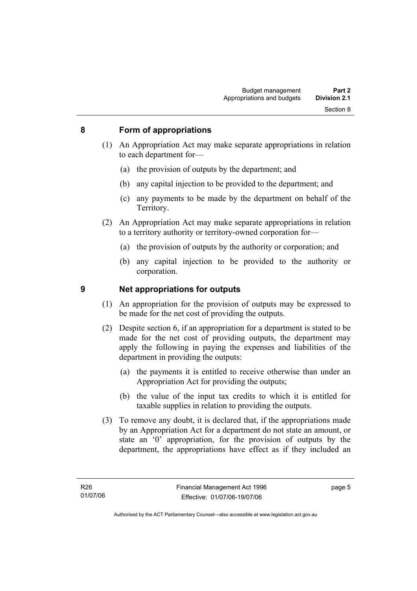#### **8 Form of appropriations**

- (1) An Appropriation Act may make separate appropriations in relation to each department for—
	- (a) the provision of outputs by the department; and
	- (b) any capital injection to be provided to the department; and
	- (c) any payments to be made by the department on behalf of the Territory.
- (2) An Appropriation Act may make separate appropriations in relation to a territory authority or territory-owned corporation for—
	- (a) the provision of outputs by the authority or corporation; and
	- (b) any capital injection to be provided to the authority or corporation.

#### **9 Net appropriations for outputs**

- (1) An appropriation for the provision of outputs may be expressed to be made for the net cost of providing the outputs.
- (2) Despite section 6, if an appropriation for a department is stated to be made for the net cost of providing outputs, the department may apply the following in paying the expenses and liabilities of the department in providing the outputs:
	- (a) the payments it is entitled to receive otherwise than under an Appropriation Act for providing the outputs;
	- (b) the value of the input tax credits to which it is entitled for taxable supplies in relation to providing the outputs.
- (3) To remove any doubt, it is declared that, if the appropriations made by an Appropriation Act for a department do not state an amount, or state an '0' appropriation, for the provision of outputs by the department, the appropriations have effect as if they included an

page 5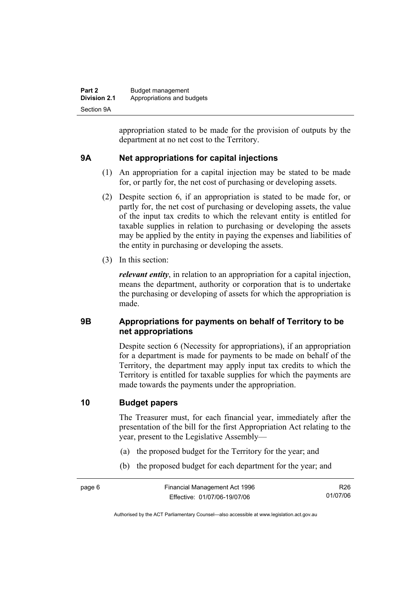| Part 2              | Budget management          |
|---------------------|----------------------------|
| <b>Division 2.1</b> | Appropriations and budgets |
| Section 9A          |                            |

appropriation stated to be made for the provision of outputs by the department at no net cost to the Territory.

#### **9A Net appropriations for capital injections**

- (1) An appropriation for a capital injection may be stated to be made for, or partly for, the net cost of purchasing or developing assets.
- (2) Despite section 6, if an appropriation is stated to be made for, or partly for, the net cost of purchasing or developing assets, the value of the input tax credits to which the relevant entity is entitled for taxable supplies in relation to purchasing or developing the assets may be applied by the entity in paying the expenses and liabilities of the entity in purchasing or developing the assets.
- (3) In this section:

*relevant entity*, in relation to an appropriation for a capital injection, means the department, authority or corporation that is to undertake the purchasing or developing of assets for which the appropriation is made.

#### **9B Appropriations for payments on behalf of Territory to be net appropriations**

Despite section 6 (Necessity for appropriations), if an appropriation for a department is made for payments to be made on behalf of the Territory, the department may apply input tax credits to which the Territory is entitled for taxable supplies for which the payments are made towards the payments under the appropriation.

#### **10 Budget papers**

The Treasurer must, for each financial year, immediately after the presentation of the bill for the first Appropriation Act relating to the year, present to the Legislative Assembly—

- (a) the proposed budget for the Territory for the year; and
- (b) the proposed budget for each department for the year; and

R26 01/07/06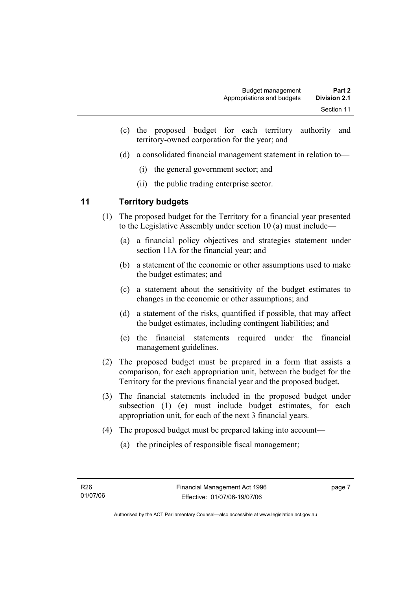- (c) the proposed budget for each territory authority and territory-owned corporation for the year; and
- (d) a consolidated financial management statement in relation to—
	- (i) the general government sector; and
	- (ii) the public trading enterprise sector.

#### **11 Territory budgets**

- (1) The proposed budget for the Territory for a financial year presented to the Legislative Assembly under section 10 (a) must include—
	- (a) a financial policy objectives and strategies statement under section 11A for the financial year; and
	- (b) a statement of the economic or other assumptions used to make the budget estimates; and
	- (c) a statement about the sensitivity of the budget estimates to changes in the economic or other assumptions; and
	- (d) a statement of the risks, quantified if possible, that may affect the budget estimates, including contingent liabilities; and
	- (e) the financial statements required under the financial management guidelines.
- (2) The proposed budget must be prepared in a form that assists a comparison, for each appropriation unit, between the budget for the Territory for the previous financial year and the proposed budget.
- (3) The financial statements included in the proposed budget under subsection (1) (e) must include budget estimates, for each appropriation unit, for each of the next 3 financial years.
- (4) The proposed budget must be prepared taking into account—
	- (a) the principles of responsible fiscal management;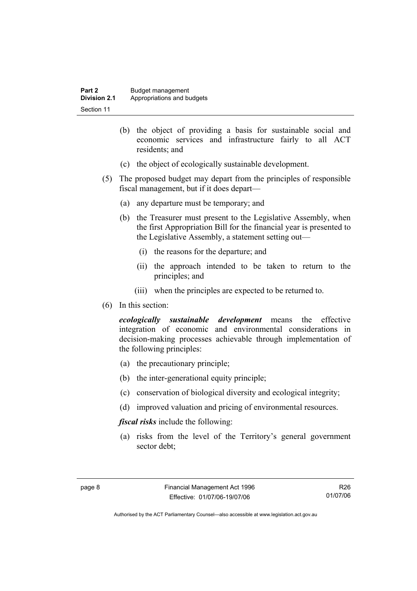| Part 2       | Budget management          |
|--------------|----------------------------|
| Division 2.1 | Appropriations and budgets |
| Section 11   |                            |

- (b) the object of providing a basis for sustainable social and economic services and infrastructure fairly to all ACT residents; and
- (c) the object of ecologically sustainable development.
- (5) The proposed budget may depart from the principles of responsible fiscal management, but if it does depart—
	- (a) any departure must be temporary; and
	- (b) the Treasurer must present to the Legislative Assembly, when the first Appropriation Bill for the financial year is presented to the Legislative Assembly, a statement setting out—
		- (i) the reasons for the departure; and
		- (ii) the approach intended to be taken to return to the principles; and
		- (iii) when the principles are expected to be returned to.
- (6) In this section:

*ecologically sustainable development* means the effective integration of economic and environmental considerations in decision-making processes achievable through implementation of the following principles:

- (a) the precautionary principle;
- (b) the inter-generational equity principle;
- (c) conservation of biological diversity and ecological integrity;
- (d) improved valuation and pricing of environmental resources.

*fiscal risks* include the following:

 (a) risks from the level of the Territory's general government sector debt;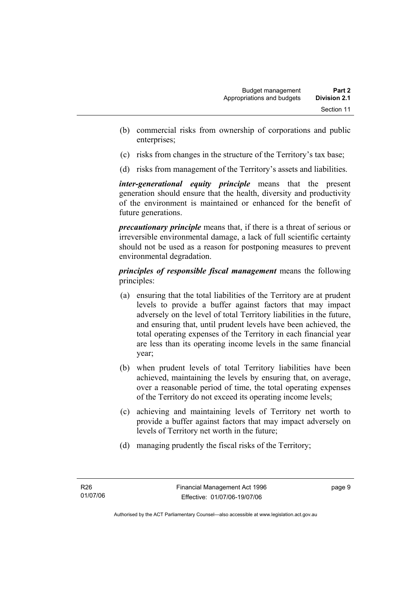- (b) commercial risks from ownership of corporations and public enterprises;
- (c) risks from changes in the structure of the Territory's tax base;
- (d) risks from management of the Territory's assets and liabilities.

*inter-generational equity principle* means that the present generation should ensure that the health, diversity and productivity of the environment is maintained or enhanced for the benefit of future generations.

*precautionary principle* means that, if there is a threat of serious or irreversible environmental damage, a lack of full scientific certainty should not be used as a reason for postponing measures to prevent environmental degradation.

*principles of responsible fiscal management* means the following principles:

- (a) ensuring that the total liabilities of the Territory are at prudent levels to provide a buffer against factors that may impact adversely on the level of total Territory liabilities in the future, and ensuring that, until prudent levels have been achieved, the total operating expenses of the Territory in each financial year are less than its operating income levels in the same financial year;
- (b) when prudent levels of total Territory liabilities have been achieved, maintaining the levels by ensuring that, on average, over a reasonable period of time, the total operating expenses of the Territory do not exceed its operating income levels;
- (c) achieving and maintaining levels of Territory net worth to provide a buffer against factors that may impact adversely on levels of Territory net worth in the future;
- (d) managing prudently the fiscal risks of the Territory;

page 9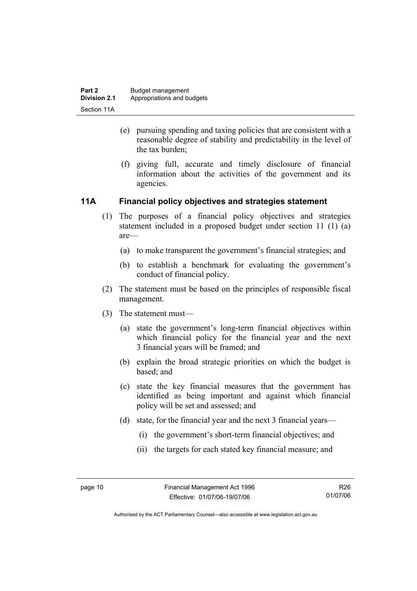- (e) pursuing spending and taxing policies that are consistent with a reasonable degree of stability and predictability in the level of the tax burden;
- (f) giving full, accurate and timely disclosure of financial information about the activities of the government and its agencies.

#### **11A Financial policy objectives and strategies statement**

- (1) The purposes of a financial policy objectives and strategies statement included in a proposed budget under section 11 (1) (a) are—
	- (a) to make transparent the government's financial strategies; and
	- (b) to establish a benchmark for evaluating the government's conduct of financial policy.
- (2) The statement must be based on the principles of responsible fiscal management.
- (3) The statement must—
	- (a) state the government's long-term financial objectives within which financial policy for the financial year and the next 3 financial years will be framed; and
	- (b) explain the broad strategic priorities on which the budget is based; and
	- (c) state the key financial measures that the government has identified as being important and against which financial policy will be set and assessed; and
	- (d) state, for the financial year and the next 3 financial years—
		- (i) the government's short-term financial objectives; and
		- (ii) the targets for each stated key financial measure; and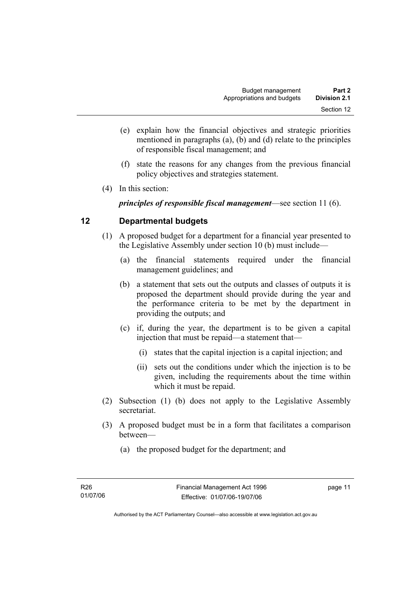- (e) explain how the financial objectives and strategic priorities mentioned in paragraphs (a), (b) and (d) relate to the principles of responsible fiscal management; and
- (f) state the reasons for any changes from the previous financial policy objectives and strategies statement.
- (4) In this section:

*principles of responsible fiscal management*—see section 11 (6).

#### **12 Departmental budgets**

- (1) A proposed budget for a department for a financial year presented to the Legislative Assembly under section 10 (b) must include—
	- (a) the financial statements required under the financial management guidelines; and
	- (b) a statement that sets out the outputs and classes of outputs it is proposed the department should provide during the year and the performance criteria to be met by the department in providing the outputs; and
	- (c) if, during the year, the department is to be given a capital injection that must be repaid—a statement that—
		- (i) states that the capital injection is a capital injection; and
		- (ii) sets out the conditions under which the injection is to be given, including the requirements about the time within which it must be repaid.
- (2) Subsection (1) (b) does not apply to the Legislative Assembly secretariat.
- (3) A proposed budget must be in a form that facilitates a comparison between—
	- (a) the proposed budget for the department; and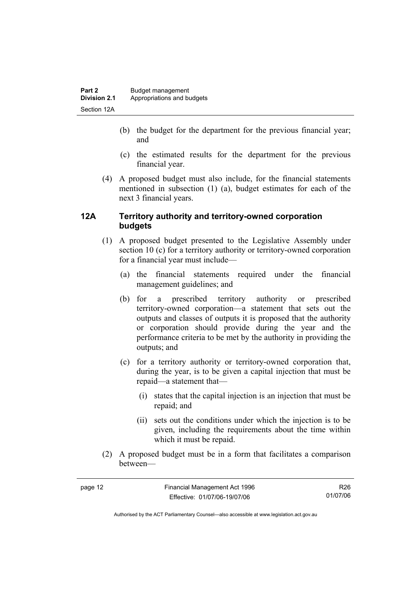- (b) the budget for the department for the previous financial year; and
- (c) the estimated results for the department for the previous financial year.
- (4) A proposed budget must also include, for the financial statements mentioned in subsection (1) (a), budget estimates for each of the next 3 financial years.

#### **12A Territory authority and territory-owned corporation budgets**

- (1) A proposed budget presented to the Legislative Assembly under section 10 (c) for a territory authority or territory-owned corporation for a financial year must include—
	- (a) the financial statements required under the financial management guidelines; and
	- (b) for a prescribed territory authority or prescribed territory-owned corporation—a statement that sets out the outputs and classes of outputs it is proposed that the authority or corporation should provide during the year and the performance criteria to be met by the authority in providing the outputs; and
	- (c) for a territory authority or territory-owned corporation that, during the year, is to be given a capital injection that must be repaid—a statement that—
		- (i) states that the capital injection is an injection that must be repaid; and
		- (ii) sets out the conditions under which the injection is to be given, including the requirements about the time within which it must be repaid.
- (2) A proposed budget must be in a form that facilitates a comparison between—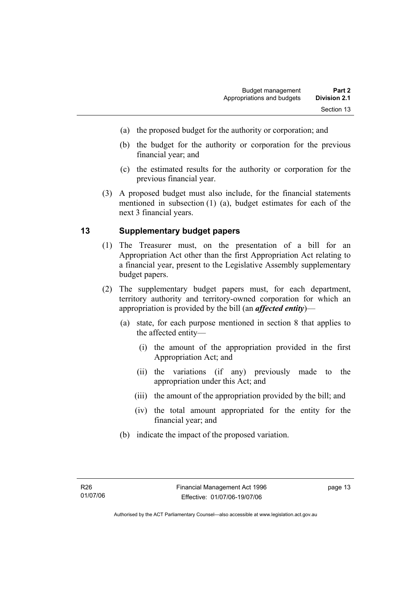- (a) the proposed budget for the authority or corporation; and
- (b) the budget for the authority or corporation for the previous financial year; and
- (c) the estimated results for the authority or corporation for the previous financial year.
- (3) A proposed budget must also include, for the financial statements mentioned in subsection (1) (a), budget estimates for each of the next 3 financial years.

#### **13 Supplementary budget papers**

- (1) The Treasurer must, on the presentation of a bill for an Appropriation Act other than the first Appropriation Act relating to a financial year, present to the Legislative Assembly supplementary budget papers.
- (2) The supplementary budget papers must, for each department, territory authority and territory-owned corporation for which an appropriation is provided by the bill (an *affected entity*)—
	- (a) state, for each purpose mentioned in section 8 that applies to the affected entity—
		- (i) the amount of the appropriation provided in the first Appropriation Act; and
		- (ii) the variations (if any) previously made to the appropriation under this Act; and
		- (iii) the amount of the appropriation provided by the bill; and
		- (iv) the total amount appropriated for the entity for the financial year; and
	- (b) indicate the impact of the proposed variation.

page 13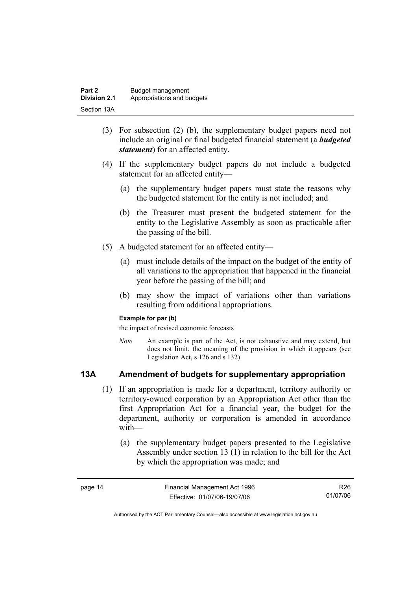| Part 2              | Budget management          |
|---------------------|----------------------------|
| <b>Division 2.1</b> | Appropriations and budgets |
| Section 13A         |                            |

- (3) For subsection (2) (b), the supplementary budget papers need not include an original or final budgeted financial statement (a *budgeted statement*) for an affected entity.
- (4) If the supplementary budget papers do not include a budgeted statement for an affected entity—
	- (a) the supplementary budget papers must state the reasons why the budgeted statement for the entity is not included; and
	- (b) the Treasurer must present the budgeted statement for the entity to the Legislative Assembly as soon as practicable after the passing of the bill.
- (5) A budgeted statement for an affected entity—
	- (a) must include details of the impact on the budget of the entity of all variations to the appropriation that happened in the financial year before the passing of the bill; and
	- (b) may show the impact of variations other than variations resulting from additional appropriations.

#### **Example for par (b)**

the impact of revised economic forecasts

*Note* An example is part of the Act, is not exhaustive and may extend, but does not limit, the meaning of the provision in which it appears (see Legislation Act, s 126 and s 132).

#### **13A Amendment of budgets for supplementary appropriation**

- (1) If an appropriation is made for a department, territory authority or territory-owned corporation by an Appropriation Act other than the first Appropriation Act for a financial year, the budget for the department, authority or corporation is amended in accordance with—
	- (a) the supplementary budget papers presented to the Legislative Assembly under section 13 (1) in relation to the bill for the Act by which the appropriation was made; and

| page 14 | Financial Management Act 1996 | R26      |
|---------|-------------------------------|----------|
|         | Effective: 01/07/06-19/07/06  | 01/07/06 |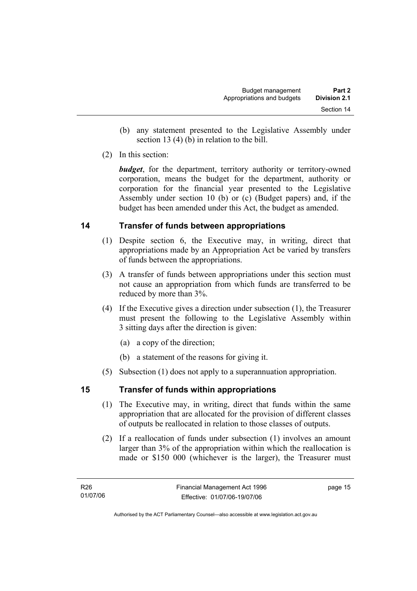- (b) any statement presented to the Legislative Assembly under section 13 (4) (b) in relation to the bill.
- (2) In this section:

*budget*, for the department, territory authority or territory-owned corporation, means the budget for the department, authority or corporation for the financial year presented to the Legislative Assembly under section 10 (b) or (c) (Budget papers) and, if the budget has been amended under this Act, the budget as amended.

#### **14 Transfer of funds between appropriations**

- (1) Despite section 6, the Executive may, in writing, direct that appropriations made by an Appropriation Act be varied by transfers of funds between the appropriations.
- (3) A transfer of funds between appropriations under this section must not cause an appropriation from which funds are transferred to be reduced by more than 3%.
- (4) If the Executive gives a direction under subsection (1), the Treasurer must present the following to the Legislative Assembly within 3 sitting days after the direction is given:
	- (a) a copy of the direction;
	- (b) a statement of the reasons for giving it.
- (5) Subsection (1) does not apply to a superannuation appropriation.

#### **15 Transfer of funds within appropriations**

- (1) The Executive may, in writing, direct that funds within the same appropriation that are allocated for the provision of different classes of outputs be reallocated in relation to those classes of outputs.
- (2) If a reallocation of funds under subsection (1) involves an amount larger than 3% of the appropriation within which the reallocation is made or \$150 000 (whichever is the larger), the Treasurer must

page 15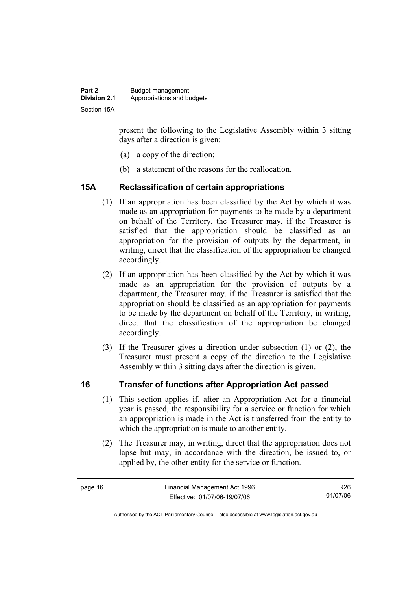present the following to the Legislative Assembly within 3 sitting days after a direction is given:

- (a) a copy of the direction;
- (b) a statement of the reasons for the reallocation.

#### **15A Reclassification of certain appropriations**

- (1) If an appropriation has been classified by the Act by which it was made as an appropriation for payments to be made by a department on behalf of the Territory, the Treasurer may, if the Treasurer is satisfied that the appropriation should be classified as an appropriation for the provision of outputs by the department, in writing, direct that the classification of the appropriation be changed accordingly.
- (2) If an appropriation has been classified by the Act by which it was made as an appropriation for the provision of outputs by a department, the Treasurer may, if the Treasurer is satisfied that the appropriation should be classified as an appropriation for payments to be made by the department on behalf of the Territory, in writing, direct that the classification of the appropriation be changed accordingly.
- (3) If the Treasurer gives a direction under subsection (1) or (2), the Treasurer must present a copy of the direction to the Legislative Assembly within 3 sitting days after the direction is given.

#### **16 Transfer of functions after Appropriation Act passed**

- (1) This section applies if, after an Appropriation Act for a financial year is passed, the responsibility for a service or function for which an appropriation is made in the Act is transferred from the entity to which the appropriation is made to another entity.
- (2) The Treasurer may, in writing, direct that the appropriation does not lapse but may, in accordance with the direction, be issued to, or applied by, the other entity for the service or function.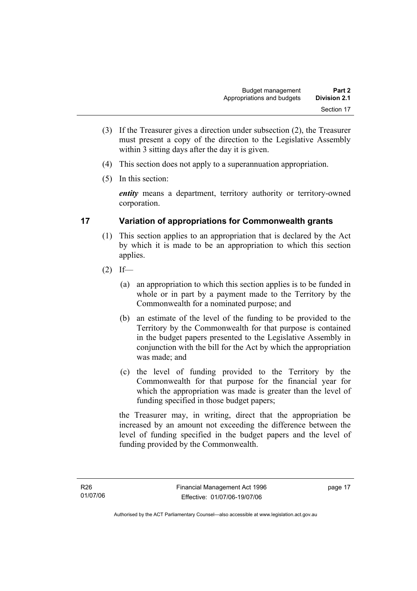- (3) If the Treasurer gives a direction under subsection (2), the Treasurer must present a copy of the direction to the Legislative Assembly within 3 sitting days after the day it is given.
- (4) This section does not apply to a superannuation appropriation.
- (5) In this section:

*entity* means a department, territory authority or territory-owned corporation.

#### **17 Variation of appropriations for Commonwealth grants**

- (1) This section applies to an appropriation that is declared by the Act by which it is made to be an appropriation to which this section applies.
- $(2)$  If—
	- (a) an appropriation to which this section applies is to be funded in whole or in part by a payment made to the Territory by the Commonwealth for a nominated purpose; and
	- (b) an estimate of the level of the funding to be provided to the Territory by the Commonwealth for that purpose is contained in the budget papers presented to the Legislative Assembly in conjunction with the bill for the Act by which the appropriation was made; and
	- (c) the level of funding provided to the Territory by the Commonwealth for that purpose for the financial year for which the appropriation was made is greater than the level of funding specified in those budget papers;

the Treasurer may, in writing, direct that the appropriation be increased by an amount not exceeding the difference between the level of funding specified in the budget papers and the level of funding provided by the Commonwealth.

page 17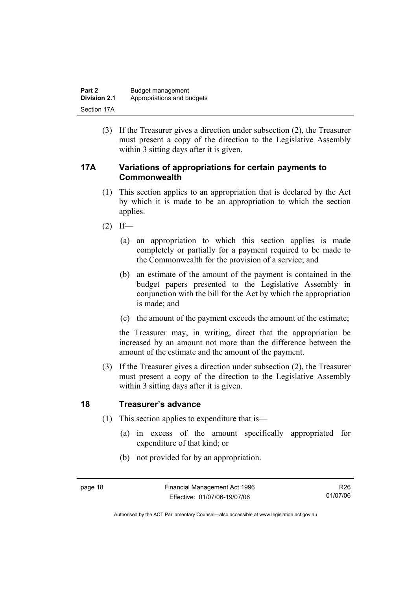| Part 2              | Budget management          |
|---------------------|----------------------------|
| <b>Division 2.1</b> | Appropriations and budgets |
| Section 17A         |                            |

 (3) If the Treasurer gives a direction under subsection (2), the Treasurer must present a copy of the direction to the Legislative Assembly within 3 sitting days after it is given.

#### **17A Variations of appropriations for certain payments to Commonwealth**

- (1) This section applies to an appropriation that is declared by the Act by which it is made to be an appropriation to which the section applies.
- $(2)$  If—
	- (a) an appropriation to which this section applies is made completely or partially for a payment required to be made to the Commonwealth for the provision of a service; and
	- (b) an estimate of the amount of the payment is contained in the budget papers presented to the Legislative Assembly in conjunction with the bill for the Act by which the appropriation is made; and
	- (c) the amount of the payment exceeds the amount of the estimate;

the Treasurer may, in writing, direct that the appropriation be increased by an amount not more than the difference between the amount of the estimate and the amount of the payment.

 (3) If the Treasurer gives a direction under subsection (2), the Treasurer must present a copy of the direction to the Legislative Assembly within 3 sitting days after it is given.

#### **18 Treasurer's advance**

- (1) This section applies to expenditure that is—
	- (a) in excess of the amount specifically appropriated for expenditure of that kind; or
	- (b) not provided for by an appropriation.

Authorised by the ACT Parliamentary Counsel—also accessible at www.legislation.act.gov.au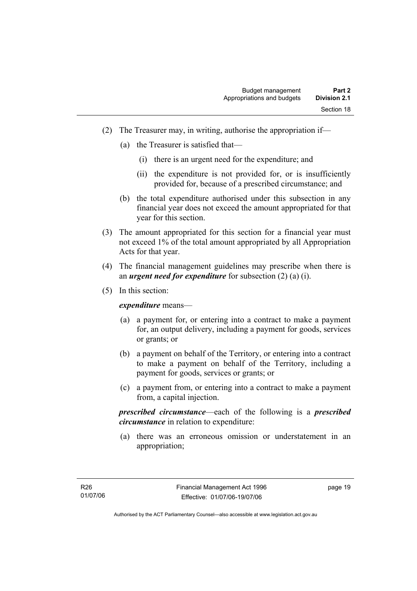- (2) The Treasurer may, in writing, authorise the appropriation if—
	- (a) the Treasurer is satisfied that—
		- (i) there is an urgent need for the expenditure; and
		- (ii) the expenditure is not provided for, or is insufficiently provided for, because of a prescribed circumstance; and
	- (b) the total expenditure authorised under this subsection in any financial year does not exceed the amount appropriated for that year for this section.
- (3) The amount appropriated for this section for a financial year must not exceed 1% of the total amount appropriated by all Appropriation Acts for that year.
- (4) The financial management guidelines may prescribe when there is an *urgent need for expenditure* for subsection (2) (a) (i).
- (5) In this section:

*expenditure* means—

- (a) a payment for, or entering into a contract to make a payment for, an output delivery, including a payment for goods, services or grants; or
- (b) a payment on behalf of the Territory, or entering into a contract to make a payment on behalf of the Territory, including a payment for goods, services or grants; or
- (c) a payment from, or entering into a contract to make a payment from, a capital injection.

*prescribed circumstance*—each of the following is a *prescribed circumstance* in relation to expenditure:

 (a) there was an erroneous omission or understatement in an appropriation;

page 19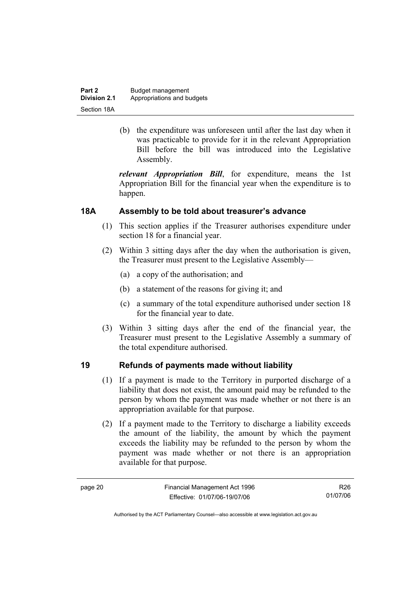| Part 2       | Budget management          |
|--------------|----------------------------|
| Division 2.1 | Appropriations and budgets |
| Section 18A  |                            |

 (b) the expenditure was unforeseen until after the last day when it was practicable to provide for it in the relevant Appropriation Bill before the bill was introduced into the Legislative Assembly.

*relevant Appropriation Bill*, for expenditure, means the 1st Appropriation Bill for the financial year when the expenditure is to happen.

#### **18A Assembly to be told about treasurer's advance**

- (1) This section applies if the Treasurer authorises expenditure under section 18 for a financial year.
- (2) Within 3 sitting days after the day when the authorisation is given, the Treasurer must present to the Legislative Assembly—
	- (a) a copy of the authorisation; and
	- (b) a statement of the reasons for giving it; and
	- (c) a summary of the total expenditure authorised under section 18 for the financial year to date.
- (3) Within 3 sitting days after the end of the financial year, the Treasurer must present to the Legislative Assembly a summary of the total expenditure authorised.

#### **19 Refunds of payments made without liability**

- (1) If a payment is made to the Territory in purported discharge of a liability that does not exist, the amount paid may be refunded to the person by whom the payment was made whether or not there is an appropriation available for that purpose.
- (2) If a payment made to the Territory to discharge a liability exceeds the amount of the liability, the amount by which the payment exceeds the liability may be refunded to the person by whom the payment was made whether or not there is an appropriation available for that purpose.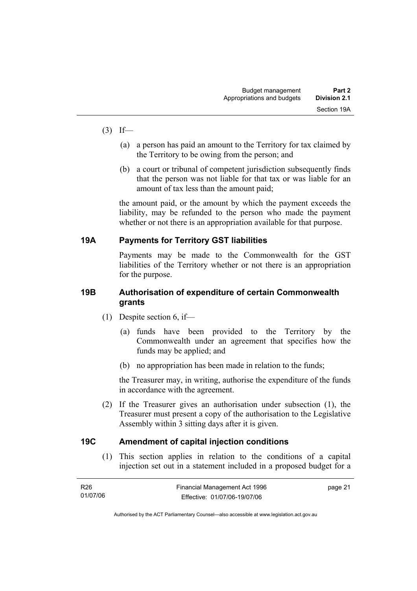#### $(3)$  If—

- (a) a person has paid an amount to the Territory for tax claimed by the Territory to be owing from the person; and
- (b) a court or tribunal of competent jurisdiction subsequently finds that the person was not liable for that tax or was liable for an amount of tax less than the amount paid;

the amount paid, or the amount by which the payment exceeds the liability, may be refunded to the person who made the payment whether or not there is an appropriation available for that purpose.

#### **19A Payments for Territory GST liabilities**

Payments may be made to the Commonwealth for the GST liabilities of the Territory whether or not there is an appropriation for the purpose.

#### **19B Authorisation of expenditure of certain Commonwealth grants**

- (1) Despite section 6, if—
	- (a) funds have been provided to the Territory by the Commonwealth under an agreement that specifies how the funds may be applied; and
	- (b) no appropriation has been made in relation to the funds;

the Treasurer may, in writing, authorise the expenditure of the funds in accordance with the agreement.

 (2) If the Treasurer gives an authorisation under subsection (1), the Treasurer must present a copy of the authorisation to the Legislative Assembly within 3 sitting days after it is given.

#### **19C Amendment of capital injection conditions**

 (1) This section applies in relation to the conditions of a capital injection set out in a statement included in a proposed budget for a

| R26      | Financial Management Act 1996 | page 21 |
|----------|-------------------------------|---------|
| 01/07/06 | Effective: 01/07/06-19/07/06  |         |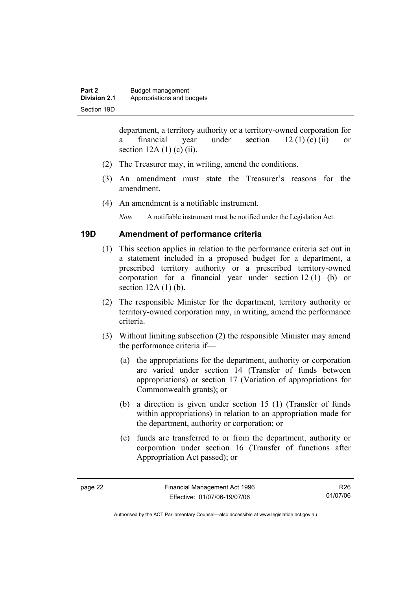department, a territory authority or a territory-owned corporation for a financial year under section  $12 (1) (c) (ii)$  or section  $12A(1)$  (c) (ii).

- (2) The Treasurer may, in writing, amend the conditions.
- (3) An amendment must state the Treasurer's reasons for the amendment.
- (4) An amendment is a notifiable instrument.

*Note* A notifiable instrument must be notified under the Legislation Act.

#### **19D Amendment of performance criteria**

- (1) This section applies in relation to the performance criteria set out in a statement included in a proposed budget for a department, a prescribed territory authority or a prescribed territory-owned corporation for a financial year under section 12 (1) (b) or section  $12A(1)(b)$ .
- (2) The responsible Minister for the department, territory authority or territory-owned corporation may, in writing, amend the performance criteria.
- (3) Without limiting subsection (2) the responsible Minister may amend the performance criteria if—
	- (a) the appropriations for the department, authority or corporation are varied under section 14 (Transfer of funds between appropriations) or section 17 (Variation of appropriations for Commonwealth grants); or
	- (b) a direction is given under section 15 (1) (Transfer of funds within appropriations) in relation to an appropriation made for the department, authority or corporation; or
	- (c) funds are transferred to or from the department, authority or corporation under section 16 (Transfer of functions after Appropriation Act passed); or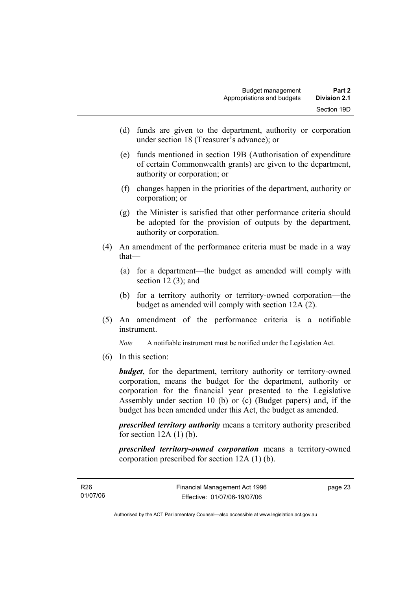- (d) funds are given to the department, authority or corporation under section 18 (Treasurer's advance); or
- (e) funds mentioned in section 19B (Authorisation of expenditure of certain Commonwealth grants) are given to the department, authority or corporation; or
- (f) changes happen in the priorities of the department, authority or corporation; or
- (g) the Minister is satisfied that other performance criteria should be adopted for the provision of outputs by the department, authority or corporation.
- (4) An amendment of the performance criteria must be made in a way that—
	- (a) for a department—the budget as amended will comply with section  $12(3)$ ; and
	- (b) for a territory authority or territory-owned corporation—the budget as amended will comply with section 12A (2).
- (5) An amendment of the performance criteria is a notifiable instrument.

*Note* A notifiable instrument must be notified under the Legislation Act.

(6) In this section:

*budget*, for the department, territory authority or territory-owned corporation, means the budget for the department, authority or corporation for the financial year presented to the Legislative Assembly under section 10 (b) or (c) (Budget papers) and, if the budget has been amended under this Act, the budget as amended.

*prescribed territory authority* means a territory authority prescribed for section  $12A(1)$  (b).

*prescribed territory-owned corporation* means a territory-owned corporation prescribed for section 12A (1) (b).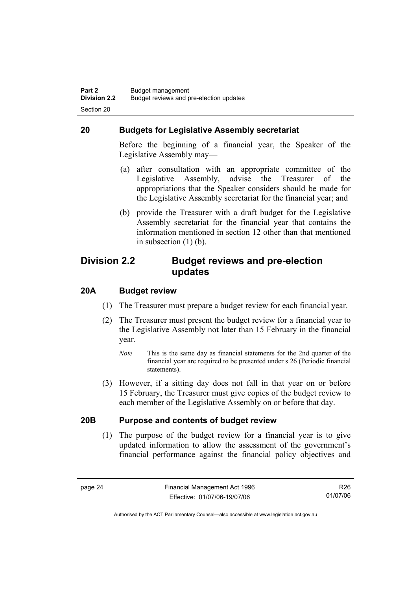#### **20 Budgets for Legislative Assembly secretariat**

Before the beginning of a financial year, the Speaker of the Legislative Assembly may—

- (a) after consultation with an appropriate committee of the Legislative Assembly, advise the Treasurer of the appropriations that the Speaker considers should be made for the Legislative Assembly secretariat for the financial year; and
- (b) provide the Treasurer with a draft budget for the Legislative Assembly secretariat for the financial year that contains the information mentioned in section 12 other than that mentioned in subsection (1) (b).

#### **Division 2.2 Budget reviews and pre-election updates**

#### **20A Budget review**

- (1) The Treasurer must prepare a budget review for each financial year.
- (2) The Treasurer must present the budget review for a financial year to the Legislative Assembly not later than 15 February in the financial year.
	- *Note* This is the same day as financial statements for the 2nd quarter of the financial year are required to be presented under s 26 (Periodic financial statements).
- (3) However, if a sitting day does not fall in that year on or before 15 February, the Treasurer must give copies of the budget review to each member of the Legislative Assembly on or before that day.

#### **20B Purpose and contents of budget review**

 (1) The purpose of the budget review for a financial year is to give updated information to allow the assessment of the government's financial performance against the financial policy objectives and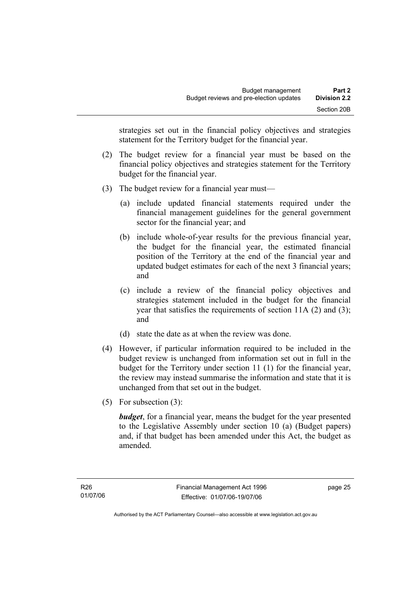strategies set out in the financial policy objectives and strategies statement for the Territory budget for the financial year.

- (2) The budget review for a financial year must be based on the financial policy objectives and strategies statement for the Territory budget for the financial year.
- (3) The budget review for a financial year must—
	- (a) include updated financial statements required under the financial management guidelines for the general government sector for the financial year; and
	- (b) include whole-of-year results for the previous financial year, the budget for the financial year, the estimated financial position of the Territory at the end of the financial year and updated budget estimates for each of the next 3 financial years; and
	- (c) include a review of the financial policy objectives and strategies statement included in the budget for the financial year that satisfies the requirements of section 11A (2) and (3); and
	- (d) state the date as at when the review was done.
- (4) However, if particular information required to be included in the budget review is unchanged from information set out in full in the budget for the Territory under section 11 (1) for the financial year, the review may instead summarise the information and state that it is unchanged from that set out in the budget.
- (5) For subsection (3):

*budget*, for a financial year, means the budget for the year presented to the Legislative Assembly under section 10 (a) (Budget papers) and, if that budget has been amended under this Act, the budget as amended.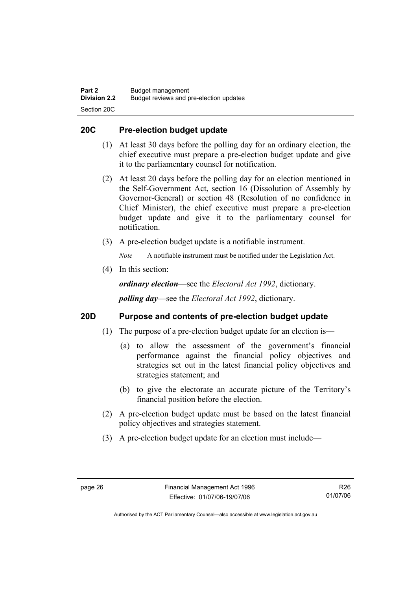#### **20C Pre-election budget update**

- (1) At least 30 days before the polling day for an ordinary election, the chief executive must prepare a pre-election budget update and give it to the parliamentary counsel for notification.
- (2) At least 20 days before the polling day for an election mentioned in the Self-Government Act, section 16 (Dissolution of Assembly by Governor-General) or section 48 (Resolution of no confidence in Chief Minister), the chief executive must prepare a pre-election budget update and give it to the parliamentary counsel for notification.
- (3) A pre-election budget update is a notifiable instrument.

*Note* A notifiable instrument must be notified under the Legislation Act.

(4) In this section:

*ordinary election*—see the *Electoral Act 1992*, dictionary.

*polling day*—see the *Electoral Act 1992*, dictionary.

#### **20D Purpose and contents of pre-election budget update**

- (1) The purpose of a pre-election budget update for an election is—
	- (a) to allow the assessment of the government's financial performance against the financial policy objectives and strategies set out in the latest financial policy objectives and strategies statement; and
	- (b) to give the electorate an accurate picture of the Territory's financial position before the election.
- (2) A pre-election budget update must be based on the latest financial policy objectives and strategies statement.
- (3) A pre-election budget update for an election must include—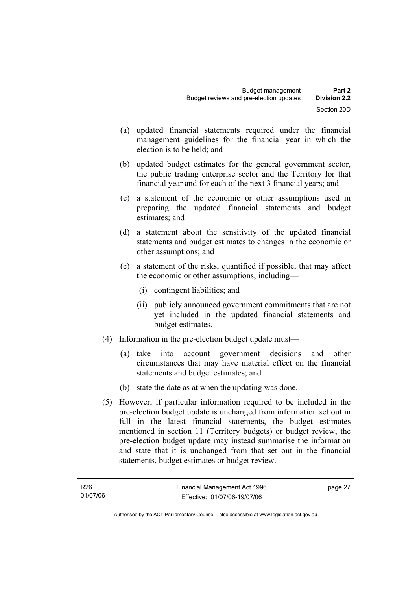- (a) updated financial statements required under the financial management guidelines for the financial year in which the election is to be held; and
- (b) updated budget estimates for the general government sector, the public trading enterprise sector and the Territory for that financial year and for each of the next 3 financial years; and
- (c) a statement of the economic or other assumptions used in preparing the updated financial statements and budget estimates; and
- (d) a statement about the sensitivity of the updated financial statements and budget estimates to changes in the economic or other assumptions; and
- (e) a statement of the risks, quantified if possible, that may affect the economic or other assumptions, including—
	- (i) contingent liabilities; and
	- (ii) publicly announced government commitments that are not yet included in the updated financial statements and budget estimates.
- (4) Information in the pre-election budget update must—
	- (a) take into account government decisions and other circumstances that may have material effect on the financial statements and budget estimates; and
	- (b) state the date as at when the updating was done.
- (5) However, if particular information required to be included in the pre-election budget update is unchanged from information set out in full in the latest financial statements, the budget estimates mentioned in section 11 (Territory budgets) or budget review, the pre-election budget update may instead summarise the information and state that it is unchanged from that set out in the financial statements, budget estimates or budget review.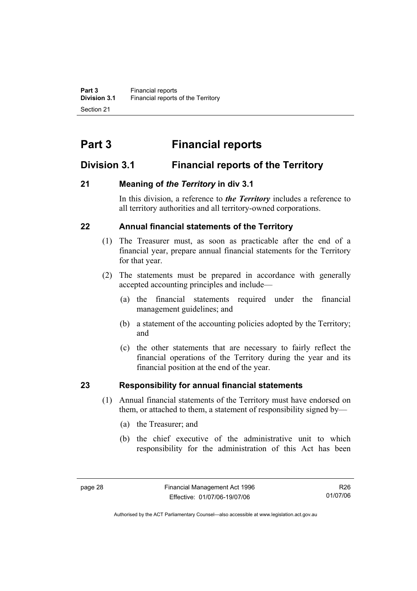# **Part 3 Financial reports**

# **Division 3.1 Financial reports of the Territory**

## **21 Meaning of** *the Territory* **in div 3.1**

In this division, a reference to *the Territory* includes a reference to all territory authorities and all territory-owned corporations.

## **22 Annual financial statements of the Territory**

- (1) The Treasurer must, as soon as practicable after the end of a financial year, prepare annual financial statements for the Territory for that year.
- (2) The statements must be prepared in accordance with generally accepted accounting principles and include—
	- (a) the financial statements required under the financial management guidelines; and
	- (b) a statement of the accounting policies adopted by the Territory; and
	- (c) the other statements that are necessary to fairly reflect the financial operations of the Territory during the year and its financial position at the end of the year.

# **23 Responsibility for annual financial statements**

- (1) Annual financial statements of the Territory must have endorsed on them, or attached to them, a statement of responsibility signed by—
	- (a) the Treasurer; and
	- (b) the chief executive of the administrative unit to which responsibility for the administration of this Act has been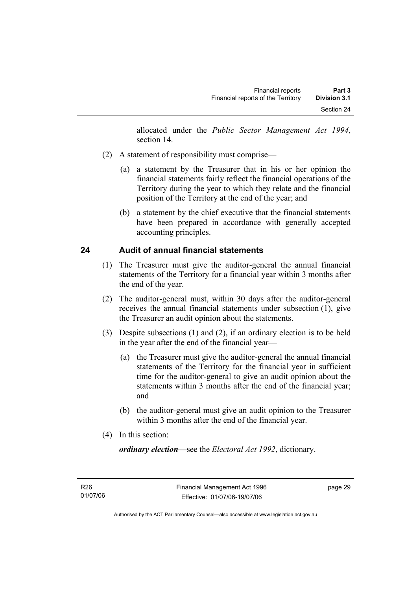allocated under the *Public Sector Management Act 1994*, section 14.

- (2) A statement of responsibility must comprise—
	- (a) a statement by the Treasurer that in his or her opinion the financial statements fairly reflect the financial operations of the Territory during the year to which they relate and the financial position of the Territory at the end of the year; and
	- (b) a statement by the chief executive that the financial statements have been prepared in accordance with generally accepted accounting principles.

## **24 Audit of annual financial statements**

- (1) The Treasurer must give the auditor-general the annual financial statements of the Territory for a financial year within 3 months after the end of the year.
- (2) The auditor-general must, within 30 days after the auditor-general receives the annual financial statements under subsection (1), give the Treasurer an audit opinion about the statements.
- (3) Despite subsections (1) and (2), if an ordinary election is to be held in the year after the end of the financial year—
	- (a) the Treasurer must give the auditor-general the annual financial statements of the Territory for the financial year in sufficient time for the auditor-general to give an audit opinion about the statements within 3 months after the end of the financial year; and
	- (b) the auditor-general must give an audit opinion to the Treasurer within 3 months after the end of the financial year.
- (4) In this section:

*ordinary election*—see the *Electoral Act 1992*, dictionary.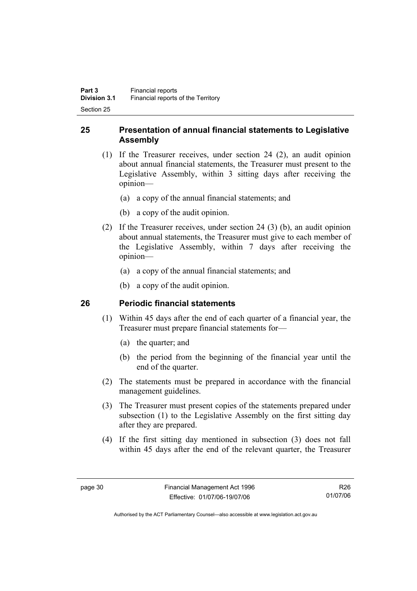### **25 Presentation of annual financial statements to Legislative Assembly**

- (1) If the Treasurer receives, under section 24 (2), an audit opinion about annual financial statements, the Treasurer must present to the Legislative Assembly, within 3 sitting days after receiving the opinion—
	- (a) a copy of the annual financial statements; and
	- (b) a copy of the audit opinion.
- (2) If the Treasurer receives, under section 24 (3) (b), an audit opinion about annual statements, the Treasurer must give to each member of the Legislative Assembly, within 7 days after receiving the opinion—
	- (a) a copy of the annual financial statements; and
	- (b) a copy of the audit opinion.

#### **26 Periodic financial statements**

- (1) Within 45 days after the end of each quarter of a financial year, the Treasurer must prepare financial statements for—
	- (a) the quarter; and
	- (b) the period from the beginning of the financial year until the end of the quarter.
- (2) The statements must be prepared in accordance with the financial management guidelines.
- (3) The Treasurer must present copies of the statements prepared under subsection (1) to the Legislative Assembly on the first sitting day after they are prepared.
- (4) If the first sitting day mentioned in subsection (3) does not fall within 45 days after the end of the relevant quarter, the Treasurer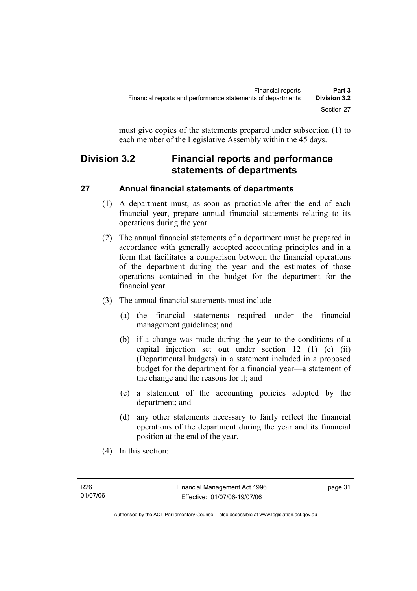must give copies of the statements prepared under subsection (1) to each member of the Legislative Assembly within the 45 days.

# **Division 3.2 Financial reports and performance statements of departments**

# **27 Annual financial statements of departments**

- (1) A department must, as soon as practicable after the end of each financial year, prepare annual financial statements relating to its operations during the year.
- (2) The annual financial statements of a department must be prepared in accordance with generally accepted accounting principles and in a form that facilitates a comparison between the financial operations of the department during the year and the estimates of those operations contained in the budget for the department for the financial year.
- (3) The annual financial statements must include—
	- (a) the financial statements required under the financial management guidelines; and
	- (b) if a change was made during the year to the conditions of a capital injection set out under section 12 (1) (c) (ii) (Departmental budgets) in a statement included in a proposed budget for the department for a financial year—a statement of the change and the reasons for it; and
	- (c) a statement of the accounting policies adopted by the department; and
	- (d) any other statements necessary to fairly reflect the financial operations of the department during the year and its financial position at the end of the year.
- (4) In this section: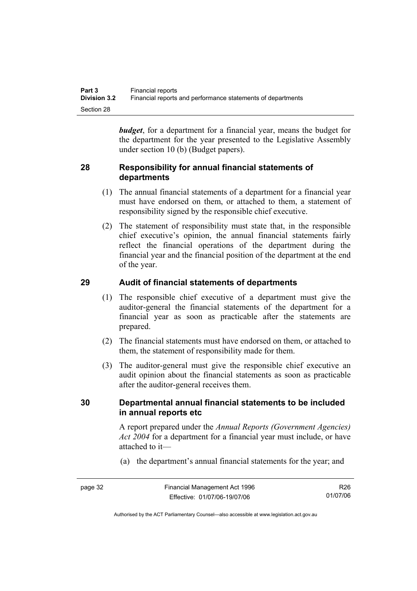*budget*, for a department for a financial year, means the budget for the department for the year presented to the Legislative Assembly under section 10 (b) (Budget papers).

#### **28 Responsibility for annual financial statements of departments**

- (1) The annual financial statements of a department for a financial year must have endorsed on them, or attached to them, a statement of responsibility signed by the responsible chief executive.
- (2) The statement of responsibility must state that, in the responsible chief executive's opinion, the annual financial statements fairly reflect the financial operations of the department during the financial year and the financial position of the department at the end of the year.

## **29 Audit of financial statements of departments**

- (1) The responsible chief executive of a department must give the auditor-general the financial statements of the department for a financial year as soon as practicable after the statements are prepared.
- (2) The financial statements must have endorsed on them, or attached to them, the statement of responsibility made for them.
- (3) The auditor-general must give the responsible chief executive an audit opinion about the financial statements as soon as practicable after the auditor-general receives them.

#### **30 Departmental annual financial statements to be included in annual reports etc**

A report prepared under the *Annual Reports (Government Agencies) Act 2004* for a department for a financial year must include, or have attached to it—

(a) the department's annual financial statements for the year; and

R26 01/07/06

Authorised by the ACT Parliamentary Counsel—also accessible at www.legislation.act.gov.au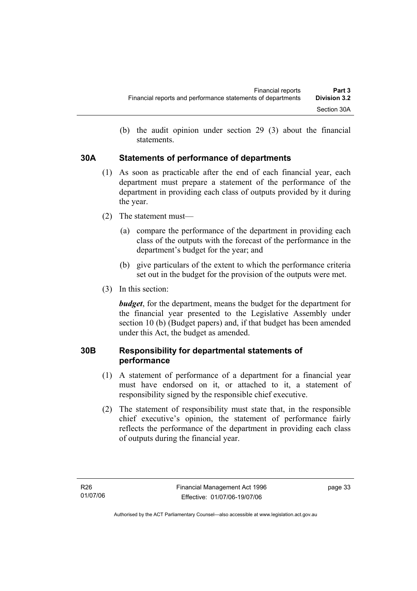(b) the audit opinion under section 29 (3) about the financial statements.

#### **30A Statements of performance of departments**

- (1) As soon as practicable after the end of each financial year, each department must prepare a statement of the performance of the department in providing each class of outputs provided by it during the year.
- (2) The statement must—
	- (a) compare the performance of the department in providing each class of the outputs with the forecast of the performance in the department's budget for the year; and
	- (b) give particulars of the extent to which the performance criteria set out in the budget for the provision of the outputs were met.
- (3) In this section:

*budget*, for the department, means the budget for the department for the financial year presented to the Legislative Assembly under section 10 (b) (Budget papers) and, if that budget has been amended under this Act, the budget as amended.

## **30B Responsibility for departmental statements of performance**

- (1) A statement of performance of a department for a financial year must have endorsed on it, or attached to it, a statement of responsibility signed by the responsible chief executive.
- (2) The statement of responsibility must state that, in the responsible chief executive's opinion, the statement of performance fairly reflects the performance of the department in providing each class of outputs during the financial year.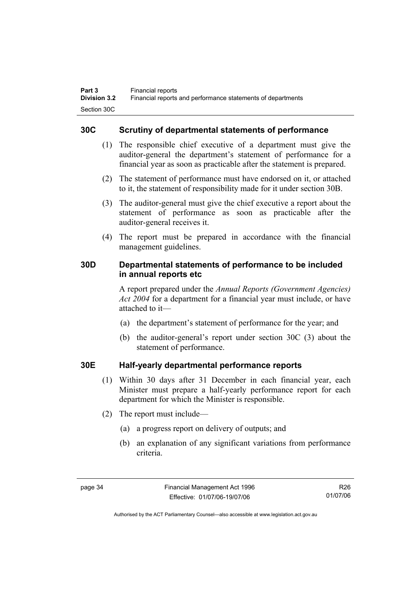#### **30C Scrutiny of departmental statements of performance**

- (1) The responsible chief executive of a department must give the auditor-general the department's statement of performance for a financial year as soon as practicable after the statement is prepared.
- (2) The statement of performance must have endorsed on it, or attached to it, the statement of responsibility made for it under section 30B.
- (3) The auditor-general must give the chief executive a report about the statement of performance as soon as practicable after the auditor-general receives it.
- (4) The report must be prepared in accordance with the financial management guidelines.

#### **30D Departmental statements of performance to be included in annual reports etc**

A report prepared under the *Annual Reports (Government Agencies) Act 2004* for a department for a financial year must include, or have attached to it—

- (a) the department's statement of performance for the year; and
- (b) the auditor-general's report under section 30C (3) about the statement of performance.

#### **30E Half-yearly departmental performance reports**

- (1) Within 30 days after 31 December in each financial year, each Minister must prepare a half-yearly performance report for each department for which the Minister is responsible.
- (2) The report must include—
	- (a) a progress report on delivery of outputs; and
	- (b) an explanation of any significant variations from performance criteria.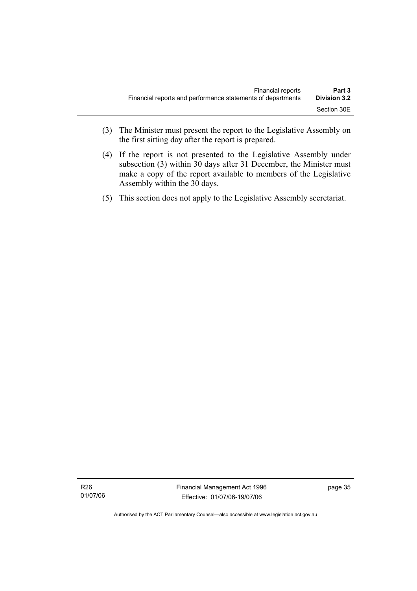- (3) The Minister must present the report to the Legislative Assembly on the first sitting day after the report is prepared.
- (4) If the report is not presented to the Legislative Assembly under subsection (3) within 30 days after 31 December, the Minister must make a copy of the report available to members of the Legislative Assembly within the 30 days.
- (5) This section does not apply to the Legislative Assembly secretariat.

Authorised by the ACT Parliamentary Counsel—also accessible at www.legislation.act.gov.au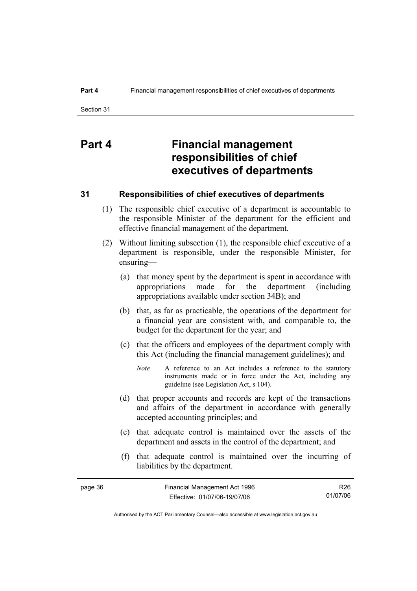# **Part 4 Financial management responsibilities of chief executives of departments**

#### **31 Responsibilities of chief executives of departments**

- (1) The responsible chief executive of a department is accountable to the responsible Minister of the department for the efficient and effective financial management of the department.
- (2) Without limiting subsection (1), the responsible chief executive of a department is responsible, under the responsible Minister, for ensuring—
	- (a) that money spent by the department is spent in accordance with appropriations made for the department (including appropriations available under section 34B); and
	- (b) that, as far as practicable, the operations of the department for a financial year are consistent with, and comparable to, the budget for the department for the year; and
	- (c) that the officers and employees of the department comply with this Act (including the financial management guidelines); and
		- *Note* A reference to an Act includes a reference to the statutory instruments made or in force under the Act, including any guideline (see Legislation Act, s 104).
	- (d) that proper accounts and records are kept of the transactions and affairs of the department in accordance with generally accepted accounting principles; and
	- (e) that adequate control is maintained over the assets of the department and assets in the control of the department; and
	- (f) that adequate control is maintained over the incurring of liabilities by the department.

R26 01/07/06

Authorised by the ACT Parliamentary Counsel—also accessible at www.legislation.act.gov.au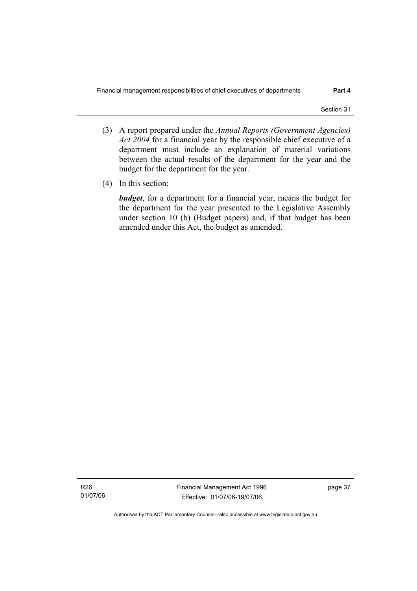- (3) A report prepared under the *Annual Reports (Government Agencies) Act 2004* for a financial year by the responsible chief executive of a department must include an explanation of material variations between the actual results of the department for the year and the budget for the department for the year.
- (4) In this section:

*budget*, for a department for a financial year, means the budget for the department for the year presented to the Legislative Assembly under section 10 (b) (Budget papers) and, if that budget has been amended under this Act, the budget as amended.

R26 01/07/06 Financial Management Act 1996 Effective: 01/07/06-19/07/06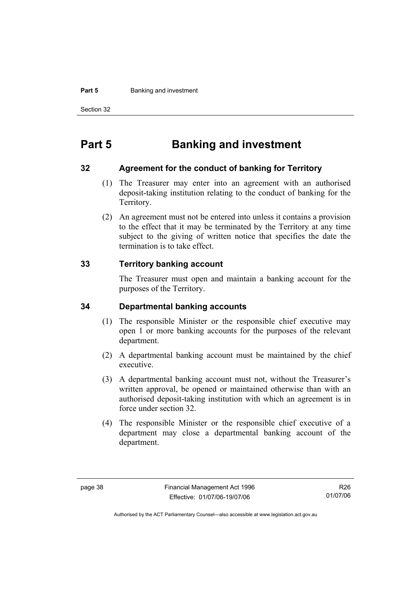#### **Part 5 Banking and investment**

Section 32

# **Part 5 Banking and investment**

#### **32 Agreement for the conduct of banking for Territory**

- (1) The Treasurer may enter into an agreement with an authorised deposit-taking institution relating to the conduct of banking for the Territory.
- (2) An agreement must not be entered into unless it contains a provision to the effect that it may be terminated by the Territory at any time subject to the giving of written notice that specifies the date the termination is to take effect.

#### **33 Territory banking account**

The Treasurer must open and maintain a banking account for the purposes of the Territory.

#### **34 Departmental banking accounts**

- (1) The responsible Minister or the responsible chief executive may open 1 or more banking accounts for the purposes of the relevant department.
- (2) A departmental banking account must be maintained by the chief executive.
- (3) A departmental banking account must not, without the Treasurer's written approval, be opened or maintained otherwise than with an authorised deposit-taking institution with which an agreement is in force under section 32.
- (4) The responsible Minister or the responsible chief executive of a department may close a departmental banking account of the department.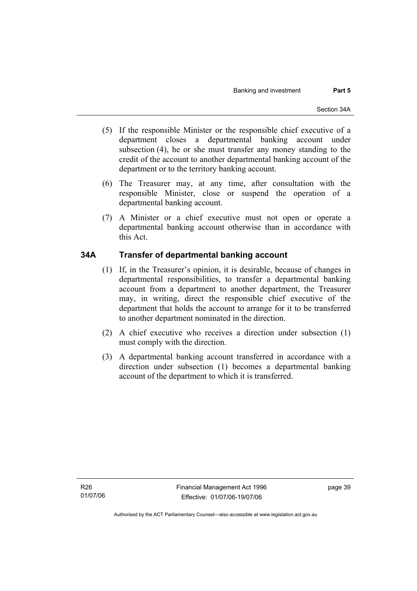- (5) If the responsible Minister or the responsible chief executive of a department closes a departmental banking account under subsection (4), he or she must transfer any money standing to the credit of the account to another departmental banking account of the department or to the territory banking account.
- (6) The Treasurer may, at any time, after consultation with the responsible Minister, close or suspend the operation of a departmental banking account.
- (7) A Minister or a chief executive must not open or operate a departmental banking account otherwise than in accordance with this Act.

#### **34A Transfer of departmental banking account**

- (1) If, in the Treasurer's opinion, it is desirable, because of changes in departmental responsibilities, to transfer a departmental banking account from a department to another department, the Treasurer may, in writing, direct the responsible chief executive of the department that holds the account to arrange for it to be transferred to another department nominated in the direction.
- (2) A chief executive who receives a direction under subsection (1) must comply with the direction.
- (3) A departmental banking account transferred in accordance with a direction under subsection (1) becomes a departmental banking account of the department to which it is transferred.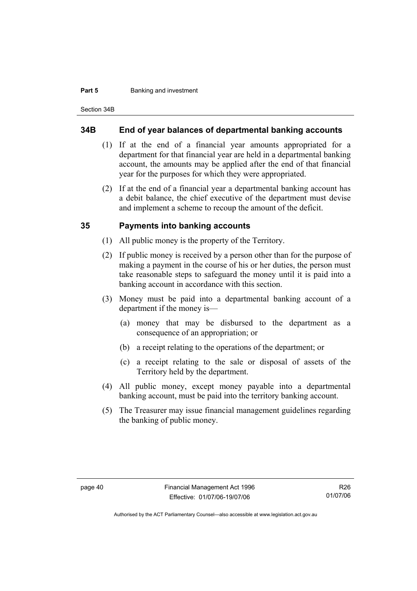#### **Part 5 Banking and investment**

Section 34B

#### **34B End of year balances of departmental banking accounts**

- (1) If at the end of a financial year amounts appropriated for a department for that financial year are held in a departmental banking account, the amounts may be applied after the end of that financial year for the purposes for which they were appropriated.
- (2) If at the end of a financial year a departmental banking account has a debit balance, the chief executive of the department must devise and implement a scheme to recoup the amount of the deficit.

#### **35 Payments into banking accounts**

- (1) All public money is the property of the Territory.
- (2) If public money is received by a person other than for the purpose of making a payment in the course of his or her duties, the person must take reasonable steps to safeguard the money until it is paid into a banking account in accordance with this section.
- (3) Money must be paid into a departmental banking account of a department if the money is—
	- (a) money that may be disbursed to the department as a consequence of an appropriation; or
	- (b) a receipt relating to the operations of the department; or
	- (c) a receipt relating to the sale or disposal of assets of the Territory held by the department.
- (4) All public money, except money payable into a departmental banking account, must be paid into the territory banking account.
- (5) The Treasurer may issue financial management guidelines regarding the banking of public money.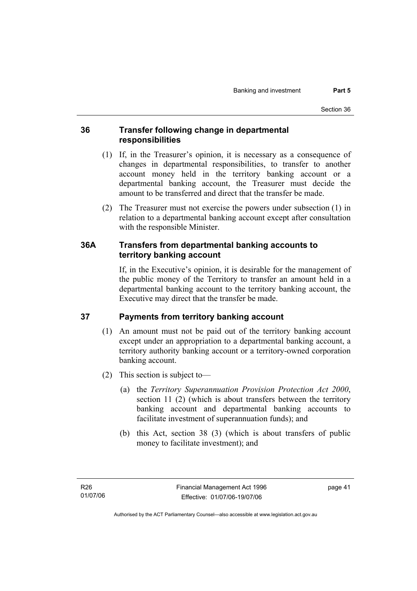#### **36 Transfer following change in departmental responsibilities**

- (1) If, in the Treasurer's opinion, it is necessary as a consequence of changes in departmental responsibilities, to transfer to another account money held in the territory banking account or a departmental banking account, the Treasurer must decide the amount to be transferred and direct that the transfer be made.
- (2) The Treasurer must not exercise the powers under subsection (1) in relation to a departmental banking account except after consultation with the responsible Minister.

### **36A Transfers from departmental banking accounts to territory banking account**

If, in the Executive's opinion, it is desirable for the management of the public money of the Territory to transfer an amount held in a departmental banking account to the territory banking account, the Executive may direct that the transfer be made.

# **37 Payments from territory banking account**

- (1) An amount must not be paid out of the territory banking account except under an appropriation to a departmental banking account, a territory authority banking account or a territory-owned corporation banking account.
- (2) This section is subject to—
	- (a) the *Territory Superannuation Provision Protection Act 2000*, section 11 (2) (which is about transfers between the territory banking account and departmental banking accounts to facilitate investment of superannuation funds); and
	- (b) this Act, section 38 (3) (which is about transfers of public money to facilitate investment); and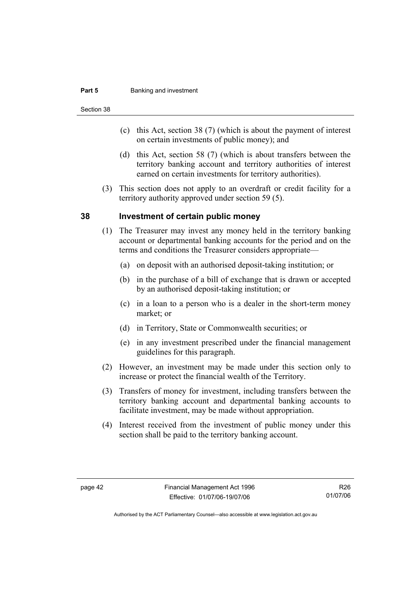#### **Part 5 Banking and investment**

Section 38

- (c) this Act, section 38 (7) (which is about the payment of interest on certain investments of public money); and
- (d) this Act, section 58 (7) (which is about transfers between the territory banking account and territory authorities of interest earned on certain investments for territory authorities).
- (3) This section does not apply to an overdraft or credit facility for a territory authority approved under section 59 (5).

#### **38 Investment of certain public money**

- (1) The Treasurer may invest any money held in the territory banking account or departmental banking accounts for the period and on the terms and conditions the Treasurer considers appropriate—
	- (a) on deposit with an authorised deposit-taking institution; or
	- (b) in the purchase of a bill of exchange that is drawn or accepted by an authorised deposit-taking institution; or
	- (c) in a loan to a person who is a dealer in the short-term money market; or
	- (d) in Territory, State or Commonwealth securities; or
	- (e) in any investment prescribed under the financial management guidelines for this paragraph.
- (2) However, an investment may be made under this section only to increase or protect the financial wealth of the Territory.
- (3) Transfers of money for investment, including transfers between the territory banking account and departmental banking accounts to facilitate investment, may be made without appropriation.
- (4) Interest received from the investment of public money under this section shall be paid to the territory banking account.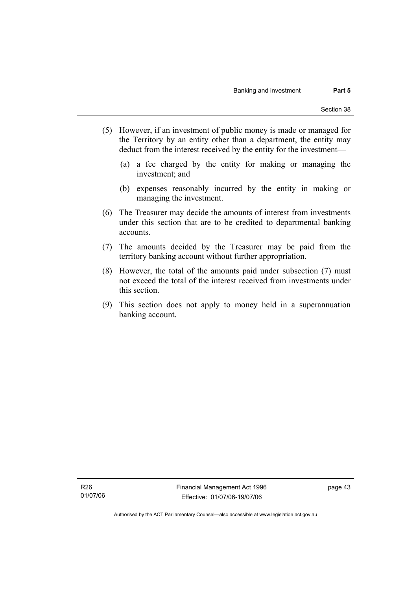- (5) However, if an investment of public money is made or managed for the Territory by an entity other than a department, the entity may deduct from the interest received by the entity for the investment—
	- (a) a fee charged by the entity for making or managing the investment; and
	- (b) expenses reasonably incurred by the entity in making or managing the investment.
- (6) The Treasurer may decide the amounts of interest from investments under this section that are to be credited to departmental banking accounts.
- (7) The amounts decided by the Treasurer may be paid from the territory banking account without further appropriation.
- (8) However, the total of the amounts paid under subsection (7) must not exceed the total of the interest received from investments under this section.
- (9) This section does not apply to money held in a superannuation banking account.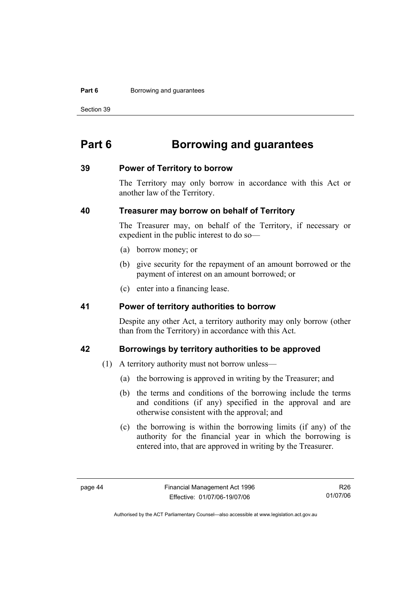#### **Part 6 Borrowing and guarantees**

Section 39

# **Part 6 Borrowing and guarantees**

#### **39 Power of Territory to borrow**

The Territory may only borrow in accordance with this Act or another law of the Territory.

#### **40 Treasurer may borrow on behalf of Territory**

The Treasurer may, on behalf of the Territory, if necessary or expedient in the public interest to do so—

- (a) borrow money; or
- (b) give security for the repayment of an amount borrowed or the payment of interest on an amount borrowed; or
- (c) enter into a financing lease.

#### **41 Power of territory authorities to borrow**

Despite any other Act, a territory authority may only borrow (other than from the Territory) in accordance with this Act.

#### **42 Borrowings by territory authorities to be approved**

- (1) A territory authority must not borrow unless—
	- (a) the borrowing is approved in writing by the Treasurer; and
	- (b) the terms and conditions of the borrowing include the terms and conditions (if any) specified in the approval and are otherwise consistent with the approval; and
	- (c) the borrowing is within the borrowing limits (if any) of the authority for the financial year in which the borrowing is entered into, that are approved in writing by the Treasurer.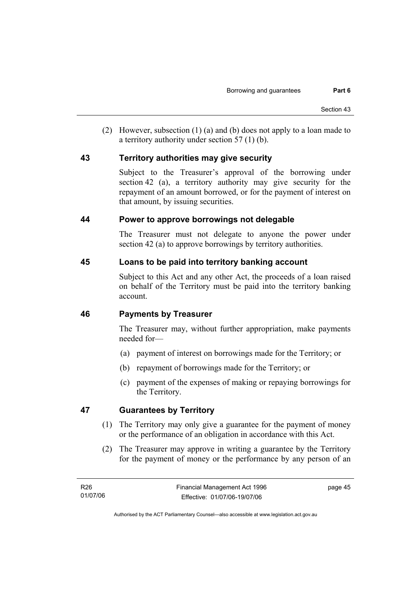(2) However, subsection (1) (a) and (b) does not apply to a loan made to a territory authority under section 57 (1) (b).

#### **43 Territory authorities may give security**

Subject to the Treasurer's approval of the borrowing under section 42 (a), a territory authority may give security for the repayment of an amount borrowed, or for the payment of interest on that amount, by issuing securities.

#### **44 Power to approve borrowings not delegable**

The Treasurer must not delegate to anyone the power under section 42 (a) to approve borrowings by territory authorities.

#### **45 Loans to be paid into territory banking account**

Subject to this Act and any other Act, the proceeds of a loan raised on behalf of the Territory must be paid into the territory banking account.

#### **46 Payments by Treasurer**

The Treasurer may, without further appropriation, make payments needed for—

- (a) payment of interest on borrowings made for the Territory; or
- (b) repayment of borrowings made for the Territory; or
- (c) payment of the expenses of making or repaying borrowings for the Territory.

#### **47 Guarantees by Territory**

- (1) The Territory may only give a guarantee for the payment of money or the performance of an obligation in accordance with this Act.
- (2) The Treasurer may approve in writing a guarantee by the Territory for the payment of money or the performance by any person of an

Authorised by the ACT Parliamentary Counsel—also accessible at www.legislation.act.gov.au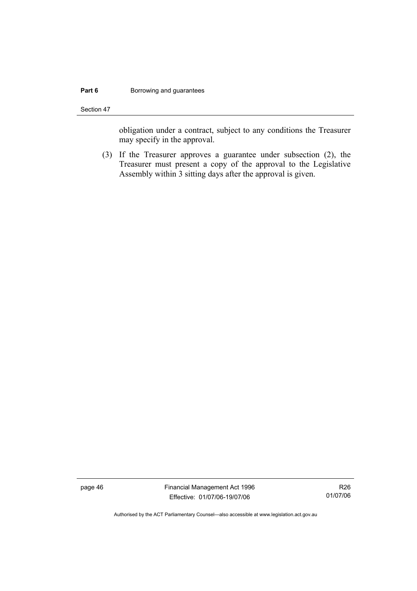#### **Part 6 Borrowing and guarantees**

Section 47

obligation under a contract, subject to any conditions the Treasurer may specify in the approval.

 (3) If the Treasurer approves a guarantee under subsection (2), the Treasurer must present a copy of the approval to the Legislative Assembly within 3 sitting days after the approval is given.

page 46 Financial Management Act 1996 Effective: 01/07/06-19/07/06

R26 01/07/06

Authorised by the ACT Parliamentary Counsel—also accessible at www.legislation.act.gov.au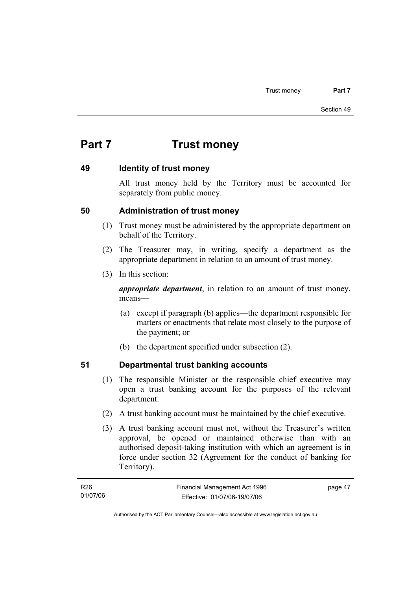# **Part 7 Trust money**

#### **49 Identity of trust money**

All trust money held by the Territory must be accounted for separately from public money.

#### **50 Administration of trust money**

- (1) Trust money must be administered by the appropriate department on behalf of the Territory.
- (2) The Treasurer may, in writing, specify a department as the appropriate department in relation to an amount of trust money.
- (3) In this section:

*appropriate department*, in relation to an amount of trust money, means—

- (a) except if paragraph (b) applies—the department responsible for matters or enactments that relate most closely to the purpose of the payment; or
- (b) the department specified under subsection (2).

# **51 Departmental trust banking accounts**

- (1) The responsible Minister or the responsible chief executive may open a trust banking account for the purposes of the relevant department.
- (2) A trust banking account must be maintained by the chief executive.
- (3) A trust banking account must not, without the Treasurer's written approval, be opened or maintained otherwise than with an authorised deposit-taking institution with which an agreement is in force under section 32 (Agreement for the conduct of banking for Territory).

| R26      | Financial Management Act 1996 | page 47 |
|----------|-------------------------------|---------|
| 01/07/06 | Effective: 01/07/06-19/07/06  |         |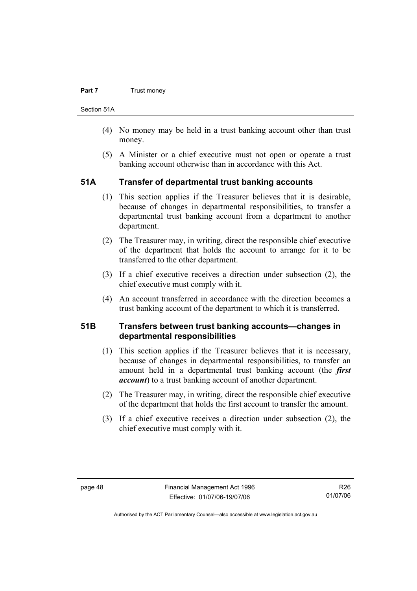#### **Part 7 Trust money**

Section 51A

- (4) No money may be held in a trust banking account other than trust money.
- (5) A Minister or a chief executive must not open or operate a trust banking account otherwise than in accordance with this Act.

#### **51A Transfer of departmental trust banking accounts**

- (1) This section applies if the Treasurer believes that it is desirable, because of changes in departmental responsibilities, to transfer a departmental trust banking account from a department to another department.
- (2) The Treasurer may, in writing, direct the responsible chief executive of the department that holds the account to arrange for it to be transferred to the other department.
- (3) If a chief executive receives a direction under subsection (2), the chief executive must comply with it.
- (4) An account transferred in accordance with the direction becomes a trust banking account of the department to which it is transferred.

#### **51B Transfers between trust banking accounts—changes in departmental responsibilities**

- (1) This section applies if the Treasurer believes that it is necessary, because of changes in departmental responsibilities, to transfer an amount held in a departmental trust banking account (the *first account*) to a trust banking account of another department.
- (2) The Treasurer may, in writing, direct the responsible chief executive of the department that holds the first account to transfer the amount.
- (3) If a chief executive receives a direction under subsection (2), the chief executive must comply with it.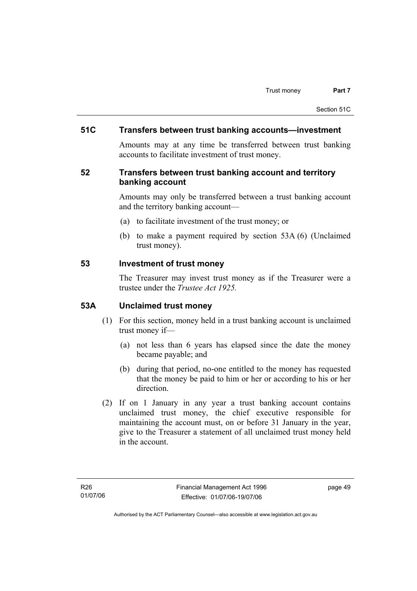#### **51C Transfers between trust banking accounts—investment**

Amounts may at any time be transferred between trust banking accounts to facilitate investment of trust money.

#### **52 Transfers between trust banking account and territory banking account**

Amounts may only be transferred between a trust banking account and the territory banking account—

- (a) to facilitate investment of the trust money; or
- (b) to make a payment required by section 53A (6) (Unclaimed trust money).

#### **53 Investment of trust money**

The Treasurer may invest trust money as if the Treasurer were a trustee under the *Trustee Act 1925.*

#### **53A Unclaimed trust money**

- (1) For this section, money held in a trust banking account is unclaimed trust money if—
	- (a) not less than 6 years has elapsed since the date the money became payable; and
	- (b) during that period, no-one entitled to the money has requested that the money be paid to him or her or according to his or her direction.
- (2) If on 1 January in any year a trust banking account contains unclaimed trust money, the chief executive responsible for maintaining the account must, on or before 31 January in the year, give to the Treasurer a statement of all unclaimed trust money held in the account.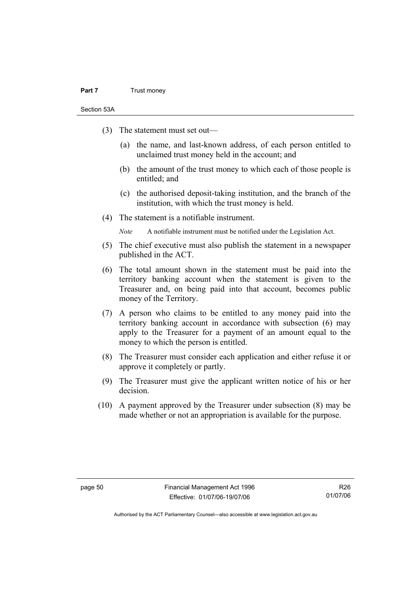#### **Part 7** Trust money

Section 53A

- (3) The statement must set out—
	- (a) the name, and last-known address, of each person entitled to unclaimed trust money held in the account; and
	- (b) the amount of the trust money to which each of those people is entitled; and
	- (c) the authorised deposit-taking institution, and the branch of the institution, with which the trust money is held.
- (4) The statement is a notifiable instrument.

*Note* A notifiable instrument must be notified under the Legislation Act.

- (5) The chief executive must also publish the statement in a newspaper published in the ACT.
- (6) The total amount shown in the statement must be paid into the territory banking account when the statement is given to the Treasurer and, on being paid into that account, becomes public money of the Territory.
- (7) A person who claims to be entitled to any money paid into the territory banking account in accordance with subsection (6) may apply to the Treasurer for a payment of an amount equal to the money to which the person is entitled.
- (8) The Treasurer must consider each application and either refuse it or approve it completely or partly.
- (9) The Treasurer must give the applicant written notice of his or her decision.
- (10) A payment approved by the Treasurer under subsection (8) may be made whether or not an appropriation is available for the purpose.

Authorised by the ACT Parliamentary Counsel—also accessible at www.legislation.act.gov.au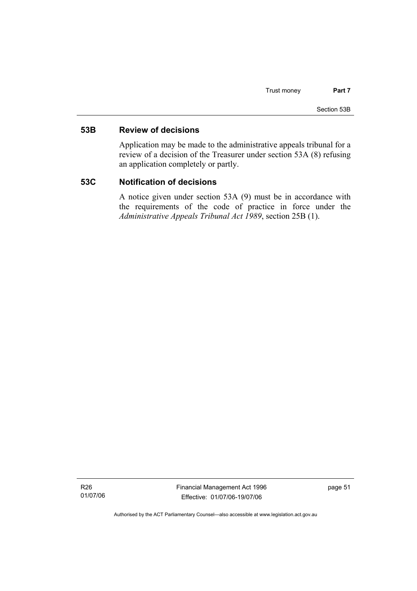#### **53B Review of decisions**

Application may be made to the administrative appeals tribunal for a review of a decision of the Treasurer under section 53A (8) refusing an application completely or partly.

#### **53C Notification of decisions**

A notice given under section 53A (9) must be in accordance with the requirements of the code of practice in force under the *Administrative Appeals Tribunal Act 1989*, section 25B (1).

R26 01/07/06 Financial Management Act 1996 Effective: 01/07/06-19/07/06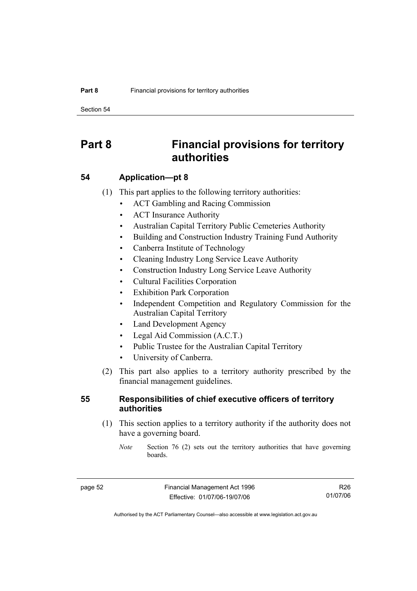Section 54

# **Part 8 Financial provisions for territory authorities**

#### **54 Application—pt 8**

- (1) This part applies to the following territory authorities:
	- ACT Gambling and Racing Commission
	- ACT Insurance Authority
	- Australian Capital Territory Public Cemeteries Authority
	- Building and Construction Industry Training Fund Authority
	- Canberra Institute of Technology
	- Cleaning Industry Long Service Leave Authority
	- Construction Industry Long Service Leave Authority
	- Cultural Facilities Corporation
	- **Exhibition Park Corporation**
	- Independent Competition and Regulatory Commission for the Australian Capital Territory
	- Land Development Agency
	- Legal Aid Commission (A.C.T.)
	- Public Trustee for the Australian Capital Territory
	- University of Canberra.
- (2) This part also applies to a territory authority prescribed by the financial management guidelines.

#### **55 Responsibilities of chief executive officers of territory authorities**

- (1) This section applies to a territory authority if the authority does not have a governing board.
	- *Note* Section 76 (2) sets out the territory authorities that have governing boards.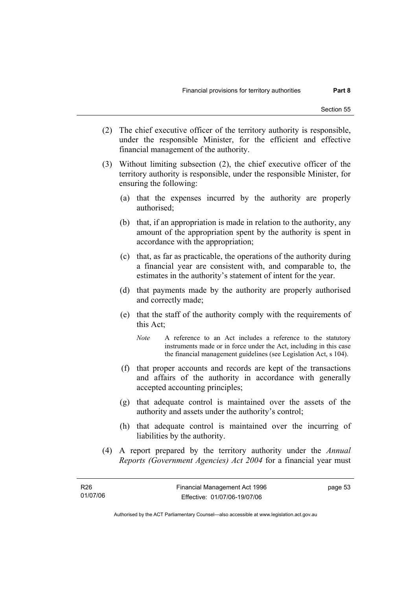- (2) The chief executive officer of the territory authority is responsible, under the responsible Minister, for the efficient and effective financial management of the authority.
- (3) Without limiting subsection (2), the chief executive officer of the territory authority is responsible, under the responsible Minister, for ensuring the following:
	- (a) that the expenses incurred by the authority are properly authorised;
	- (b) that, if an appropriation is made in relation to the authority, any amount of the appropriation spent by the authority is spent in accordance with the appropriation;
	- (c) that, as far as practicable, the operations of the authority during a financial year are consistent with, and comparable to, the estimates in the authority's statement of intent for the year.
	- (d) that payments made by the authority are properly authorised and correctly made;
	- (e) that the staff of the authority comply with the requirements of this Act;
		- *Note* A reference to an Act includes a reference to the statutory instruments made or in force under the Act, including in this case the financial management guidelines (see Legislation Act, s 104).
	- (f) that proper accounts and records are kept of the transactions and affairs of the authority in accordance with generally accepted accounting principles;
	- (g) that adequate control is maintained over the assets of the authority and assets under the authority's control;
	- (h) that adequate control is maintained over the incurring of liabilities by the authority.
- (4) A report prepared by the territory authority under the *Annual Reports (Government Agencies) Act 2004* for a financial year must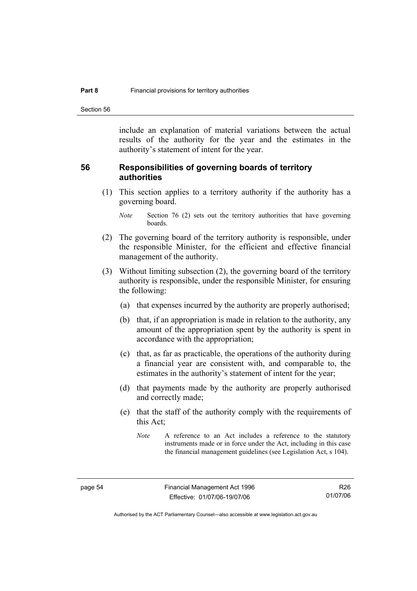Section 56

include an explanation of material variations between the actual results of the authority for the year and the estimates in the authority's statement of intent for the year.

#### **56 Responsibilities of governing boards of territory authorities**

 (1) This section applies to a territory authority if the authority has a governing board.

- (2) The governing board of the territory authority is responsible, under the responsible Minister, for the efficient and effective financial management of the authority.
- (3) Without limiting subsection (2), the governing board of the territory authority is responsible, under the responsible Minister, for ensuring the following:
	- (a) that expenses incurred by the authority are properly authorised;
	- (b) that, if an appropriation is made in relation to the authority, any amount of the appropriation spent by the authority is spent in accordance with the appropriation;
	- (c) that, as far as practicable, the operations of the authority during a financial year are consistent with, and comparable to, the estimates in the authority's statement of intent for the year;
	- (d) that payments made by the authority are properly authorised and correctly made;
	- (e) that the staff of the authority comply with the requirements of this Act;

*Note* Section 76 (2) sets out the territory authorities that have governing boards.

*Note* A reference to an Act includes a reference to the statutory instruments made or in force under the Act, including in this case the financial management guidelines (see Legislation Act, s 104).

Authorised by the ACT Parliamentary Counsel—also accessible at www.legislation.act.gov.au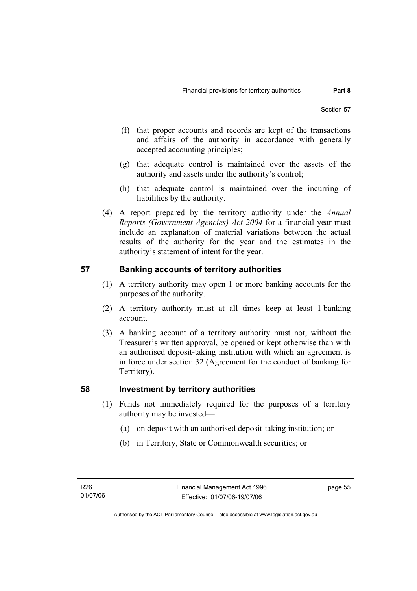- (f) that proper accounts and records are kept of the transactions and affairs of the authority in accordance with generally accepted accounting principles;
- (g) that adequate control is maintained over the assets of the authority and assets under the authority's control;
- (h) that adequate control is maintained over the incurring of liabilities by the authority.
- (4) A report prepared by the territory authority under the *Annual Reports (Government Agencies) Act 2004* for a financial year must include an explanation of material variations between the actual results of the authority for the year and the estimates in the authority's statement of intent for the year.

## **57 Banking accounts of territory authorities**

- (1) A territory authority may open 1 or more banking accounts for the purposes of the authority.
- (2) A territory authority must at all times keep at least 1 banking account.
- (3) A banking account of a territory authority must not, without the Treasurer's written approval, be opened or kept otherwise than with an authorised deposit-taking institution with which an agreement is in force under section 32 (Agreement for the conduct of banking for Territory).

#### **58 Investment by territory authorities**

- (1) Funds not immediately required for the purposes of a territory authority may be invested—
	- (a) on deposit with an authorised deposit-taking institution; or
	- (b) in Territory, State or Commonwealth securities; or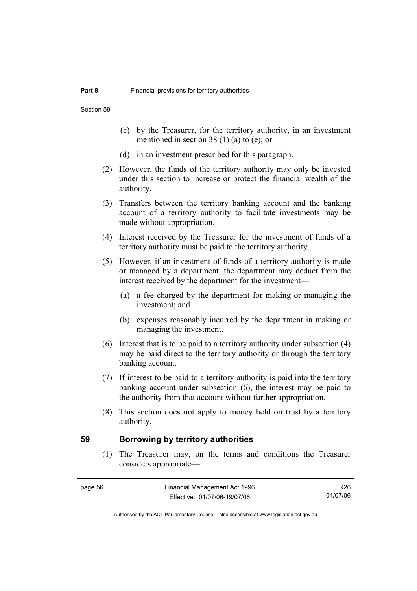Section 59

- (c) by the Treasurer, for the territory authority, in an investment mentioned in section 38 (1) (a) to (e); or
- (d) in an investment prescribed for this paragraph.
- (2) However, the funds of the territory authority may only be invested under this section to increase or protect the financial wealth of the authority.
- (3) Transfers between the territory banking account and the banking account of a territory authority to facilitate investments may be made without appropriation.
- (4) Interest received by the Treasurer for the investment of funds of a territory authority must be paid to the territory authority.
- (5) However, if an investment of funds of a territory authority is made or managed by a department, the department may deduct from the interest received by the department for the investment—
	- (a) a fee charged by the department for making or managing the investment; and
	- (b) expenses reasonably incurred by the department in making or managing the investment.
- (6) Interest that is to be paid to a territory authority under subsection (4) may be paid direct to the territory authority or through the territory banking account.
- (7) If interest to be paid to a territory authority is paid into the territory banking account under subsection (6), the interest may be paid to the authority from that account without further appropriation.
- (8) This section does not apply to money held on trust by a territory authority.

#### **59 Borrowing by territory authorities**

 (1) The Treasurer may, on the terms and conditions the Treasurer considers appropriate—

| aac |  |
|-----|--|
|-----|--|

R26 01/07/06

Authorised by the ACT Parliamentary Counsel—also accessible at www.legislation.act.gov.au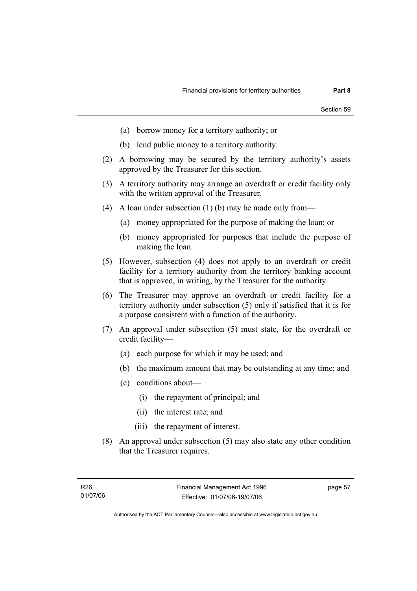- (a) borrow money for a territory authority; or
- (b) lend public money to a territory authority.
- (2) A borrowing may be secured by the territory authority's assets approved by the Treasurer for this section.
- (3) A territory authority may arrange an overdraft or credit facility only with the written approval of the Treasurer.
- (4) A loan under subsection (1) (b) may be made only from—
	- (a) money appropriated for the purpose of making the loan; or
	- (b) money appropriated for purposes that include the purpose of making the loan.
- (5) However, subsection (4) does not apply to an overdraft or credit facility for a territory authority from the territory banking account that is approved, in writing, by the Treasurer for the authority.
- (6) The Treasurer may approve an overdraft or credit facility for a territory authority under subsection (5) only if satisfied that it is for a purpose consistent with a function of the authority.
- (7) An approval under subsection (5) must state, for the overdraft or credit facility—
	- (a) each purpose for which it may be used; and
	- (b) the maximum amount that may be outstanding at any time; and
	- (c) conditions about—
		- (i) the repayment of principal; and
		- (ii) the interest rate; and
		- (iii) the repayment of interest.
- (8) An approval under subsection (5) may also state any other condition that the Treasurer requires.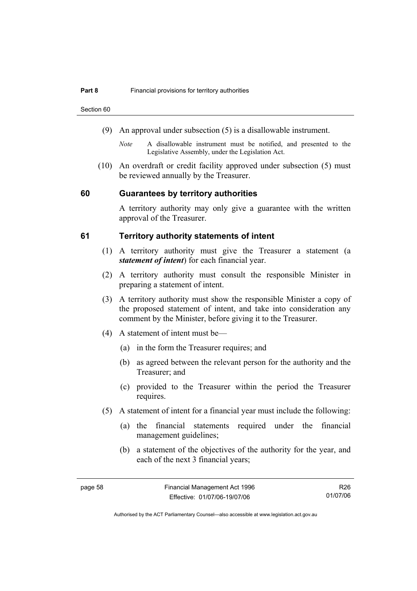Section 60

- (9) An approval under subsection (5) is a disallowable instrument.
	- *Note* A disallowable instrument must be notified, and presented to the Legislative Assembly, under the Legislation Act.
- (10) An overdraft or credit facility approved under subsection (5) must be reviewed annually by the Treasurer.

#### **60 Guarantees by territory authorities**

A territory authority may only give a guarantee with the written approval of the Treasurer.

#### **61 Territory authority statements of intent**

- (1) A territory authority must give the Treasurer a statement (a *statement of intent*) for each financial year.
- (2) A territory authority must consult the responsible Minister in preparing a statement of intent.
- (3) A territory authority must show the responsible Minister a copy of the proposed statement of intent, and take into consideration any comment by the Minister, before giving it to the Treasurer.
- (4) A statement of intent must be—
	- (a) in the form the Treasurer requires; and
	- (b) as agreed between the relevant person for the authority and the Treasurer; and
	- (c) provided to the Treasurer within the period the Treasurer requires.
- (5) A statement of intent for a financial year must include the following:
	- (a) the financial statements required under the financial management guidelines;
	- (b) a statement of the objectives of the authority for the year, and each of the next 3 financial years;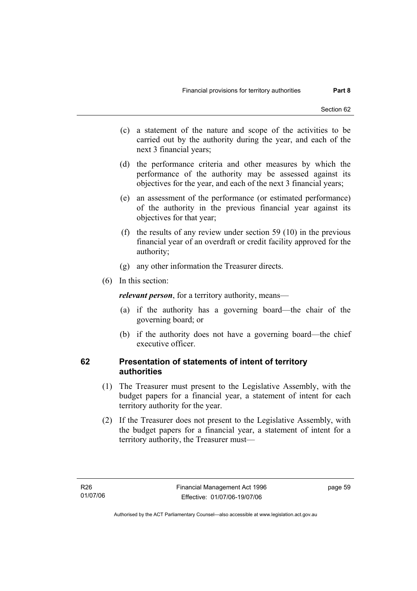- (c) a statement of the nature and scope of the activities to be carried out by the authority during the year, and each of the next 3 financial years;
- (d) the performance criteria and other measures by which the performance of the authority may be assessed against its objectives for the year, and each of the next 3 financial years;
- (e) an assessment of the performance (or estimated performance) of the authority in the previous financial year against its objectives for that year;
- (f) the results of any review under section 59 (10) in the previous financial year of an overdraft or credit facility approved for the authority;
- (g) any other information the Treasurer directs.
- (6) In this section:

*relevant person*, for a territory authority, means—

- (a) if the authority has a governing board—the chair of the governing board; or
- (b) if the authority does not have a governing board—the chief executive officer.

#### **62 Presentation of statements of intent of territory authorities**

- (1) The Treasurer must present to the Legislative Assembly, with the budget papers for a financial year, a statement of intent for each territory authority for the year.
- (2) If the Treasurer does not present to the Legislative Assembly, with the budget papers for a financial year, a statement of intent for a territory authority, the Treasurer must—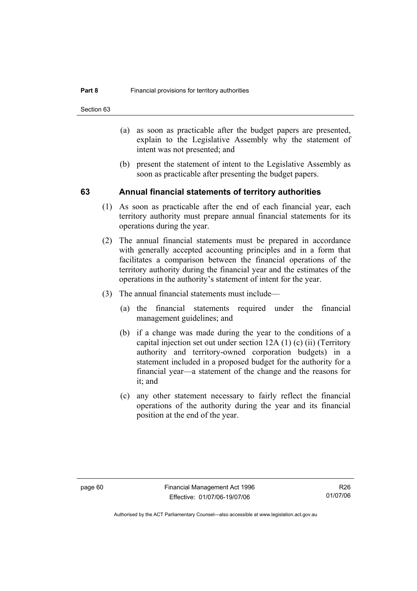Section 63

- (a) as soon as practicable after the budget papers are presented, explain to the Legislative Assembly why the statement of intent was not presented; and
- (b) present the statement of intent to the Legislative Assembly as soon as practicable after presenting the budget papers.

#### **63 Annual financial statements of territory authorities**

- (1) As soon as practicable after the end of each financial year, each territory authority must prepare annual financial statements for its operations during the year.
- (2) The annual financial statements must be prepared in accordance with generally accepted accounting principles and in a form that facilitates a comparison between the financial operations of the territory authority during the financial year and the estimates of the operations in the authority's statement of intent for the year.
- (3) The annual financial statements must include—
	- (a) the financial statements required under the financial management guidelines; and
	- (b) if a change was made during the year to the conditions of a capital injection set out under section 12A (1) (c) (ii) (Territory authority and territory-owned corporation budgets) in a statement included in a proposed budget for the authority for a financial year—a statement of the change and the reasons for it; and
	- (c) any other statement necessary to fairly reflect the financial operations of the authority during the year and its financial position at the end of the year.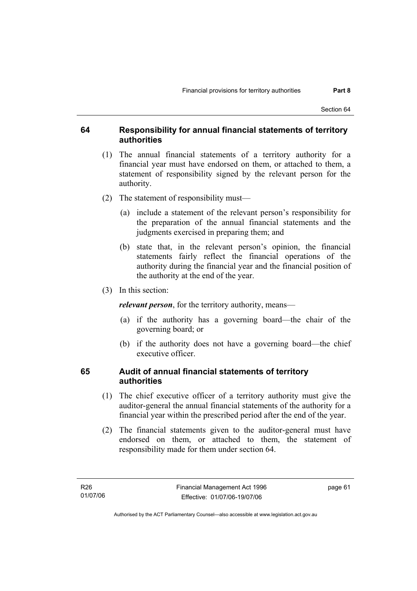#### **64 Responsibility for annual financial statements of territory authorities**

- (1) The annual financial statements of a territory authority for a financial year must have endorsed on them, or attached to them, a statement of responsibility signed by the relevant person for the authority.
- (2) The statement of responsibility must—
	- (a) include a statement of the relevant person's responsibility for the preparation of the annual financial statements and the judgments exercised in preparing them; and
	- (b) state that, in the relevant person's opinion, the financial statements fairly reflect the financial operations of the authority during the financial year and the financial position of the authority at the end of the year.
- (3) In this section:

*relevant person*, for the territory authority, means—

- (a) if the authority has a governing board—the chair of the governing board; or
- (b) if the authority does not have a governing board—the chief executive officer.

#### **65 Audit of annual financial statements of territory authorities**

- (1) The chief executive officer of a territory authority must give the auditor-general the annual financial statements of the authority for a financial year within the prescribed period after the end of the year.
- (2) The financial statements given to the auditor-general must have endorsed on them, or attached to them, the statement of responsibility made for them under section 64.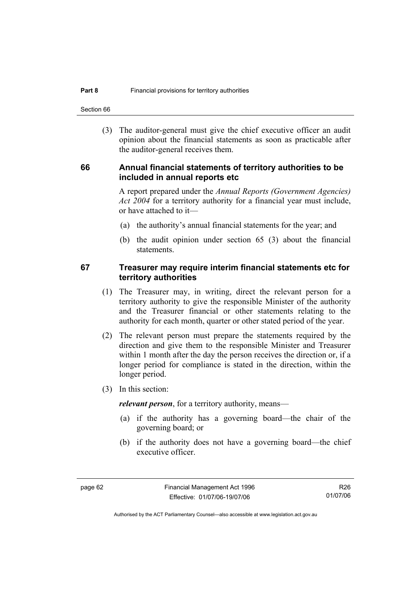Section 66

 (3) The auditor-general must give the chief executive officer an audit opinion about the financial statements as soon as practicable after the auditor-general receives them.

#### **66 Annual financial statements of territory authorities to be included in annual reports etc**

A report prepared under the *Annual Reports (Government Agencies) Act 2004* for a territory authority for a financial year must include, or have attached to it—

- (a) the authority's annual financial statements for the year; and
- (b) the audit opinion under section 65 (3) about the financial statements.

#### **67 Treasurer may require interim financial statements etc for territory authorities**

- (1) The Treasurer may, in writing, direct the relevant person for a territory authority to give the responsible Minister of the authority and the Treasurer financial or other statements relating to the authority for each month, quarter or other stated period of the year.
- (2) The relevant person must prepare the statements required by the direction and give them to the responsible Minister and Treasurer within 1 month after the day the person receives the direction or, if a longer period for compliance is stated in the direction, within the longer period.
- (3) In this section:

*relevant person*, for a territory authority, means—

- (a) if the authority has a governing board—the chair of the governing board; or
- (b) if the authority does not have a governing board—the chief executive officer.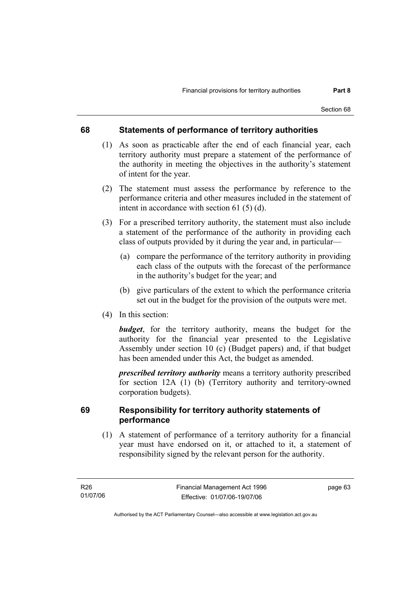### **68 Statements of performance of territory authorities**

- (1) As soon as practicable after the end of each financial year, each territory authority must prepare a statement of the performance of the authority in meeting the objectives in the authority's statement of intent for the year.
- (2) The statement must assess the performance by reference to the performance criteria and other measures included in the statement of intent in accordance with section 61 (5) (d).
- (3) For a prescribed territory authority, the statement must also include a statement of the performance of the authority in providing each class of outputs provided by it during the year and, in particular—
	- (a) compare the performance of the territory authority in providing each class of the outputs with the forecast of the performance in the authority's budget for the year; and
	- (b) give particulars of the extent to which the performance criteria set out in the budget for the provision of the outputs were met.
- (4) In this section:

*budget*, for the territory authority, means the budget for the authority for the financial year presented to the Legislative Assembly under section 10 (c) (Budget papers) and, if that budget has been amended under this Act, the budget as amended.

*prescribed territory authority* means a territory authority prescribed for section 12A (1) (b) (Territory authority and territory-owned corporation budgets).

### **69 Responsibility for territory authority statements of performance**

 (1) A statement of performance of a territory authority for a financial year must have endorsed on it, or attached to it, a statement of responsibility signed by the relevant person for the authority.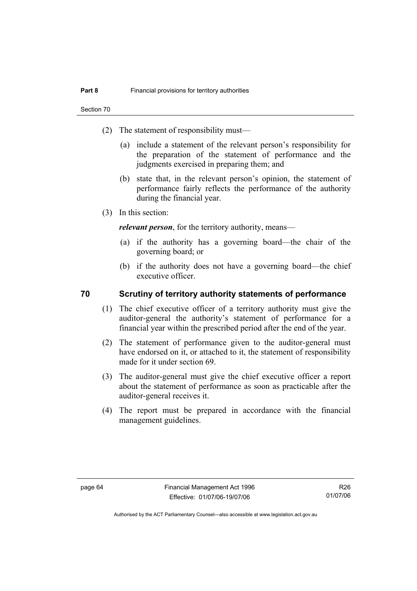- (2) The statement of responsibility must—
	- (a) include a statement of the relevant person's responsibility for the preparation of the statement of performance and the judgments exercised in preparing them; and
	- (b) state that, in the relevant person's opinion, the statement of performance fairly reflects the performance of the authority during the financial year.
- (3) In this section:

*relevant person*, for the territory authority, means—

- (a) if the authority has a governing board—the chair of the governing board; or
- (b) if the authority does not have a governing board—the chief executive officer.

### **70 Scrutiny of territory authority statements of performance**

- (1) The chief executive officer of a territory authority must give the auditor-general the authority's statement of performance for a financial year within the prescribed period after the end of the year.
- (2) The statement of performance given to the auditor-general must have endorsed on it, or attached to it, the statement of responsibility made for it under section 69.
- (3) The auditor-general must give the chief executive officer a report about the statement of performance as soon as practicable after the auditor-general receives it.
- (4) The report must be prepared in accordance with the financial management guidelines.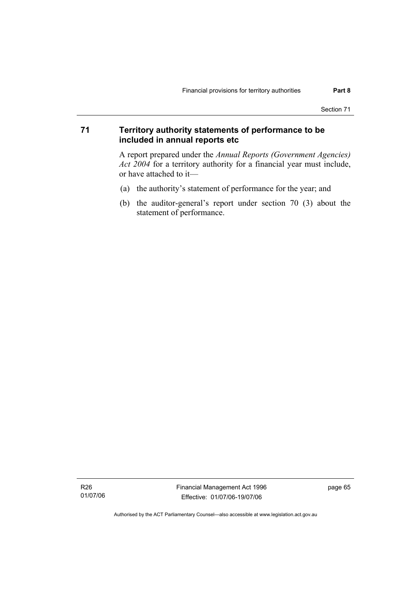### **71 Territory authority statements of performance to be included in annual reports etc**

A report prepared under the *Annual Reports (Government Agencies) Act 2004* for a territory authority for a financial year must include, or have attached to it—

- (a) the authority's statement of performance for the year; and
- (b) the auditor-general's report under section 70 (3) about the statement of performance.

R26 01/07/06 Financial Management Act 1996 Effective: 01/07/06-19/07/06

page 65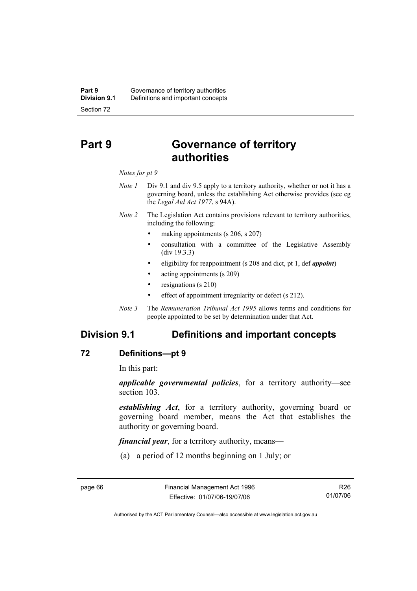# **Part 9 Governance of territory authorities**

#### *Notes for pt 9*

- *Note 1* Div 9.1 and div 9.5 apply to a territory authority, whether or not it has a governing board, unless the establishing Act otherwise provides (see eg the *Legal Aid Act 1977*, s 94A).
- *Note 2* The Legislation Act contains provisions relevant to territory authorities, including the following:
	- making appointments (s 206, s 207)
	- consultation with a committee of the Legislative Assembly (div 19.3.3)
	- eligibility for reappointment (s 208 and dict, pt 1, def *appoint*)
	- acting appointments (s 209)
	- resignations (s 210)
	- effect of appointment irregularity or defect (s 212).
- *Note 3* The *Remuneration Tribunal Act 1995* allows terms and conditions for people appointed to be set by determination under that Act.

# **Division 9.1 Definitions and important concepts**

#### **72 Definitions—pt 9**

In this part:

*applicable governmental policies*, for a territory authority—see section 103.

*establishing Act*, for a territory authority, governing board or governing board member, means the Act that establishes the authority or governing board.

*financial year*, for a territory authority, means—

(a) a period of 12 months beginning on 1 July; or

R26 01/07/06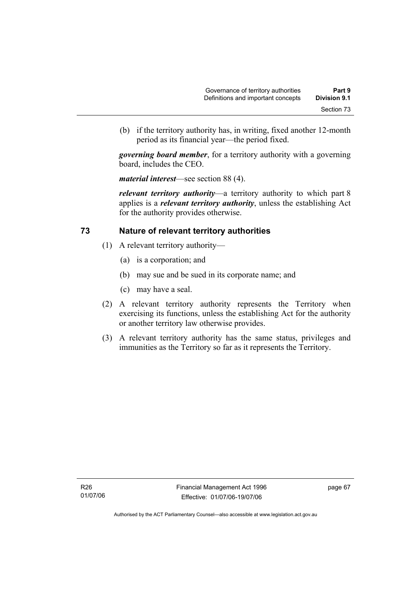(b) if the territory authority has, in writing, fixed another 12-month period as its financial year—the period fixed.

*governing board member*, for a territory authority with a governing board, includes the CEO.

*material interest*—see section 88 (4).

*relevant territory authority*—a territory authority to which part 8 applies is a *relevant territory authority*, unless the establishing Act for the authority provides otherwise.

### **73 Nature of relevant territory authorities**

- (1) A relevant territory authority—
	- (a) is a corporation; and
	- (b) may sue and be sued in its corporate name; and
	- (c) may have a seal.
- (2) A relevant territory authority represents the Territory when exercising its functions, unless the establishing Act for the authority or another territory law otherwise provides.
- (3) A relevant territory authority has the same status, privileges and immunities as the Territory so far as it represents the Territory.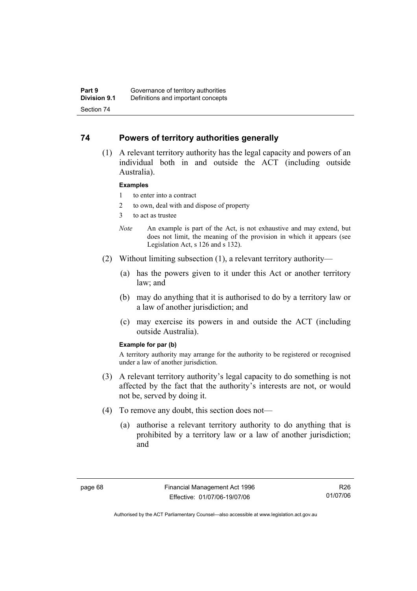### **74 Powers of territory authorities generally**

 (1) A relevant territory authority has the legal capacity and powers of an individual both in and outside the ACT (including outside Australia).

#### **Examples**

- 1 to enter into a contract
- 2 to own, deal with and dispose of property
- 3 to act as trustee
- *Note* An example is part of the Act, is not exhaustive and may extend, but does not limit, the meaning of the provision in which it appears (see Legislation Act, s 126 and s 132).
- (2) Without limiting subsection (1), a relevant territory authority—
	- (a) has the powers given to it under this Act or another territory law; and
	- (b) may do anything that it is authorised to do by a territory law or a law of another jurisdiction; and
	- (c) may exercise its powers in and outside the ACT (including outside Australia).

#### **Example for par (b)**

A territory authority may arrange for the authority to be registered or recognised under a law of another jurisdiction.

- (3) A relevant territory authority's legal capacity to do something is not affected by the fact that the authority's interests are not, or would not be, served by doing it.
- (4) To remove any doubt, this section does not—
	- (a) authorise a relevant territory authority to do anything that is prohibited by a territory law or a law of another jurisdiction; and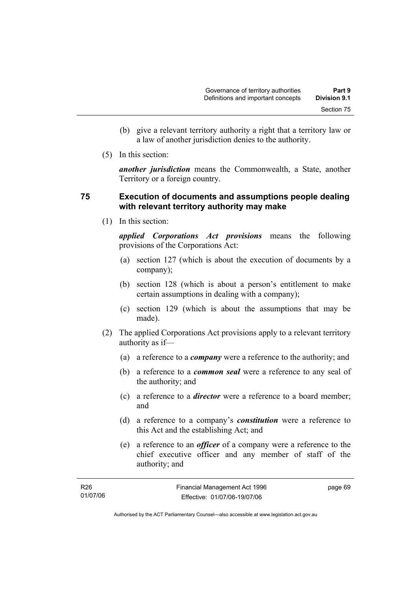- (b) give a relevant territory authority a right that a territory law or a law of another jurisdiction denies to the authority.
- (5) In this section:

*another jurisdiction* means the Commonwealth, a State, another Territory or a foreign country.

### **75 Execution of documents and assumptions people dealing with relevant territory authority may make**

(1) In this section:

*applied Corporations Act provisions* means the following provisions of the Corporations Act:

- (a) section 127 (which is about the execution of documents by a company);
- (b) section 128 (which is about a person's entitlement to make certain assumptions in dealing with a company);
- (c) section 129 (which is about the assumptions that may be made).
- (2) The applied Corporations Act provisions apply to a relevant territory authority as if—
	- (a) a reference to a *company* were a reference to the authority; and
	- (b) a reference to a *common seal* were a reference to any seal of the authority; and
	- (c) a reference to a *director* were a reference to a board member; and
	- (d) a reference to a company's *constitution* were a reference to this Act and the establishing Act; and
	- (e) a reference to an *officer* of a company were a reference to the chief executive officer and any member of staff of the authority; and

| R26      | Financial Management Act 1996 | page 69 |
|----------|-------------------------------|---------|
| 01/07/06 | Effective: 01/07/06-19/07/06  |         |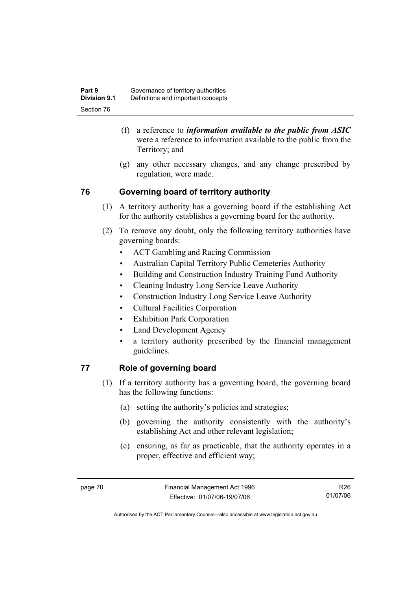- (f) a reference to *information available to the public from ASIC*  were a reference to information available to the public from the Territory; and
- (g) any other necessary changes, and any change prescribed by regulation, were made.

# **76 Governing board of territory authority**

- (1) A territory authority has a governing board if the establishing Act for the authority establishes a governing board for the authority.
- (2) To remove any doubt, only the following territory authorities have governing boards:
	- ACT Gambling and Racing Commission
	- Australian Capital Territory Public Cemeteries Authority
	- Building and Construction Industry Training Fund Authority
	- Cleaning Industry Long Service Leave Authority
	- Construction Industry Long Service Leave Authority
	- Cultural Facilities Corporation
	- Exhibition Park Corporation
	- Land Development Agency
	- a territory authority prescribed by the financial management guidelines.

# **77 Role of governing board**

- (1) If a territory authority has a governing board, the governing board has the following functions:
	- (a) setting the authority's policies and strategies;
	- (b) governing the authority consistently with the authority's establishing Act and other relevant legislation;
	- (c) ensuring, as far as practicable, that the authority operates in a proper, effective and efficient way;

Authorised by the ACT Parliamentary Counsel—also accessible at www.legislation.act.gov.au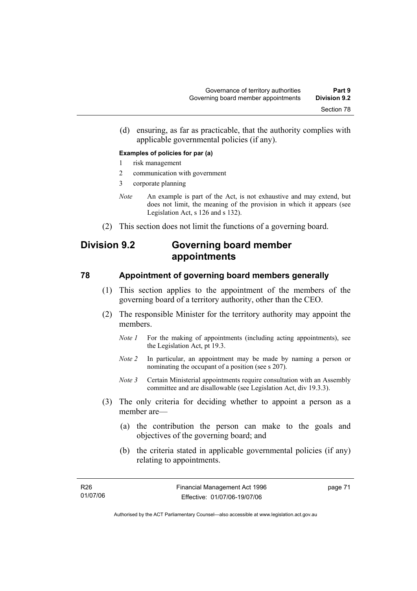(d) ensuring, as far as practicable, that the authority complies with applicable governmental policies (if any).

#### **Examples of policies for par (a)**

- 1 risk management
- 2 communication with government
- 3 corporate planning
- *Note* An example is part of the Act, is not exhaustive and may extend, but does not limit, the meaning of the provision in which it appears (see Legislation Act, s 126 and s 132).
- (2) This section does not limit the functions of a governing board.

# **Division 9.2 Governing board member appointments**

### **78 Appointment of governing board members generally**

- (1) This section applies to the appointment of the members of the governing board of a territory authority, other than the CEO.
- (2) The responsible Minister for the territory authority may appoint the members.
	- *Note 1* For the making of appointments (including acting appointments), see the Legislation Act, pt 19.3.
	- *Note 2* In particular, an appointment may be made by naming a person or nominating the occupant of a position (see s 207).
	- *Note 3* Certain Ministerial appointments require consultation with an Assembly committee and are disallowable (see Legislation Act, div 19.3.3).
- (3) The only criteria for deciding whether to appoint a person as a member are—
	- (a) the contribution the person can make to the goals and objectives of the governing board; and
	- (b) the criteria stated in applicable governmental policies (if any) relating to appointments.

page 71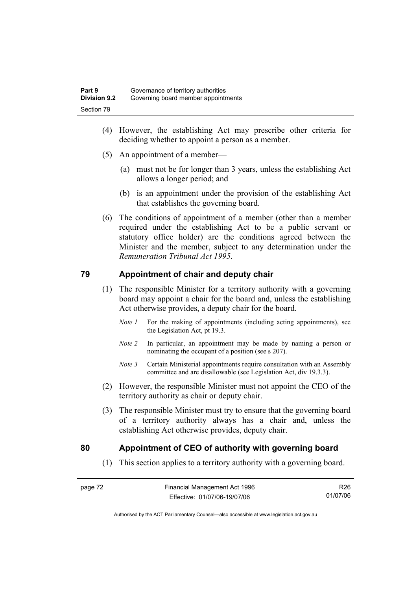- (4) However, the establishing Act may prescribe other criteria for deciding whether to appoint a person as a member.
- (5) An appointment of a member—
	- (a) must not be for longer than 3 years, unless the establishing Act allows a longer period; and
	- (b) is an appointment under the provision of the establishing Act that establishes the governing board.
- (6) The conditions of appointment of a member (other than a member required under the establishing Act to be a public servant or statutory office holder) are the conditions agreed between the Minister and the member, subject to any determination under the *Remuneration Tribunal Act 1995*.

### **79 Appointment of chair and deputy chair**

- (1) The responsible Minister for a territory authority with a governing board may appoint a chair for the board and, unless the establishing Act otherwise provides, a deputy chair for the board.
	- *Note 1* For the making of appointments (including acting appointments), see the Legislation Act, pt 19.3.
	- *Note 2* In particular, an appointment may be made by naming a person or nominating the occupant of a position (see s 207).
	- *Note 3* Certain Ministerial appointments require consultation with an Assembly committee and are disallowable (see Legislation Act, div 19.3.3).
- (2) However, the responsible Minister must not appoint the CEO of the territory authority as chair or deputy chair.
- (3) The responsible Minister must try to ensure that the governing board of a territory authority always has a chair and, unless the establishing Act otherwise provides, deputy chair.

### **80 Appointment of CEO of authority with governing board**

(1) This section applies to a territory authority with a governing board.

R26 01/07/06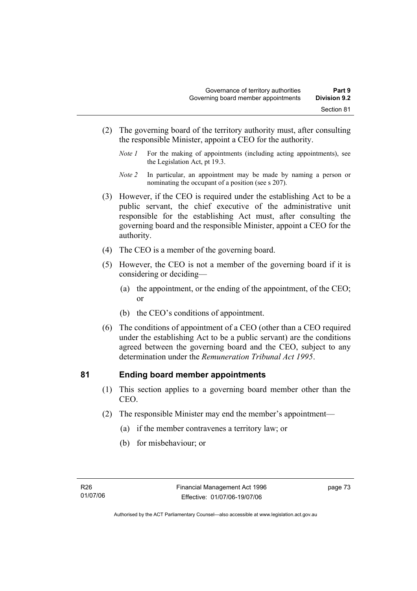- (2) The governing board of the territory authority must, after consulting the responsible Minister, appoint a CEO for the authority.
	- *Note 1* For the making of appointments (including acting appointments), see the Legislation Act, pt 19.3.
	- *Note 2* In particular, an appointment may be made by naming a person or nominating the occupant of a position (see s 207).
- (3) However, if the CEO is required under the establishing Act to be a public servant, the chief executive of the administrative unit responsible for the establishing Act must, after consulting the governing board and the responsible Minister, appoint a CEO for the authority.
- (4) The CEO is a member of the governing board.
- (5) However, the CEO is not a member of the governing board if it is considering or deciding—
	- (a) the appointment, or the ending of the appointment, of the CEO; or
	- (b) the CEO's conditions of appointment.
- (6) The conditions of appointment of a CEO (other than a CEO required under the establishing Act to be a public servant) are the conditions agreed between the governing board and the CEO, subject to any determination under the *Remuneration Tribunal Act 1995*.

### **81 Ending board member appointments**

- (1) This section applies to a governing board member other than the CEO.
- (2) The responsible Minister may end the member's appointment—
	- (a) if the member contravenes a territory law; or
	- (b) for misbehaviour; or

page 73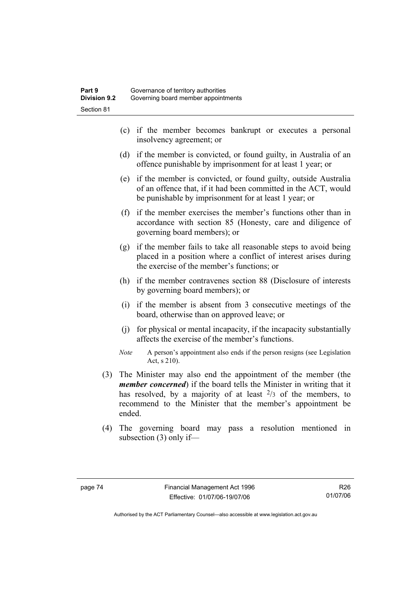- (c) if the member becomes bankrupt or executes a personal insolvency agreement; or
- (d) if the member is convicted, or found guilty, in Australia of an offence punishable by imprisonment for at least 1 year; or
- (e) if the member is convicted, or found guilty, outside Australia of an offence that, if it had been committed in the ACT, would be punishable by imprisonment for at least 1 year; or
- (f) if the member exercises the member's functions other than in accordance with section 85 (Honesty, care and diligence of governing board members); or
- (g) if the member fails to take all reasonable steps to avoid being placed in a position where a conflict of interest arises during the exercise of the member's functions; or
- (h) if the member contravenes section 88 (Disclosure of interests by governing board members); or
- (i) if the member is absent from 3 consecutive meetings of the board, otherwise than on approved leave; or
- (j) for physical or mental incapacity, if the incapacity substantially affects the exercise of the member's functions.
- *Note* A person's appointment also ends if the person resigns (see Legislation Act, s 210).
- (3) The Minister may also end the appointment of the member (the *member concerned*) if the board tells the Minister in writing that it has resolved, by a majority of at least  $2/3$  of the members, to recommend to the Minister that the member's appointment be ended.
- (4) The governing board may pass a resolution mentioned in subsection (3) only if—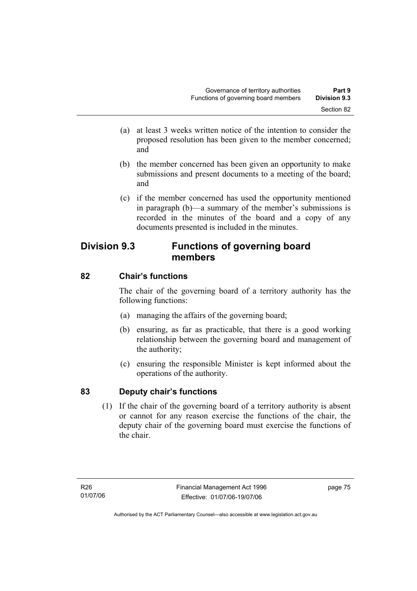- (a) at least 3 weeks written notice of the intention to consider the proposed resolution has been given to the member concerned; and
- (b) the member concerned has been given an opportunity to make submissions and present documents to a meeting of the board; and
- (c) if the member concerned has used the opportunity mentioned in paragraph (b)—a summary of the member's submissions is recorded in the minutes of the board and a copy of any documents presented is included in the minutes.

# **Division 9.3 Functions of governing board members**

# **82 Chair's functions**

The chair of the governing board of a territory authority has the following functions:

- (a) managing the affairs of the governing board;
- (b) ensuring, as far as practicable, that there is a good working relationship between the governing board and management of the authority;
- (c) ensuring the responsible Minister is kept informed about the operations of the authority.

# **83 Deputy chair's functions**

 (1) If the chair of the governing board of a territory authority is absent or cannot for any reason exercise the functions of the chair, the deputy chair of the governing board must exercise the functions of the chair.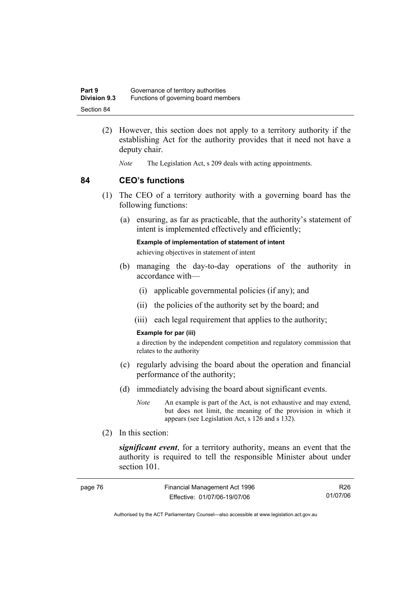| Part 9              | Governance of territory authorities  |
|---------------------|--------------------------------------|
| <b>Division 9.3</b> | Functions of governing board members |
| Section 84          |                                      |

- (2) However, this section does not apply to a territory authority if the establishing Act for the authority provides that it need not have a deputy chair.
	- *Note* The Legislation Act, s 209 deals with acting appointments.

### **84 CEO's functions**

- (1) The CEO of a territory authority with a governing board has the following functions:
	- (a) ensuring, as far as practicable, that the authority's statement of intent is implemented effectively and efficiently;

**Example of implementation of statement of intent** 

achieving objectives in statement of intent

- (b) managing the day-to-day operations of the authority in accordance with—
	- (i) applicable governmental policies (if any); and
	- (ii) the policies of the authority set by the board; and
	- (iii) each legal requirement that applies to the authority;

#### **Example for par (iii)**

a direction by the independent competition and regulatory commission that relates to the authority

- (c) regularly advising the board about the operation and financial performance of the authority;
- (d) immediately advising the board about significant events.
	- *Note* An example is part of the Act, is not exhaustive and may extend, but does not limit, the meaning of the provision in which it appears (see Legislation Act, s 126 and s 132).
- (2) In this section:

*significant event*, for a territory authority, means an event that the authority is required to tell the responsible Minister about under section 101.

| page 76 | Financial Management Act 1996 | R26      |
|---------|-------------------------------|----------|
|         | Effective: 01/07/06-19/07/06  | 01/07/06 |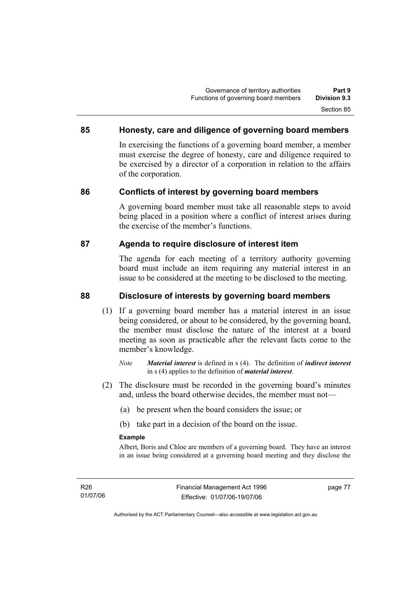### **85 Honesty, care and diligence of governing board members**

In exercising the functions of a governing board member, a member must exercise the degree of honesty, care and diligence required to be exercised by a director of a corporation in relation to the affairs of the corporation.

### **86 Conflicts of interest by governing board members**

A governing board member must take all reasonable steps to avoid being placed in a position where a conflict of interest arises during the exercise of the member's functions.

### **87 Agenda to require disclosure of interest item**

The agenda for each meeting of a territory authority governing board must include an item requiring any material interest in an issue to be considered at the meeting to be disclosed to the meeting.

### **88 Disclosure of interests by governing board members**

- (1) If a governing board member has a material interest in an issue being considered, or about to be considered, by the governing board, the member must disclose the nature of the interest at a board meeting as soon as practicable after the relevant facts come to the member's knowledge.
	- *Note Material interest* is defined in s (4). The definition of *indirect interest* in s (4) applies to the definition of *material interest*.
- (2) The disclosure must be recorded in the governing board's minutes and, unless the board otherwise decides, the member must not—
	- (a) be present when the board considers the issue; or
	- (b) take part in a decision of the board on the issue.

#### **Example**

Albert, Boris and Chloe are members of a governing board. They have an interest in an issue being considered at a governing board meeting and they disclose the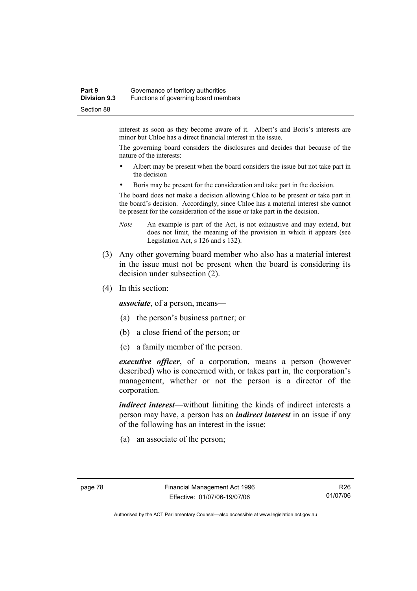#### **Part 9 Governance of territory authorities Division 9.3** Functions of governing board members Section 88

interest as soon as they become aware of it. Albert's and Boris's interests are minor but Chloe has a direct financial interest in the issue.

The governing board considers the disclosures and decides that because of the nature of the interests:

- Albert may be present when the board considers the issue but not take part in the decision
- Boris may be present for the consideration and take part in the decision.

The board does not make a decision allowing Chloe to be present or take part in the board's decision. Accordingly, since Chloe has a material interest she cannot be present for the consideration of the issue or take part in the decision.

- *Note* An example is part of the Act, is not exhaustive and may extend, but does not limit, the meaning of the provision in which it appears (see Legislation Act, s 126 and s 132).
- (3) Any other governing board member who also has a material interest in the issue must not be present when the board is considering its decision under subsection (2).
- (4) In this section:

*associate*, of a person, means—

- (a) the person's business partner; or
- (b) a close friend of the person; or
- (c) a family member of the person.

*executive officer*, of a corporation, means a person (however described) who is concerned with, or takes part in, the corporation's management, whether or not the person is a director of the corporation.

*indirect interest*—without limiting the kinds of indirect interests a person may have, a person has an *indirect interest* in an issue if any of the following has an interest in the issue:

(a) an associate of the person;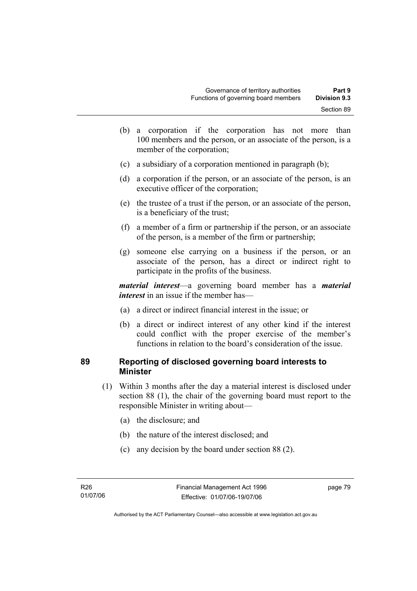- (b) a corporation if the corporation has not more than 100 members and the person, or an associate of the person, is a member of the corporation;
- (c) a subsidiary of a corporation mentioned in paragraph (b);
- (d) a corporation if the person, or an associate of the person, is an executive officer of the corporation;
- (e) the trustee of a trust if the person, or an associate of the person, is a beneficiary of the trust;
- (f) a member of a firm or partnership if the person, or an associate of the person, is a member of the firm or partnership;
- (g) someone else carrying on a business if the person, or an associate of the person, has a direct or indirect right to participate in the profits of the business.

*material interest*—a governing board member has a *material interest* in an issue if the member has—

- (a) a direct or indirect financial interest in the issue; or
- (b) a direct or indirect interest of any other kind if the interest could conflict with the proper exercise of the member's functions in relation to the board's consideration of the issue.

### **89 Reporting of disclosed governing board interests to Minister**

- (1) Within 3 months after the day a material interest is disclosed under section 88 (1), the chair of the governing board must report to the responsible Minister in writing about—
	- (a) the disclosure; and
	- (b) the nature of the interest disclosed; and
	- (c) any decision by the board under section 88 (2).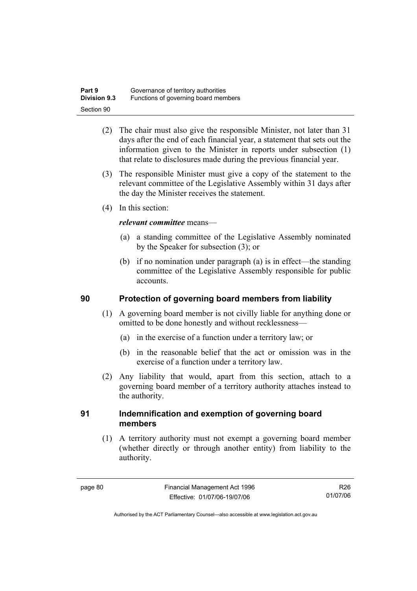| Part 9              | Governance of territory authorities  |
|---------------------|--------------------------------------|
| <b>Division 9.3</b> | Functions of governing board members |
| Section 90          |                                      |

- (2) The chair must also give the responsible Minister, not later than 31 days after the end of each financial year, a statement that sets out the information given to the Minister in reports under subsection (1) that relate to disclosures made during the previous financial year.
- (3) The responsible Minister must give a copy of the statement to the relevant committee of the Legislative Assembly within 31 days after the day the Minister receives the statement.
- (4) In this section:

### *relevant committee* means—

- (a) a standing committee of the Legislative Assembly nominated by the Speaker for subsection (3); or
- (b) if no nomination under paragraph (a) is in effect—the standing committee of the Legislative Assembly responsible for public accounts.

### **90 Protection of governing board members from liability**

- (1) A governing board member is not civilly liable for anything done or omitted to be done honestly and without recklessness—
	- (a) in the exercise of a function under a territory law; or
	- (b) in the reasonable belief that the act or omission was in the exercise of a function under a territory law.
- (2) Any liability that would, apart from this section, attach to a governing board member of a territory authority attaches instead to the authority.

### **91 Indemnification and exemption of governing board members**

 (1) A territory authority must not exempt a governing board member (whether directly or through another entity) from liability to the authority.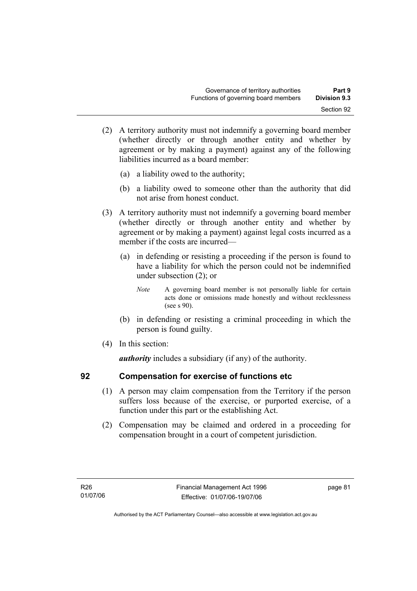- (2) A territory authority must not indemnify a governing board member (whether directly or through another entity and whether by agreement or by making a payment) against any of the following liabilities incurred as a board member:
	- (a) a liability owed to the authority;
	- (b) a liability owed to someone other than the authority that did not arise from honest conduct.
- (3) A territory authority must not indemnify a governing board member (whether directly or through another entity and whether by agreement or by making a payment) against legal costs incurred as a member if the costs are incurred—
	- (a) in defending or resisting a proceeding if the person is found to have a liability for which the person could not be indemnified under subsection (2); or
		- *Note* A governing board member is not personally liable for certain acts done or omissions made honestly and without recklessness (see s 90).
	- (b) in defending or resisting a criminal proceeding in which the person is found guilty.
- (4) In this section:

*authority* includes a subsidiary (if any) of the authority.

### **92 Compensation for exercise of functions etc**

- (1) A person may claim compensation from the Territory if the person suffers loss because of the exercise, or purported exercise, of a function under this part or the establishing Act.
- (2) Compensation may be claimed and ordered in a proceeding for compensation brought in a court of competent jurisdiction.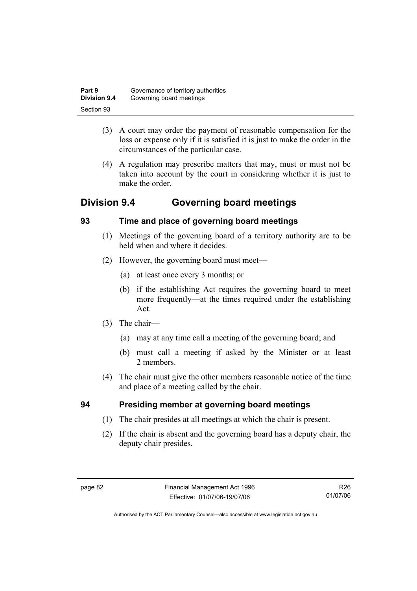| Part 9       | Governance of territory authorities |
|--------------|-------------------------------------|
| Division 9.4 | Governing board meetings            |
| Section 93   |                                     |

- (3) A court may order the payment of reasonable compensation for the loss or expense only if it is satisfied it is just to make the order in the circumstances of the particular case.
- (4) A regulation may prescribe matters that may, must or must not be taken into account by the court in considering whether it is just to make the order

# **Division 9.4 Governing board meetings**

### **93 Time and place of governing board meetings**

- (1) Meetings of the governing board of a territory authority are to be held when and where it decides.
- (2) However, the governing board must meet—
	- (a) at least once every 3 months; or
	- (b) if the establishing Act requires the governing board to meet more frequently—at the times required under the establishing Act.
- (3) The chair—
	- (a) may at any time call a meeting of the governing board; and
	- (b) must call a meeting if asked by the Minister or at least 2 members.
- (4) The chair must give the other members reasonable notice of the time and place of a meeting called by the chair.

# **94 Presiding member at governing board meetings**

- (1) The chair presides at all meetings at which the chair is present.
- (2) If the chair is absent and the governing board has a deputy chair, the deputy chair presides.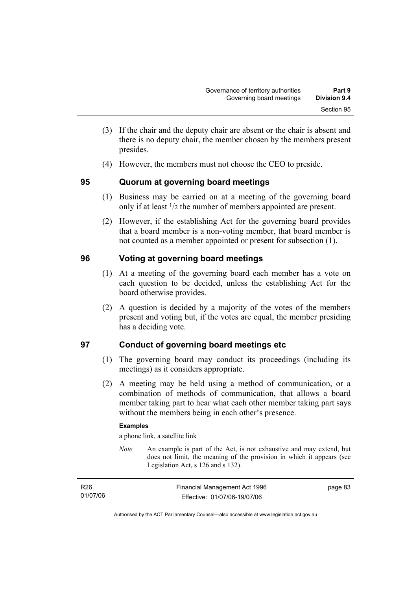- (3) If the chair and the deputy chair are absent or the chair is absent and there is no deputy chair, the member chosen by the members present presides.
- (4) However, the members must not choose the CEO to preside.

### **95 Quorum at governing board meetings**

- (1) Business may be carried on at a meeting of the governing board only if at least 1/2 the number of members appointed are present.
- (2) However, if the establishing Act for the governing board provides that a board member is a non-voting member, that board member is not counted as a member appointed or present for subsection (1).

### **96 Voting at governing board meetings**

- (1) At a meeting of the governing board each member has a vote on each question to be decided, unless the establishing Act for the board otherwise provides.
- (2) A question is decided by a majority of the votes of the members present and voting but, if the votes are equal, the member presiding has a deciding vote.

# **97 Conduct of governing board meetings etc**

- (1) The governing board may conduct its proceedings (including its meetings) as it considers appropriate.
- (2) A meeting may be held using a method of communication, or a combination of methods of communication, that allows a board member taking part to hear what each other member taking part says without the members being in each other's presence.

### **Examples**

a phone link, a satellite link

*Note* An example is part of the Act, is not exhaustive and may extend, but does not limit, the meaning of the provision in which it appears (see Legislation Act, s 126 and s 132).

| R <sub>26</sub> | Financial Management Act 1996 | page 83 |
|-----------------|-------------------------------|---------|
| 01/07/06        | Effective: 01/07/06-19/07/06  |         |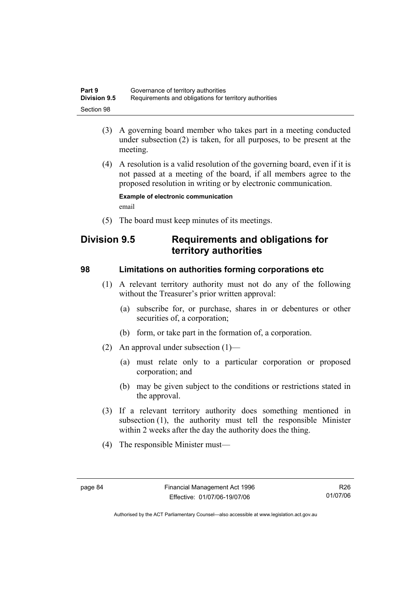| Part 9              | Governance of territory authorities                    |
|---------------------|--------------------------------------------------------|
| <b>Division 9.5</b> | Requirements and obligations for territory authorities |
| Section 98          |                                                        |

- (3) A governing board member who takes part in a meeting conducted under subsection (2) is taken, for all purposes, to be present at the meeting.
- (4) A resolution is a valid resolution of the governing board, even if it is not passed at a meeting of the board, if all members agree to the proposed resolution in writing or by electronic communication.

**Example of electronic communication**  email

(5) The board must keep minutes of its meetings.

# **Division 9.5 Requirements and obligations for territory authorities**

### **98 Limitations on authorities forming corporations etc**

- (1) A relevant territory authority must not do any of the following without the Treasurer's prior written approval:
	- (a) subscribe for, or purchase, shares in or debentures or other securities of, a corporation;
	- (b) form, or take part in the formation of, a corporation.
- (2) An approval under subsection (1)—
	- (a) must relate only to a particular corporation or proposed corporation; and
	- (b) may be given subject to the conditions or restrictions stated in the approval.
- (3) If a relevant territory authority does something mentioned in subsection (1), the authority must tell the responsible Minister within 2 weeks after the day the authority does the thing.
- (4) The responsible Minister must—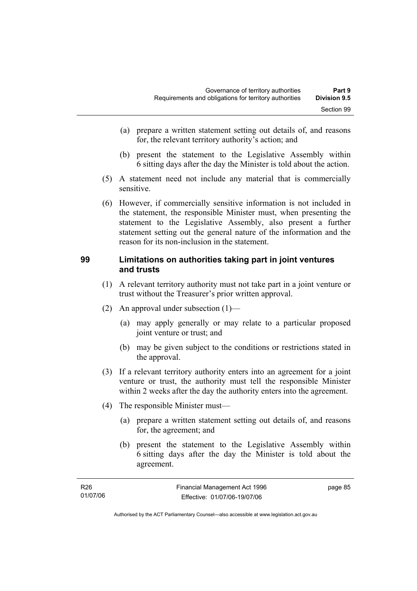- (a) prepare a written statement setting out details of, and reasons for, the relevant territory authority's action; and
- (b) present the statement to the Legislative Assembly within 6 sitting days after the day the Minister is told about the action.
- (5) A statement need not include any material that is commercially sensitive.
- (6) However, if commercially sensitive information is not included in the statement, the responsible Minister must, when presenting the statement to the Legislative Assembly, also present a further statement setting out the general nature of the information and the reason for its non-inclusion in the statement.

### **99 Limitations on authorities taking part in joint ventures and trusts**

- (1) A relevant territory authority must not take part in a joint venture or trust without the Treasurer's prior written approval.
- (2) An approval under subsection (1)—
	- (a) may apply generally or may relate to a particular proposed joint venture or trust; and
	- (b) may be given subject to the conditions or restrictions stated in the approval.
- (3) If a relevant territory authority enters into an agreement for a joint venture or trust, the authority must tell the responsible Minister within 2 weeks after the day the authority enters into the agreement.
- (4) The responsible Minister must—
	- (a) prepare a written statement setting out details of, and reasons for, the agreement; and
	- (b) present the statement to the Legislative Assembly within 6 sitting days after the day the Minister is told about the agreement.

| R26      | Financial Management Act 1996 | page 85 |
|----------|-------------------------------|---------|
| 01/07/06 | Effective: 01/07/06-19/07/06  |         |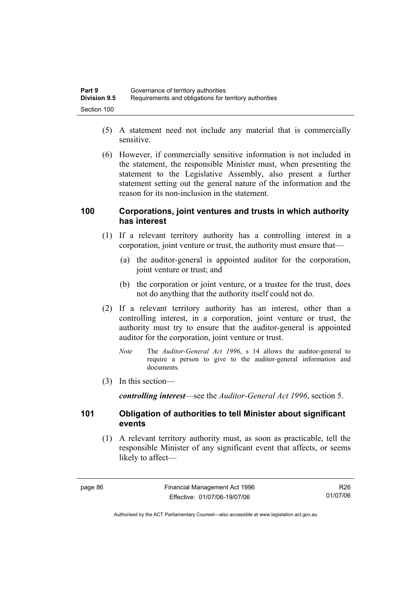| Part 9              | Governance of territory authorities                    |
|---------------------|--------------------------------------------------------|
| <b>Division 9.5</b> | Requirements and obligations for territory authorities |
| Section 100         |                                                        |

- (5) A statement need not include any material that is commercially sensitive.
- (6) However, if commercially sensitive information is not included in the statement, the responsible Minister must, when presenting the statement to the Legislative Assembly, also present a further statement setting out the general nature of the information and the reason for its non-inclusion in the statement.

### **100 Corporations, joint ventures and trusts in which authority has interest**

- (1) If a relevant territory authority has a controlling interest in a corporation, joint venture or trust, the authority must ensure that—
	- (a) the auditor-general is appointed auditor for the corporation, joint venture or trust; and
	- (b) the corporation or joint venture, or a trustee for the trust, does not do anything that the authority itself could not do.
- (2) If a relevant territory authority has an interest, other than a controlling interest, in a corporation, joint venture or trust, the authority must try to ensure that the auditor-general is appointed auditor for the corporation, joint venture or trust.
	- *Note* The *Auditor-General Act 1996*, s 14 allows the auditor-general to require a person to give to the auditor-general information and documents.
- (3) In this section—

*controlling interest*—see the *Auditor-General Act 1996*, section 5.

### **101 Obligation of authorities to tell Minister about significant events**

 (1) A relevant territory authority must, as soon as practicable, tell the responsible Minister of any significant event that affects, or seems likely to affect—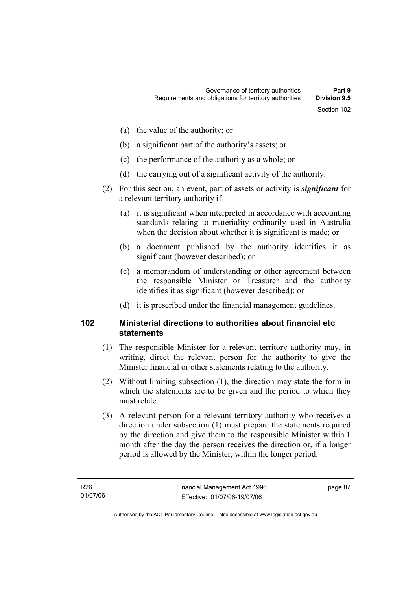- (a) the value of the authority; or
- (b) a significant part of the authority's assets; or
- (c) the performance of the authority as a whole; or
- (d) the carrying out of a significant activity of the authority.
- (2) For this section, an event, part of assets or activity is *significant* for a relevant territory authority if—
	- (a) it is significant when interpreted in accordance with accounting standards relating to materiality ordinarily used in Australia when the decision about whether it is significant is made; or
	- (b) a document published by the authority identifies it as significant (however described); or
	- (c) a memorandum of understanding or other agreement between the responsible Minister or Treasurer and the authority identifies it as significant (however described); or
	- (d) it is prescribed under the financial management guidelines.

### **102 Ministerial directions to authorities about financial etc statements**

- (1) The responsible Minister for a relevant territory authority may, in writing, direct the relevant person for the authority to give the Minister financial or other statements relating to the authority.
- (2) Without limiting subsection (1), the direction may state the form in which the statements are to be given and the period to which they must relate.
- (3) A relevant person for a relevant territory authority who receives a direction under subsection (1) must prepare the statements required by the direction and give them to the responsible Minister within 1 month after the day the person receives the direction or, if a longer period is allowed by the Minister, within the longer period.

page 87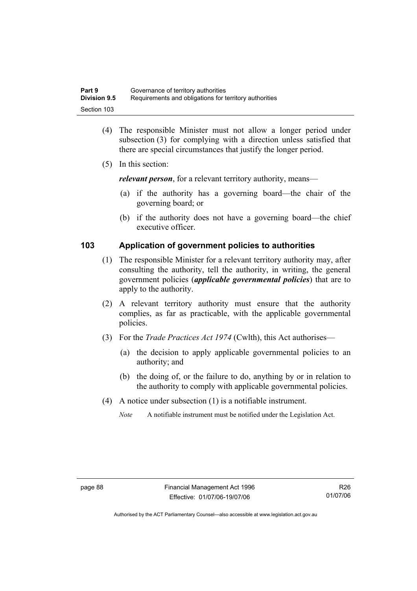| Part 9              | Governance of territory authorities                    |
|---------------------|--------------------------------------------------------|
| <b>Division 9.5</b> | Requirements and obligations for territory authorities |
| Section 103         |                                                        |

- (4) The responsible Minister must not allow a longer period under subsection (3) for complying with a direction unless satisfied that there are special circumstances that justify the longer period.
- (5) In this section:

*relevant person*, for a relevant territory authority, means—

- (a) if the authority has a governing board—the chair of the governing board; or
- (b) if the authority does not have a governing board—the chief executive officer.

### **103 Application of government policies to authorities**

- (1) The responsible Minister for a relevant territory authority may, after consulting the authority, tell the authority, in writing, the general government policies (*applicable governmental policies*) that are to apply to the authority.
- (2) A relevant territory authority must ensure that the authority complies, as far as practicable, with the applicable governmental policies.
- (3) For the *Trade Practices Act 1974* (Cwlth), this Act authorises—
	- (a) the decision to apply applicable governmental policies to an authority; and
	- (b) the doing of, or the failure to do, anything by or in relation to the authority to comply with applicable governmental policies.
- (4) A notice under subsection (1) is a notifiable instrument.
	- *Note* A notifiable instrument must be notified under the Legislation Act.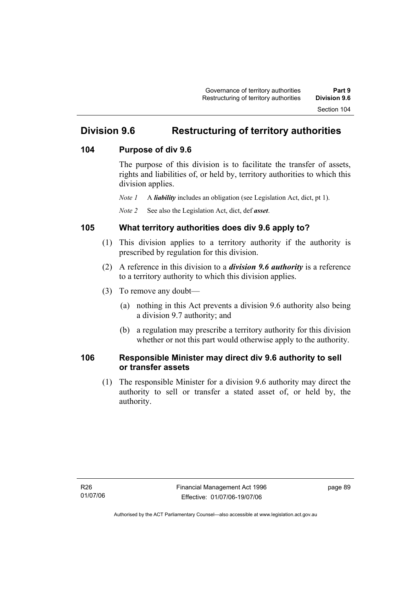# **Division 9.6 Restructuring of territory authorities**

### **104 Purpose of div 9.6**

The purpose of this division is to facilitate the transfer of assets, rights and liabilities of, or held by, territory authorities to which this division applies.

*Note 1* A *liability* includes an obligation (see Legislation Act, dict, pt 1).

*Note 2* See also the Legislation Act, dict, def *asset*.

### **105 What territory authorities does div 9.6 apply to?**

- (1) This division applies to a territory authority if the authority is prescribed by regulation for this division.
- (2) A reference in this division to a *division 9.6 authority* is a reference to a territory authority to which this division applies.
- (3) To remove any doubt—
	- (a) nothing in this Act prevents a division 9.6 authority also being a division 9.7 authority; and
	- (b) a regulation may prescribe a territory authority for this division whether or not this part would otherwise apply to the authority.

### **106 Responsible Minister may direct div 9.6 authority to sell or transfer assets**

 (1) The responsible Minister for a division 9.6 authority may direct the authority to sell or transfer a stated asset of, or held by, the authority.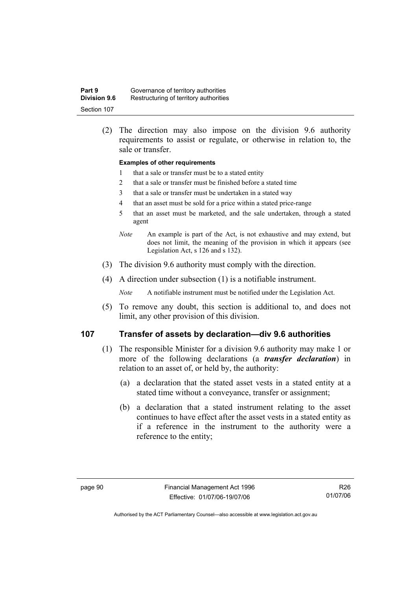| Part 9              | Governance of territory authorities    |
|---------------------|----------------------------------------|
| <b>Division 9.6</b> | Restructuring of territory authorities |
| Section 107         |                                        |

 (2) The direction may also impose on the division 9.6 authority requirements to assist or regulate, or otherwise in relation to, the sale or transfer.

#### **Examples of other requirements**

- 1 that a sale or transfer must be to a stated entity
- 2 that a sale or transfer must be finished before a stated time
- 3 that a sale or transfer must be undertaken in a stated way
- 4 that an asset must be sold for a price within a stated price-range
- 5 that an asset must be marketed, and the sale undertaken, through a stated agent
- *Note* An example is part of the Act, is not exhaustive and may extend, but does not limit, the meaning of the provision in which it appears (see Legislation Act, s 126 and s 132).
- (3) The division 9.6 authority must comply with the direction.
- (4) A direction under subsection (1) is a notifiable instrument.

*Note* A notifiable instrument must be notified under the Legislation Act.

 (5) To remove any doubt, this section is additional to, and does not limit, any other provision of this division.

### **107 Transfer of assets by declaration—div 9.6 authorities**

- (1) The responsible Minister for a division 9.6 authority may make 1 or more of the following declarations (a *transfer declaration*) in relation to an asset of, or held by, the authority:
	- (a) a declaration that the stated asset vests in a stated entity at a stated time without a conveyance, transfer or assignment;
	- (b) a declaration that a stated instrument relating to the asset continues to have effect after the asset vests in a stated entity as if a reference in the instrument to the authority were a reference to the entity;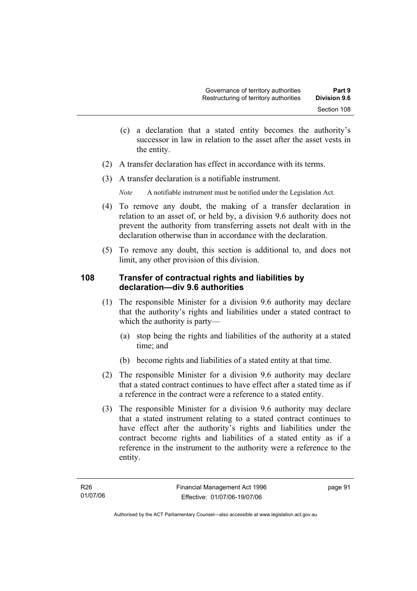- (c) a declaration that a stated entity becomes the authority's successor in law in relation to the asset after the asset vests in the entity.
- (2) A transfer declaration has effect in accordance with its terms.
- (3) A transfer declaration is a notifiable instrument.

*Note* A notifiable instrument must be notified under the Legislation Act.

- (4) To remove any doubt, the making of a transfer declaration in relation to an asset of, or held by, a division 9.6 authority does not prevent the authority from transferring assets not dealt with in the declaration otherwise than in accordance with the declaration.
- (5) To remove any doubt, this section is additional to, and does not limit, any other provision of this division.

### **108 Transfer of contractual rights and liabilities by declaration—div 9.6 authorities**

- (1) The responsible Minister for a division 9.6 authority may declare that the authority's rights and liabilities under a stated contract to which the authority is party—
	- (a) stop being the rights and liabilities of the authority at a stated time; and
	- (b) become rights and liabilities of a stated entity at that time.
- (2) The responsible Minister for a division 9.6 authority may declare that a stated contract continues to have effect after a stated time as if a reference in the contract were a reference to a stated entity.
- (3) The responsible Minister for a division 9.6 authority may declare that a stated instrument relating to a stated contract continues to have effect after the authority's rights and liabilities under the contract become rights and liabilities of a stated entity as if a reference in the instrument to the authority were a reference to the entity.

page 91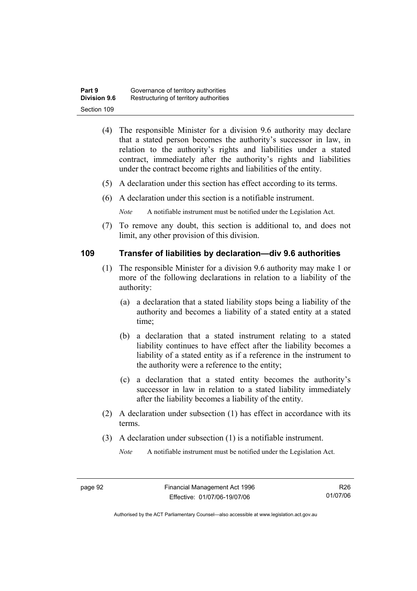| Part 9       | Governance of territory authorities    |
|--------------|----------------------------------------|
| Division 9.6 | Restructuring of territory authorities |
| Section 109  |                                        |

- (4) The responsible Minister for a division 9.6 authority may declare that a stated person becomes the authority's successor in law, in relation to the authority's rights and liabilities under a stated contract, immediately after the authority's rights and liabilities under the contract become rights and liabilities of the entity.
- (5) A declaration under this section has effect according to its terms.
- (6) A declaration under this section is a notifiable instrument.

*Note* A notifiable instrument must be notified under the Legislation Act.

 (7) To remove any doubt, this section is additional to, and does not limit, any other provision of this division.

### **109 Transfer of liabilities by declaration—div 9.6 authorities**

- (1) The responsible Minister for a division 9.6 authority may make 1 or more of the following declarations in relation to a liability of the authority:
	- (a) a declaration that a stated liability stops being a liability of the authority and becomes a liability of a stated entity at a stated time;
	- (b) a declaration that a stated instrument relating to a stated liability continues to have effect after the liability becomes a liability of a stated entity as if a reference in the instrument to the authority were a reference to the entity;
	- (c) a declaration that a stated entity becomes the authority's successor in law in relation to a stated liability immediately after the liability becomes a liability of the entity.
- (2) A declaration under subsection (1) has effect in accordance with its terms.
- (3) A declaration under subsection (1) is a notifiable instrument.

*Note* A notifiable instrument must be notified under the Legislation Act.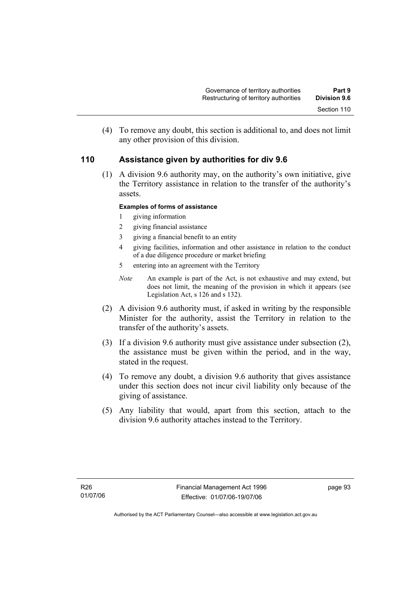(4) To remove any doubt, this section is additional to, and does not limit any other provision of this division.

### **110 Assistance given by authorities for div 9.6**

 (1) A division 9.6 authority may, on the authority's own initiative, give the Territory assistance in relation to the transfer of the authority's assets.

### **Examples of forms of assistance**

- 1 giving information
- 2 giving financial assistance
- 3 giving a financial benefit to an entity
- 4 giving facilities, information and other assistance in relation to the conduct of a due diligence procedure or market briefing
- 5 entering into an agreement with the Territory
- *Note* An example is part of the Act, is not exhaustive and may extend, but does not limit, the meaning of the provision in which it appears (see Legislation Act, s 126 and s 132).
- (2) A division 9.6 authority must, if asked in writing by the responsible Minister for the authority, assist the Territory in relation to the transfer of the authority's assets.
- (3) If a division 9.6 authority must give assistance under subsection (2), the assistance must be given within the period, and in the way, stated in the request.
- (4) To remove any doubt, a division 9.6 authority that gives assistance under this section does not incur civil liability only because of the giving of assistance.
- (5) Any liability that would, apart from this section, attach to the division 9.6 authority attaches instead to the Territory.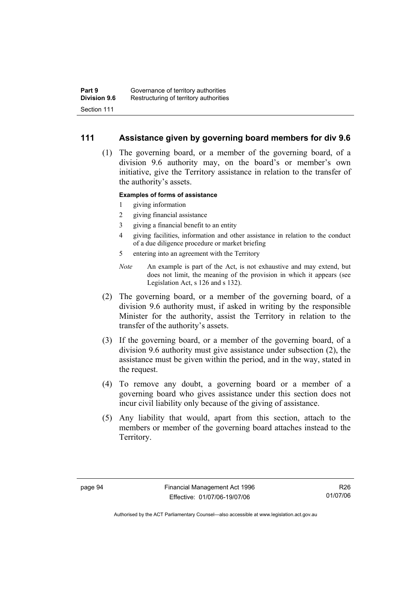### **111 Assistance given by governing board members for div 9.6**

 (1) The governing board, or a member of the governing board, of a division 9.6 authority may, on the board's or member's own initiative, give the Territory assistance in relation to the transfer of the authority's assets.

#### **Examples of forms of assistance**

- 1 giving information
- 2 giving financial assistance
- 3 giving a financial benefit to an entity
- 4 giving facilities, information and other assistance in relation to the conduct of a due diligence procedure or market briefing
- 5 entering into an agreement with the Territory
- *Note* An example is part of the Act, is not exhaustive and may extend, but does not limit, the meaning of the provision in which it appears (see Legislation Act, s 126 and s 132).
- (2) The governing board, or a member of the governing board, of a division 9.6 authority must, if asked in writing by the responsible Minister for the authority, assist the Territory in relation to the transfer of the authority's assets.
- (3) If the governing board, or a member of the governing board, of a division 9.6 authority must give assistance under subsection (2), the assistance must be given within the period, and in the way, stated in the request.
- (4) To remove any doubt, a governing board or a member of a governing board who gives assistance under this section does not incur civil liability only because of the giving of assistance.
- (5) Any liability that would, apart from this section, attach to the members or member of the governing board attaches instead to the Territory.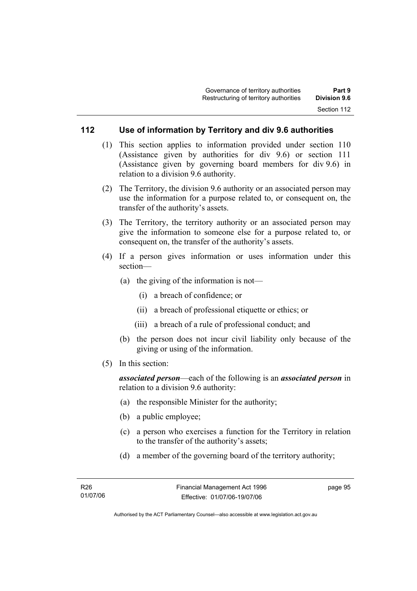### **112 Use of information by Territory and div 9.6 authorities**

- (1) This section applies to information provided under section 110 (Assistance given by authorities for div 9.6) or section 111 (Assistance given by governing board members for div 9.6) in relation to a division 9.6 authority.
- (2) The Territory, the division 9.6 authority or an associated person may use the information for a purpose related to, or consequent on, the transfer of the authority's assets.
- (3) The Territory, the territory authority or an associated person may give the information to someone else for a purpose related to, or consequent on, the transfer of the authority's assets.
- (4) If a person gives information or uses information under this section—
	- (a) the giving of the information is not—
		- (i) a breach of confidence; or
		- (ii) a breach of professional etiquette or ethics; or
		- (iii) a breach of a rule of professional conduct; and
	- (b) the person does not incur civil liability only because of the giving or using of the information.
- (5) In this section:

*associated person*—each of the following is an *associated person* in relation to a division 9.6 authority:

- (a) the responsible Minister for the authority;
- (b) a public employee;
- (c) a person who exercises a function for the Territory in relation to the transfer of the authority's assets;
- (d) a member of the governing board of the territory authority;

page 95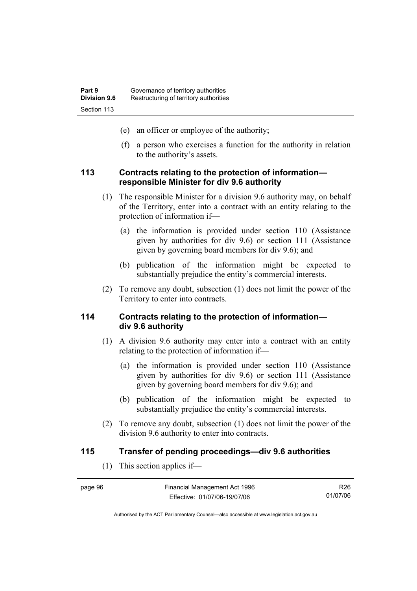- (e) an officer or employee of the authority;
- (f) a person who exercises a function for the authority in relation to the authority's assets.

### **113 Contracts relating to the protection of information responsible Minister for div 9.6 authority**

- (1) The responsible Minister for a division 9.6 authority may, on behalf of the Territory, enter into a contract with an entity relating to the protection of information if—
	- (a) the information is provided under section 110 (Assistance given by authorities for div 9.6) or section 111 (Assistance given by governing board members for div 9.6); and
	- (b) publication of the information might be expected to substantially prejudice the entity's commercial interests.
- (2) To remove any doubt, subsection (1) does not limit the power of the Territory to enter into contracts.

### **114 Contracts relating to the protection of information div 9.6 authority**

- (1) A division 9.6 authority may enter into a contract with an entity relating to the protection of information if—
	- (a) the information is provided under section 110 (Assistance given by authorities for div 9.6) or section 111 (Assistance given by governing board members for div 9.6); and
	- (b) publication of the information might be expected to substantially prejudice the entity's commercial interests.
- (2) To remove any doubt, subsection (1) does not limit the power of the division 9.6 authority to enter into contracts.

### **115 Transfer of pending proceedings—div 9.6 authorities**

(1) This section applies if—

| page 96 | Financial Management Act 1996 | R <sub>26</sub> |
|---------|-------------------------------|-----------------|
|         | Effective: 01/07/06-19/07/06  | 01/07/06        |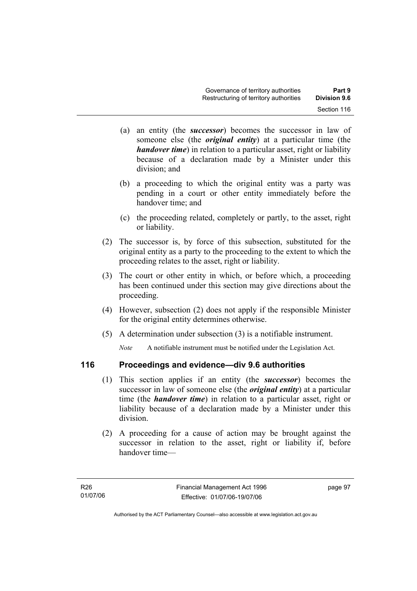- (a) an entity (the *successor*) becomes the successor in law of someone else (the *original entity*) at a particular time (the *handover time*) in relation to a particular asset, right or liability because of a declaration made by a Minister under this division; and
- (b) a proceeding to which the original entity was a party was pending in a court or other entity immediately before the handover time; and
- (c) the proceeding related, completely or partly, to the asset, right or liability.
- (2) The successor is, by force of this subsection, substituted for the original entity as a party to the proceeding to the extent to which the proceeding relates to the asset, right or liability.
- (3) The court or other entity in which, or before which, a proceeding has been continued under this section may give directions about the proceeding.
- (4) However, subsection (2) does not apply if the responsible Minister for the original entity determines otherwise.
- (5) A determination under subsection (3) is a notifiable instrument.

*Note* A notifiable instrument must be notified under the Legislation Act.

# **116 Proceedings and evidence—div 9.6 authorities**

- (1) This section applies if an entity (the *successor*) becomes the successor in law of someone else (the *original entity*) at a particular time (the *handover time*) in relation to a particular asset, right or liability because of a declaration made by a Minister under this division.
- (2) A proceeding for a cause of action may be brought against the successor in relation to the asset, right or liability if, before handover time—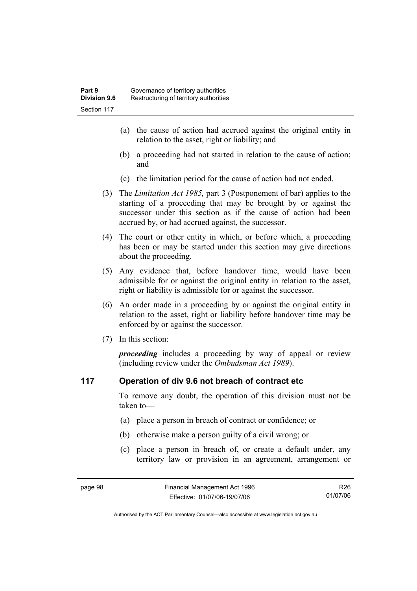- (a) the cause of action had accrued against the original entity in relation to the asset, right or liability; and
- (b) a proceeding had not started in relation to the cause of action; and
- (c) the limitation period for the cause of action had not ended.
- (3) The *Limitation Act 1985,* part 3 (Postponement of bar) applies to the starting of a proceeding that may be brought by or against the successor under this section as if the cause of action had been accrued by, or had accrued against, the successor.
- (4) The court or other entity in which, or before which, a proceeding has been or may be started under this section may give directions about the proceeding.
- (5) Any evidence that, before handover time, would have been admissible for or against the original entity in relation to the asset, right or liability is admissible for or against the successor.
- (6) An order made in a proceeding by or against the original entity in relation to the asset, right or liability before handover time may be enforced by or against the successor.
- (7) In this section:

*proceeding* includes a proceeding by way of appeal or review (including review under the *Ombudsman Act 1989*).

### **117 Operation of div 9.6 not breach of contract etc**

To remove any doubt, the operation of this division must not be taken to—

- (a) place a person in breach of contract or confidence; or
- (b) otherwise make a person guilty of a civil wrong; or
- (c) place a person in breach of, or create a default under, any territory law or provision in an agreement, arrangement or

R26 01/07/06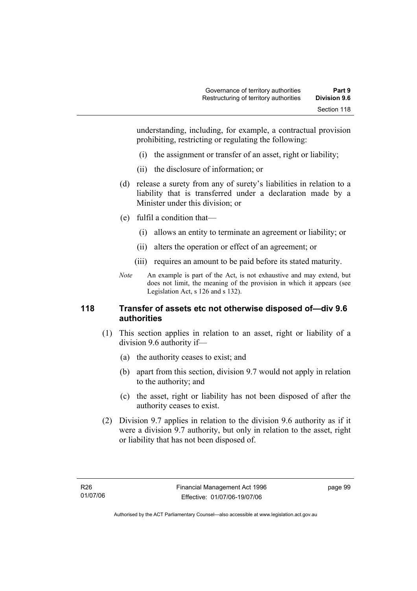understanding, including, for example, a contractual provision prohibiting, restricting or regulating the following:

- (i) the assignment or transfer of an asset, right or liability;
- (ii) the disclosure of information; or
- (d) release a surety from any of surety's liabilities in relation to a liability that is transferred under a declaration made by a Minister under this division; or
- (e) fulfil a condition that—
	- (i) allows an entity to terminate an agreement or liability; or
	- (ii) alters the operation or effect of an agreement; or
	- (iii) requires an amount to be paid before its stated maturity.
- *Note* An example is part of the Act, is not exhaustive and may extend, but does not limit, the meaning of the provision in which it appears (see Legislation Act, s 126 and s 132).

# **118 Transfer of assets etc not otherwise disposed of—div 9.6 authorities**

- (1) This section applies in relation to an asset, right or liability of a division 9.6 authority if—
	- (a) the authority ceases to exist; and
	- (b) apart from this section, division 9.7 would not apply in relation to the authority; and
	- (c) the asset, right or liability has not been disposed of after the authority ceases to exist.
- (2) Division 9.7 applies in relation to the division 9.6 authority as if it were a division 9.7 authority, but only in relation to the asset, right or liability that has not been disposed of.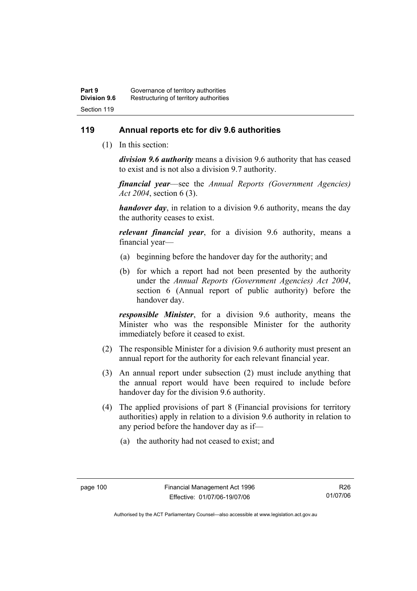# **119 Annual reports etc for div 9.6 authorities**

(1) In this section:

*division 9.6 authority* means a division 9.6 authority that has ceased to exist and is not also a division 9.7 authority.

*financial year*––see the *Annual Reports (Government Agencies) Act 2004*, section 6 (3).

*handover day*, in relation to a division 9.6 authority, means the day the authority ceases to exist.

*relevant financial year*, for a division 9.6 authority, means a financial year—

- (a) beginning before the handover day for the authority; and
- (b) for which a report had not been presented by the authority under the *Annual Reports (Government Agencies) Act 2004*, section 6 (Annual report of public authority) before the handover day.

*responsible Minister*, for a division 9.6 authority, means the Minister who was the responsible Minister for the authority immediately before it ceased to exist.

- (2) The responsible Minister for a division 9.6 authority must present an annual report for the authority for each relevant financial year.
- (3) An annual report under subsection (2) must include anything that the annual report would have been required to include before handover day for the division 9.6 authority.
- (4) The applied provisions of part 8 (Financial provisions for territory authorities) apply in relation to a division 9.6 authority in relation to any period before the handover day as if—
	- (a) the authority had not ceased to exist; and

R26 01/07/06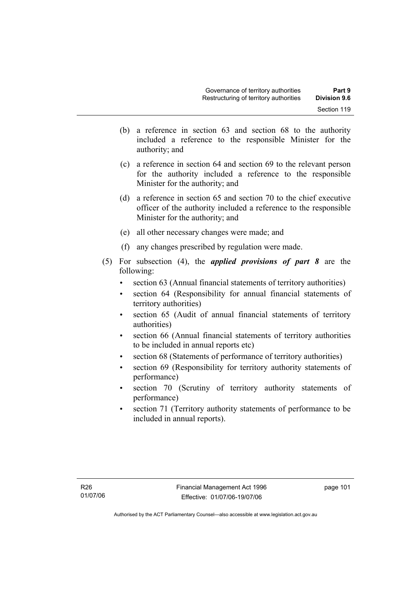- (b) a reference in section 63 and section 68 to the authority included a reference to the responsible Minister for the authority; and
- (c) a reference in section 64 and section 69 to the relevant person for the authority included a reference to the responsible Minister for the authority; and
- (d) a reference in section 65 and section 70 to the chief executive officer of the authority included a reference to the responsible Minister for the authority; and
- (e) all other necessary changes were made; and
- (f) any changes prescribed by regulation were made.
- (5) For subsection (4), the *applied provisions of part 8* are the following:
	- section 63 (Annual financial statements of territory authorities)
	- section 64 (Responsibility for annual financial statements of territory authorities)
	- section 65 (Audit of annual financial statements of territory authorities)
	- section 66 (Annual financial statements of territory authorities to be included in annual reports etc)
	- section 68 (Statements of performance of territory authorities)
	- section 69 (Responsibility for territory authority statements of performance)
	- section 70 (Scrutiny of territory authority statements of performance)
	- section 71 (Territory authority statements of performance to be included in annual reports).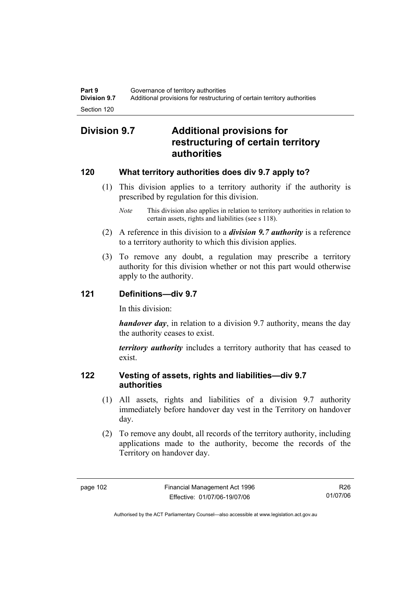# **Division 9.7 Additional provisions for restructuring of certain territory authorities**

# **120 What territory authorities does div 9.7 apply to?**

- (1) This division applies to a territory authority if the authority is prescribed by regulation for this division.
	- *Note* This division also applies in relation to territory authorities in relation to certain assets, rights and liabilities (see s 118).
- (2) A reference in this division to a *division 9.7 authority* is a reference to a territory authority to which this division applies.
- (3) To remove any doubt, a regulation may prescribe a territory authority for this division whether or not this part would otherwise apply to the authority.

# **121 Definitions—div 9.7**

In this division:

*handover day*, in relation to a division 9.7 authority, means the day the authority ceases to exist.

*territory authority* includes a territory authority that has ceased to exist.

# **122 Vesting of assets, rights and liabilities—div 9.7 authorities**

- (1) All assets, rights and liabilities of a division 9.7 authority immediately before handover day vest in the Territory on handover day.
- (2) To remove any doubt, all records of the territory authority, including applications made to the authority, become the records of the Territory on handover day.

R26 01/07/06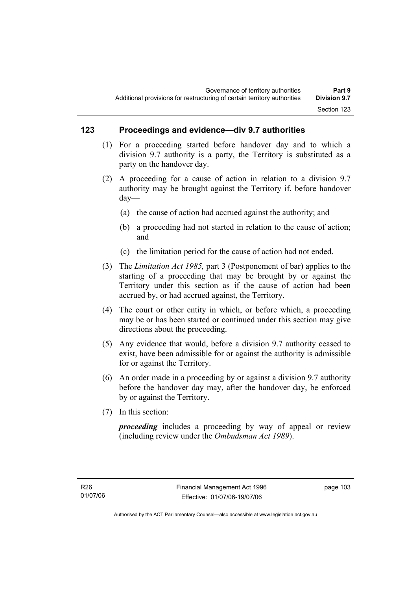# **123 Proceedings and evidence—div 9.7 authorities**

- (1) For a proceeding started before handover day and to which a division 9.7 authority is a party, the Territory is substituted as a party on the handover day.
- (2) A proceeding for a cause of action in relation to a division 9.7 authority may be brought against the Territory if, before handover day—
	- (a) the cause of action had accrued against the authority; and
	- (b) a proceeding had not started in relation to the cause of action; and
	- (c) the limitation period for the cause of action had not ended.
- (3) The *Limitation Act 1985,* part 3 (Postponement of bar) applies to the starting of a proceeding that may be brought by or against the Territory under this section as if the cause of action had been accrued by, or had accrued against, the Territory.
- (4) The court or other entity in which, or before which, a proceeding may be or has been started or continued under this section may give directions about the proceeding.
- (5) Any evidence that would, before a division 9.7 authority ceased to exist, have been admissible for or against the authority is admissible for or against the Territory.
- (6) An order made in a proceeding by or against a division 9.7 authority before the handover day may, after the handover day, be enforced by or against the Territory.
- (7) In this section:

*proceeding* includes a proceeding by way of appeal or review (including review under the *Ombudsman Act 1989*).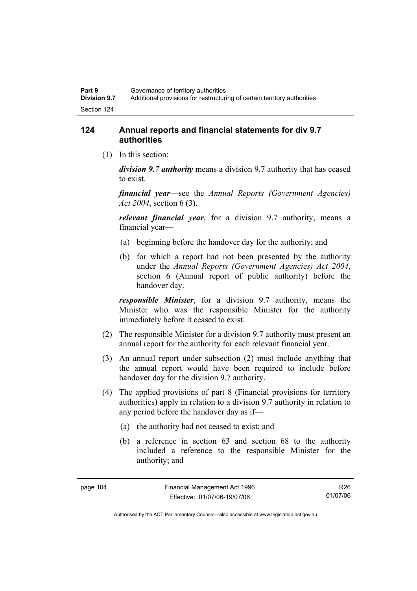# **124 Annual reports and financial statements for div 9.7 authorities**

(1) In this section:

*division 9.7 authority* means a division 9.7 authority that has ceased to exist.

*financial year*––see the *Annual Reports (Government Agencies) Act 2004*, section 6 (3).

*relevant financial year*, for a division 9.7 authority, means a financial year—

- (a) beginning before the handover day for the authority; and
- (b) for which a report had not been presented by the authority under the *Annual Reports (Government Agencies) Act 2004*, section 6 (Annual report of public authority) before the handover day.

*responsible Minister*, for a division 9.7 authority, means the Minister who was the responsible Minister for the authority immediately before it ceased to exist.

- (2) The responsible Minister for a division 9.7 authority must present an annual report for the authority for each relevant financial year.
- (3) An annual report under subsection (2) must include anything that the annual report would have been required to include before handover day for the division 9.7 authority.
- (4) The applied provisions of part 8 (Financial provisions for territory authorities) apply in relation to a division 9.7 authority in relation to any period before the handover day as if—
	- (a) the authority had not ceased to exist; and
	- (b) a reference in section 63 and section 68 to the authority included a reference to the responsible Minister for the authority; and

R26 01/07/06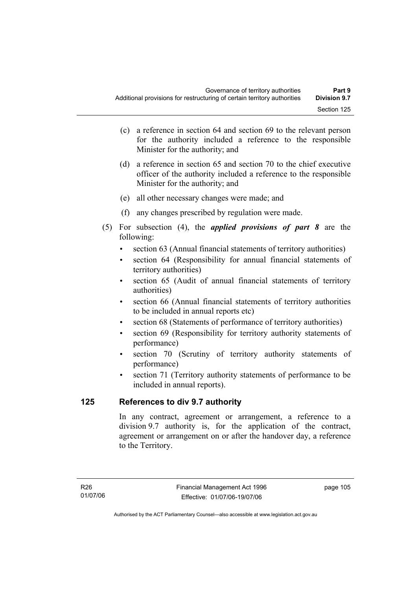- (c) a reference in section 64 and section 69 to the relevant person for the authority included a reference to the responsible Minister for the authority; and
- (d) a reference in section 65 and section 70 to the chief executive officer of the authority included a reference to the responsible Minister for the authority; and
- (e) all other necessary changes were made; and
- (f) any changes prescribed by regulation were made.
- (5) For subsection (4), the *applied provisions of part 8* are the following:
	- section 63 (Annual financial statements of territory authorities)
	- section 64 (Responsibility for annual financial statements of territory authorities)
	- section 65 (Audit of annual financial statements of territory authorities)
	- section 66 (Annual financial statements of territory authorities to be included in annual reports etc)
	- section 68 (Statements of performance of territory authorities)
	- section 69 (Responsibility for territory authority statements of performance)
	- section 70 (Scrutiny of territory authority statements of performance)
	- section 71 (Territory authority statements of performance to be included in annual reports).

# **125 References to div 9.7 authority**

In any contract, agreement or arrangement, a reference to a division 9.7 authority is, for the application of the contract, agreement or arrangement on or after the handover day, a reference to the Territory.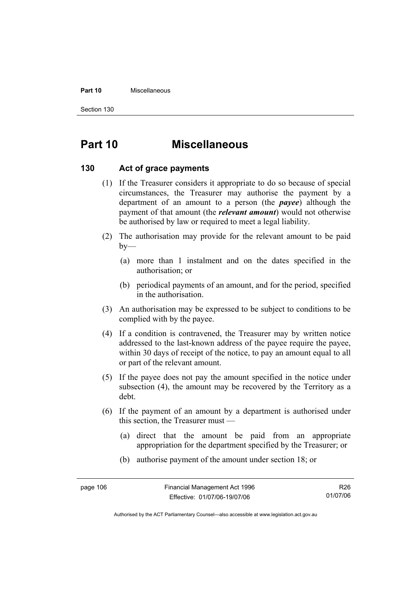#### **Part 10** Miscellaneous

Section 130

# **Part 10 Miscellaneous**

## **130 Act of grace payments**

- (1) If the Treasurer considers it appropriate to do so because of special circumstances, the Treasurer may authorise the payment by a department of an amount to a person (the *payee*) although the payment of that amount (the *relevant amount*) would not otherwise be authorised by law or required to meet a legal liability.
- (2) The authorisation may provide for the relevant amount to be paid  $by-$ 
	- (a) more than 1 instalment and on the dates specified in the authorisation; or
	- (b) periodical payments of an amount, and for the period, specified in the authorisation.
- (3) An authorisation may be expressed to be subject to conditions to be complied with by the payee.
- (4) If a condition is contravened, the Treasurer may by written notice addressed to the last-known address of the payee require the payee, within 30 days of receipt of the notice, to pay an amount equal to all or part of the relevant amount.
- (5) If the payee does not pay the amount specified in the notice under subsection (4), the amount may be recovered by the Territory as a debt.
- (6) If the payment of an amount by a department is authorised under this section, the Treasurer must —
	- (a) direct that the amount be paid from an appropriate appropriation for the department specified by the Treasurer; or
	- (b) authorise payment of the amount under section 18; or

R26 01/07/06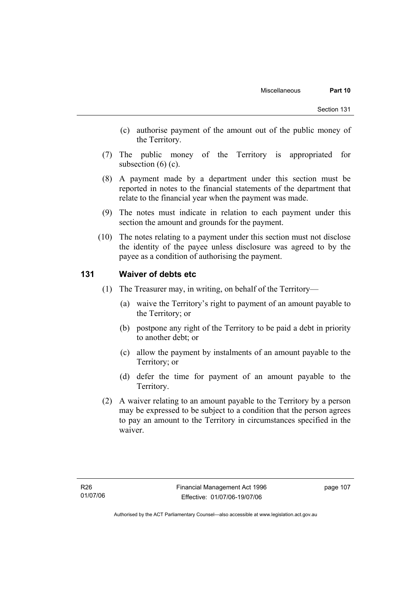- (c) authorise payment of the amount out of the public money of the Territory.
- (7) The public money of the Territory is appropriated for subsection  $(6)$   $(c)$ .
- (8) A payment made by a department under this section must be reported in notes to the financial statements of the department that relate to the financial year when the payment was made.
- (9) The notes must indicate in relation to each payment under this section the amount and grounds for the payment.
- (10) The notes relating to a payment under this section must not disclose the identity of the payee unless disclosure was agreed to by the payee as a condition of authorising the payment.

## **131 Waiver of debts etc**

- (1) The Treasurer may, in writing, on behalf of the Territory—
	- (a) waive the Territory's right to payment of an amount payable to the Territory; or
	- (b) postpone any right of the Territory to be paid a debt in priority to another debt; or
	- (c) allow the payment by instalments of an amount payable to the Territory; or
	- (d) defer the time for payment of an amount payable to the Territory.
- (2) A waiver relating to an amount payable to the Territory by a person may be expressed to be subject to a condition that the person agrees to pay an amount to the Territory in circumstances specified in the waiver.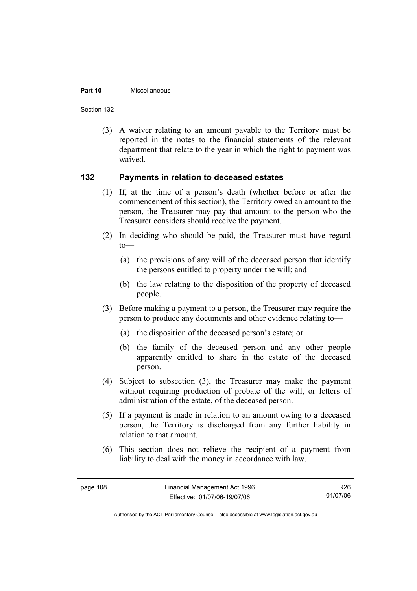#### **Part 10** Miscellaneous

Section 132

 (3) A waiver relating to an amount payable to the Territory must be reported in the notes to the financial statements of the relevant department that relate to the year in which the right to payment was waived.

## **132 Payments in relation to deceased estates**

- (1) If, at the time of a person's death (whether before or after the commencement of this section), the Territory owed an amount to the person, the Treasurer may pay that amount to the person who the Treasurer considers should receive the payment.
- (2) In deciding who should be paid, the Treasurer must have regard  $to$ —
	- (a) the provisions of any will of the deceased person that identify the persons entitled to property under the will; and
	- (b) the law relating to the disposition of the property of deceased people.
- (3) Before making a payment to a person, the Treasurer may require the person to produce any documents and other evidence relating to—
	- (a) the disposition of the deceased person's estate; or
	- (b) the family of the deceased person and any other people apparently entitled to share in the estate of the deceased person.
- (4) Subject to subsection (3), the Treasurer may make the payment without requiring production of probate of the will, or letters of administration of the estate, of the deceased person.
- (5) If a payment is made in relation to an amount owing to a deceased person, the Territory is discharged from any further liability in relation to that amount.
- (6) This section does not relieve the recipient of a payment from liability to deal with the money in accordance with law.

R26 01/07/06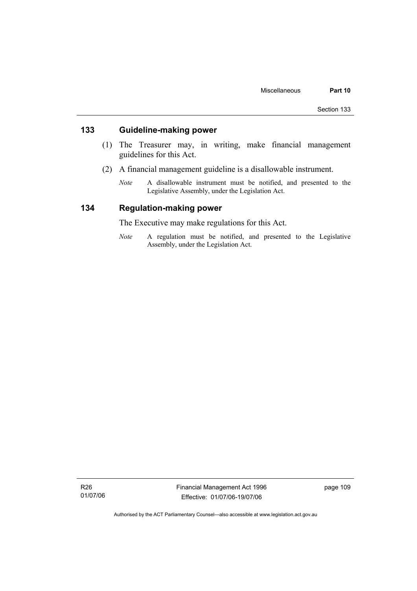# **133 Guideline-making power**

- (1) The Treasurer may, in writing, make financial management guidelines for this Act.
- (2) A financial management guideline is a disallowable instrument.
	- *Note* A disallowable instrument must be notified, and presented to the Legislative Assembly, under the Legislation Act.

# **134 Regulation-making power**

The Executive may make regulations for this Act.

*Note* A regulation must be notified, and presented to the Legislative Assembly, under the Legislation Act.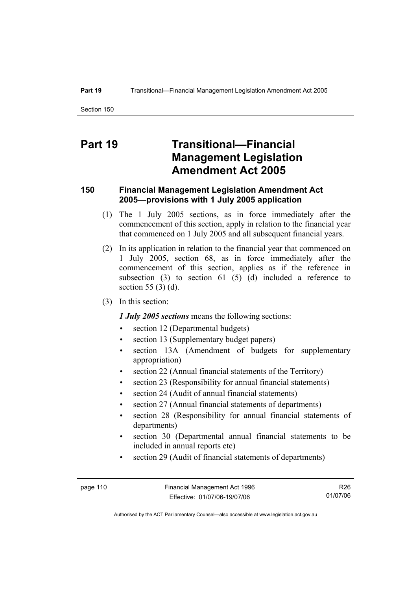# **Part 19 Transitional—Financial Management Legislation Amendment Act 2005**

# **150 Financial Management Legislation Amendment Act 2005—provisions with 1 July 2005 application**

- (1) The 1 July 2005 sections, as in force immediately after the commencement of this section, apply in relation to the financial year that commenced on 1 July 2005 and all subsequent financial years.
- (2) In its application in relation to the financial year that commenced on 1 July 2005, section 68, as in force immediately after the commencement of this section, applies as if the reference in subsection  $(3)$  to section  $61$   $(5)$   $(d)$  included a reference to section 55 (3) (d).
- (3) In this section:

#### *1 July 2005 sections* means the following sections:

- section 12 (Departmental budgets)
- section 13 (Supplementary budget papers)
- section 13A (Amendment of budgets for supplementary appropriation)
- section 22 (Annual financial statements of the Territory)
- section 23 (Responsibility for annual financial statements)
- section 24 (Audit of annual financial statements)
- section 27 (Annual financial statements of departments)
- section 28 (Responsibility for annual financial statements of departments)
- section 30 (Departmental annual financial statements to be included in annual reports etc)
- section 29 (Audit of financial statements of departments)

R26 01/07/06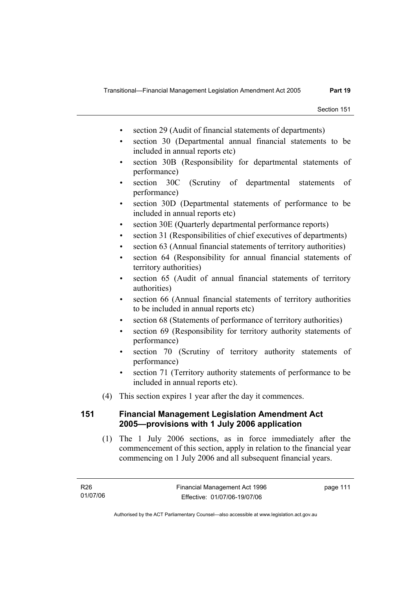- section 29 (Audit of financial statements of departments)
- section 30 (Departmental annual financial statements to be included in annual reports etc)
- section 30B (Responsibility for departmental statements of performance)
- section 30C (Scrutiny of departmental statements of performance)
- section 30D (Departmental statements of performance to be included in annual reports etc)
- section 30E (Quarterly departmental performance reports)
- section 31 (Responsibilities of chief executives of departments)
- section 63 (Annual financial statements of territory authorities)
- section 64 (Responsibility for annual financial statements of territory authorities)
- section 65 (Audit of annual financial statements of territory authorities)
- section 66 (Annual financial statements of territory authorities to be included in annual reports etc)
- section 68 (Statements of performance of territory authorities)
- section 69 (Responsibility for territory authority statements of performance)
- section 70 (Scrutiny of territory authority statements of performance)
- section 71 (Territory authority statements of performance to be included in annual reports etc).
- (4) This section expires 1 year after the day it commences.

# **151 Financial Management Legislation Amendment Act 2005—provisions with 1 July 2006 application**

 (1) The 1 July 2006 sections, as in force immediately after the commencement of this section, apply in relation to the financial year commencing on 1 July 2006 and all subsequent financial years.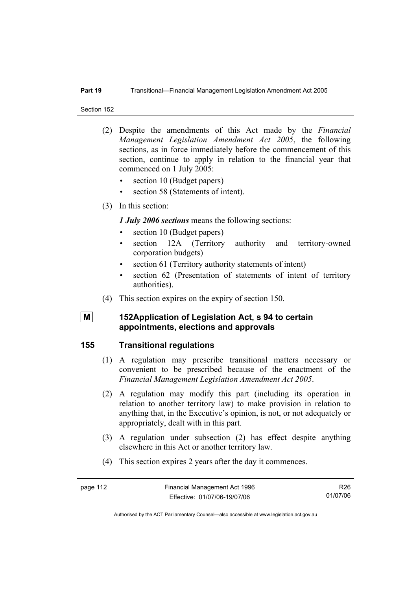#### **Part 19** Transitional—Financial Management Legislation Amendment Act 2005

Section 152

- (2) Despite the amendments of this Act made by the *Financial Management Legislation Amendment Act 2005*, the following sections, as in force immediately before the commencement of this section, continue to apply in relation to the financial year that commenced on 1 July 2005:
	- section 10 (Budget papers)
	- section 58 (Statements of intent).
- (3) In this section:

*1 July 2006 sections* means the following sections:

- section 10 (Budget papers)
- section 12A (Territory authority and territory-owned corporation budgets)
- section 61 (Territory authority statements of intent)
- section 62 (Presentation of statements of intent of territory authorities).
- (4) This section expires on the expiry of section 150.
- 

# **M** 152Application of Legislation Act, s 94 to certain **appointments, elections and approvals**

## **155 Transitional regulations**

- (1) A regulation may prescribe transitional matters necessary or convenient to be prescribed because of the enactment of the *Financial Management Legislation Amendment Act 2005*.
- (2) A regulation may modify this part (including its operation in relation to another territory law) to make provision in relation to anything that, in the Executive's opinion, is not, or not adequately or appropriately, dealt with in this part.
- (3) A regulation under subsection (2) has effect despite anything elsewhere in this Act or another territory law.
- (4) This section expires 2 years after the day it commences.

R26 01/07/06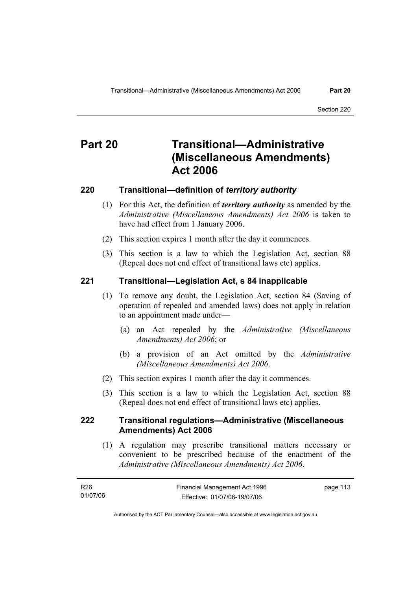# **Part 20 Transitional—Administrative (Miscellaneous Amendments) Act 2006**

# **220 Transitional—definition of** *territory authority*

- (1) For this Act, the definition of *territory authority* as amended by the *Administrative (Miscellaneous Amendments) Act 2006* is taken to have had effect from 1 January 2006.
- (2) This section expires 1 month after the day it commences.
- (3) This section is a law to which the Legislation Act, section 88 (Repeal does not end effect of transitional laws etc) applies.

# **221 Transitional—Legislation Act, s 84 inapplicable**

- (1) To remove any doubt, the Legislation Act, section 84 (Saving of operation of repealed and amended laws) does not apply in relation to an appointment made under—
	- (a) an Act repealed by the *Administrative (Miscellaneous Amendments) Act 2006*; or
	- (b) a provision of an Act omitted by the *Administrative (Miscellaneous Amendments) Act 2006*.
- (2) This section expires 1 month after the day it commences.
- (3) This section is a law to which the Legislation Act, section 88 (Repeal does not end effect of transitional laws etc) applies.

## **222 Transitional regulations—Administrative (Miscellaneous Amendments) Act 2006**

 (1) A regulation may prescribe transitional matters necessary or convenient to be prescribed because of the enactment of the *Administrative (Miscellaneous Amendments) Act 2006*.

| R26      | Financial Management Act 1996 | page 113 |
|----------|-------------------------------|----------|
| 01/07/06 | Effective: 01/07/06-19/07/06  |          |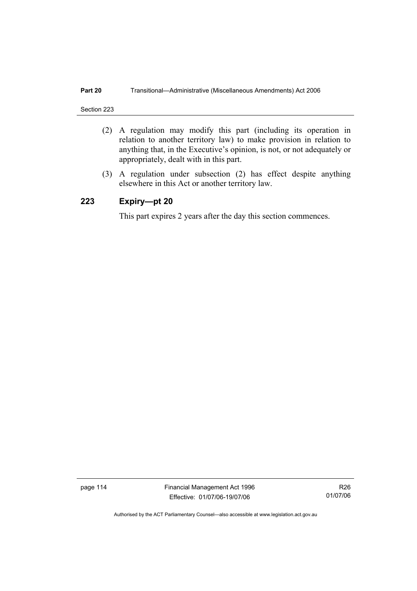#### **Part 20 Transitional—Administrative (Miscellaneous Amendments) Act 2006**

Section 223

- (2) A regulation may modify this part (including its operation in relation to another territory law) to make provision in relation to anything that, in the Executive's opinion, is not, or not adequately or appropriately, dealt with in this part.
- (3) A regulation under subsection (2) has effect despite anything elsewhere in this Act or another territory law.

# **223 Expiry—pt 20**

This part expires 2 years after the day this section commences.

page 114 Financial Management Act 1996 Effective: 01/07/06-19/07/06

R26 01/07/06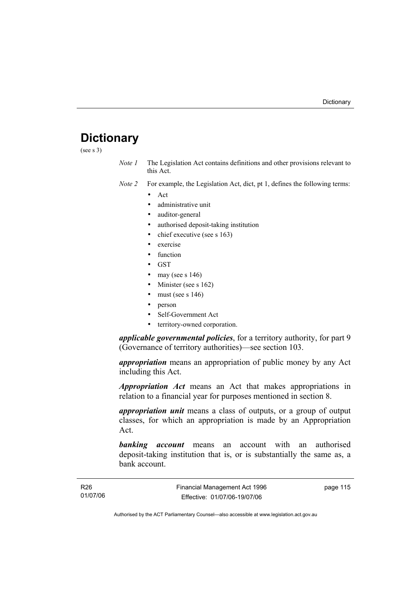# **Dictionary**

(see s 3)

- *Note 1* The Legislation Act contains definitions and other provisions relevant to this Act.
- *Note 2* For example, the Legislation Act, dict, pt 1, defines the following terms:
	- Act
		- administrative unit
		- auditor-general
		- authorised deposit-taking institution
		- chief executive (see s 163)
		- exercise
		- **function**
		- GST
		- may (see s  $146$ )
		- Minister (see s 162)
		- must (see s  $146$ )
		- person
		- Self-Government Act
		- territory-owned corporation.

*applicable governmental policies*, for a territory authority, for part 9 (Governance of territory authorities)—see section 103.

*appropriation* means an appropriation of public money by any Act including this Act.

*Appropriation Act* means an Act that makes appropriations in relation to a financial year for purposes mentioned in section 8.

*appropriation unit* means a class of outputs, or a group of output classes, for which an appropriation is made by an Appropriation Act.

*banking account* means an account with an authorised deposit-taking institution that is, or is substantially the same as, a bank account.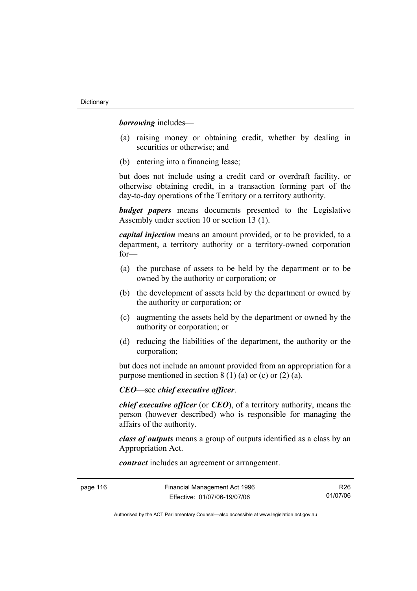*borrowing* includes—

- (a) raising money or obtaining credit, whether by dealing in securities or otherwise; and
- (b) entering into a financing lease;

but does not include using a credit card or overdraft facility, or otherwise obtaining credit, in a transaction forming part of the day-to-day operations of the Territory or a territory authority.

*budget papers* means documents presented to the Legislative Assembly under section 10 or section 13 (1).

*capital injection* means an amount provided, or to be provided, to a department, a territory authority or a territory-owned corporation for—

- (a) the purchase of assets to be held by the department or to be owned by the authority or corporation; or
- (b) the development of assets held by the department or owned by the authority or corporation; or
- (c) augmenting the assets held by the department or owned by the authority or corporation; or
- (d) reducing the liabilities of the department, the authority or the corporation;

but does not include an amount provided from an appropriation for a purpose mentioned in section  $8(1)(a)$  or (c) or (2) (a).

*CEO*—see *chief executive officer*.

*chief executive officer* (or *CEO*), of a territory authority, means the person (however described) who is responsible for managing the affairs of the authority.

*class of outputs* means a group of outputs identified as a class by an Appropriation Act.

*contract* includes an agreement or arrangement.

R26 01/07/06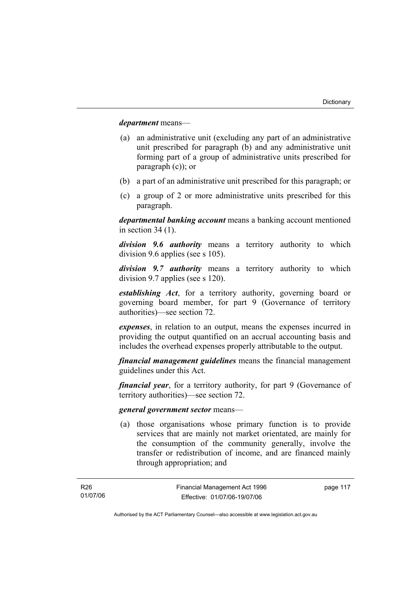*department* means—

- (a) an administrative unit (excluding any part of an administrative unit prescribed for paragraph (b) and any administrative unit forming part of a group of administrative units prescribed for paragraph (c)); or
- (b) a part of an administrative unit prescribed for this paragraph; or
- (c) a group of 2 or more administrative units prescribed for this paragraph.

*departmental banking account* means a banking account mentioned in section 34 (1).

*division 9.6 authority* means a territory authority to which division 9.6 applies (see s 105).

*division 9.7 authority* means a territory authority to which division 9.7 applies (see s 120).

*establishing Act*, for a territory authority, governing board or governing board member, for part 9 (Governance of territory authorities)—see section 72.

*expenses*, in relation to an output, means the expenses incurred in providing the output quantified on an accrual accounting basis and includes the overhead expenses properly attributable to the output.

*financial management guidelines* means the financial management guidelines under this Act.

*financial year*, for a territory authority, for part 9 (Governance of territory authorities)—see section 72.

#### *general government sector* means—

 (a) those organisations whose primary function is to provide services that are mainly not market orientated, are mainly for the consumption of the community generally, involve the transfer or redistribution of income, and are financed mainly through appropriation; and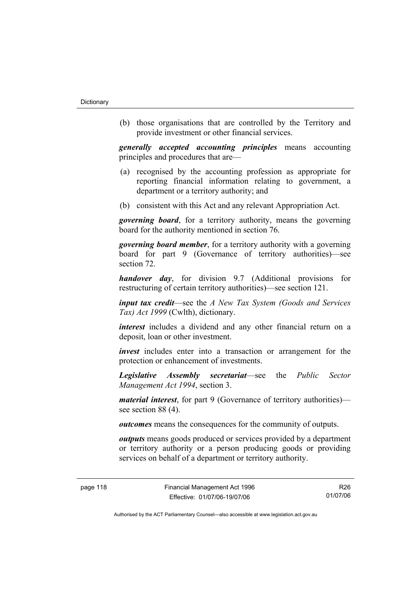(b) those organisations that are controlled by the Territory and provide investment or other financial services.

*generally accepted accounting principles* means accounting principles and procedures that are—

- (a) recognised by the accounting profession as appropriate for reporting financial information relating to government, a department or a territory authority; and
- (b) consistent with this Act and any relevant Appropriation Act.

*governing board*, for a territory authority, means the governing board for the authority mentioned in section 76.

*governing board member*, for a territory authority with a governing board for part 9 (Governance of territory authorities)—see section 72.

*handover day*, for division 9.7 (Additional provisions for restructuring of certain territory authorities)—see section 121.

*input tax credit*—see the *A New Tax System (Goods and Services Tax) Act 1999* (Cwlth), dictionary.

*interest* includes a dividend and any other financial return on a deposit, loan or other investment.

*invest* includes enter into a transaction or arrangement for the protection or enhancement of investments.

*Legislative Assembly secretariat*—see the *Public Sector Management Act 1994*, section 3.

*material interest*, for part 9 (Governance of territory authorities) see section 88 (4).

*outcomes* means the consequences for the community of outputs.

*outputs* means goods produced or services provided by a department or territory authority or a person producing goods or providing services on behalf of a department or territory authority.

R26 01/07/06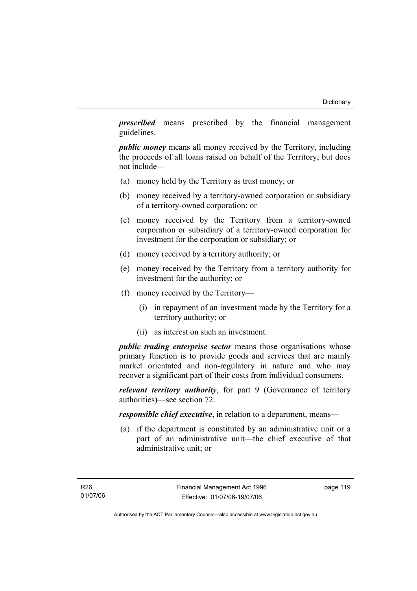*prescribed* means prescribed by the financial management guidelines.

*public money* means all money received by the Territory, including the proceeds of all loans raised on behalf of the Territory, but does not include—

- (a) money held by the Territory as trust money; or
- (b) money received by a territory-owned corporation or subsidiary of a territory-owned corporation; or
- (c) money received by the Territory from a territory-owned corporation or subsidiary of a territory-owned corporation for investment for the corporation or subsidiary; or
- (d) money received by a territory authority; or
- (e) money received by the Territory from a territory authority for investment for the authority; or
- (f) money received by the Territory—
	- (i) in repayment of an investment made by the Territory for a territory authority; or
	- (ii) as interest on such an investment.

*public trading enterprise sector* means those organisations whose primary function is to provide goods and services that are mainly market orientated and non-regulatory in nature and who may recover a significant part of their costs from individual consumers.

*relevant territory authority*, for part 9 (Governance of territory authorities)—see section 72.

*responsible chief executive*, in relation to a department, means—

 (a) if the department is constituted by an administrative unit or a part of an administrative unit—the chief executive of that administrative unit; or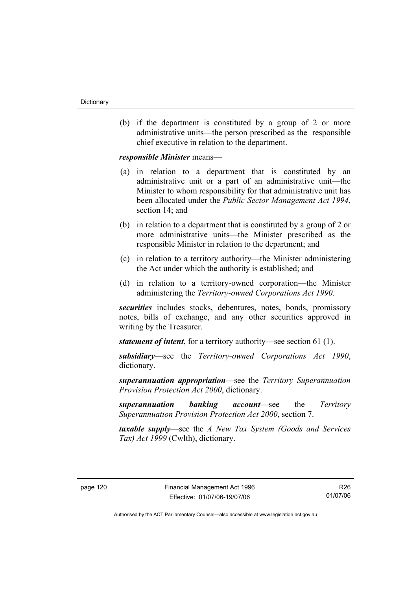(b) if the department is constituted by a group of 2 or more administrative units—the person prescribed as the responsible chief executive in relation to the department.

*responsible Minister* means—

- (a) in relation to a department that is constituted by an administrative unit or a part of an administrative unit—the Minister to whom responsibility for that administrative unit has been allocated under the *Public Sector Management Act 1994*, section 14; and
- (b) in relation to a department that is constituted by a group of 2 or more administrative units—the Minister prescribed as the responsible Minister in relation to the department; and
- (c) in relation to a territory authority—the Minister administering the Act under which the authority is established; and
- (d) in relation to a territory-owned corporation—the Minister administering the *Territory-owned Corporations Act 1990*.

*securities* includes stocks, debentures, notes, bonds, promissory notes, bills of exchange, and any other securities approved in writing by the Treasurer.

*statement of intent*, for a territory authority—see section 61 (1).

*subsidiary*—see the *Territory-owned Corporations Act 1990*, dictionary.

*superannuation appropriation*—see the *Territory Superannuation Provision Protection Act 2000*, dictionary.

*superannuation banking account*—see the *Territory Superannuation Provision Protection Act 2000*, section 7.

*taxable supply*—see the *A New Tax System (Goods and Services Tax) Act 1999* (Cwlth), dictionary.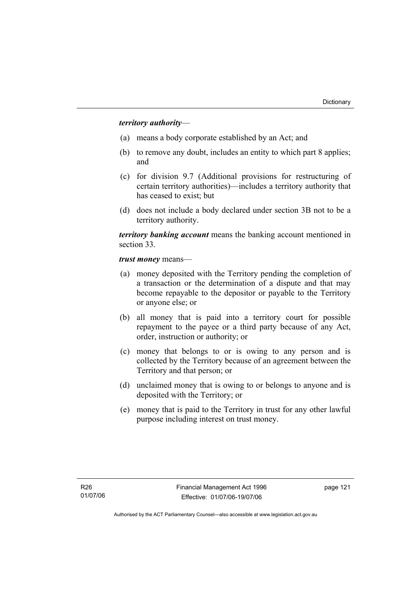## *territory authority*—

- (a) means a body corporate established by an Act; and
- (b) to remove any doubt, includes an entity to which part 8 applies; and
- (c) for division 9.7 (Additional provisions for restructuring of certain territory authorities)—includes a territory authority that has ceased to exist; but
- (d) does not include a body declared under section 3B not to be a territory authority.

*territory banking account* means the banking account mentioned in section 33.

*trust money* means—

- (a) money deposited with the Territory pending the completion of a transaction or the determination of a dispute and that may become repayable to the depositor or payable to the Territory or anyone else; or
- (b) all money that is paid into a territory court for possible repayment to the payee or a third party because of any Act, order, instruction or authority; or
- (c) money that belongs to or is owing to any person and is collected by the Territory because of an agreement between the Territory and that person; or
- (d) unclaimed money that is owing to or belongs to anyone and is deposited with the Territory; or
- (e) money that is paid to the Territory in trust for any other lawful purpose including interest on trust money.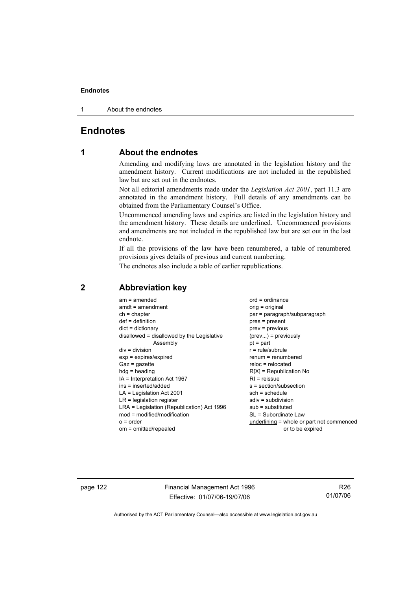1 About the endnotes

# **Endnotes**

# **1 About the endnotes**

Amending and modifying laws are annotated in the legislation history and the amendment history. Current modifications are not included in the republished law but are set out in the endnotes.

Not all editorial amendments made under the *Legislation Act 2001*, part 11.3 are annotated in the amendment history. Full details of any amendments can be obtained from the Parliamentary Counsel's Office.

Uncommenced amending laws and expiries are listed in the legislation history and the amendment history. These details are underlined. Uncommenced provisions and amendments are not included in the republished law but are set out in the last endnote.

If all the provisions of the law have been renumbered, a table of renumbered provisions gives details of previous and current numbering.

The endnotes also include a table of earlier republications.

| $am = amended$                             | $ord = ordinance$                         |
|--------------------------------------------|-------------------------------------------|
| $amdt = amendment$                         | $orig = original$                         |
| $ch = chapter$                             | par = paragraph/subparagraph              |
| $def = definition$                         | $pres = present$                          |
| $dict = dictionary$                        | $prev = previous$                         |
| disallowed = disallowed by the Legislative | $(\text{prev}) = \text{previously}$       |
| Assembly                                   | $pt = part$                               |
| $div = division$                           | $r = rule/subrule$                        |
| $exp = expires/expired$                    | renum = renumbered                        |
| $Gaz = gazette$                            | $reloc = relocated$                       |
| $hdg = heading$                            | $R[X]$ = Republication No                 |
| $IA = Interpretation Act 1967$             | $RI =$ reissue                            |
| ins = inserted/added                       | s = section/subsection                    |
| $LA =$ Legislation Act 2001                | $sch = schedule$                          |
| $LR =$ legislation register                | $sdiv = subdivision$                      |
| LRA = Legislation (Republication) Act 1996 | $sub =$ substituted                       |
|                                            |                                           |
| $mod = modified/modification$              | SL = Subordinate Law                      |
| $o = order$                                | underlining = whole or part not commenced |
| om = omitted/repealed                      | or to be expired                          |

### **2 Abbreviation key**

page 122 Financial Management Act 1996 Effective: 01/07/06-19/07/06

R26 01/07/06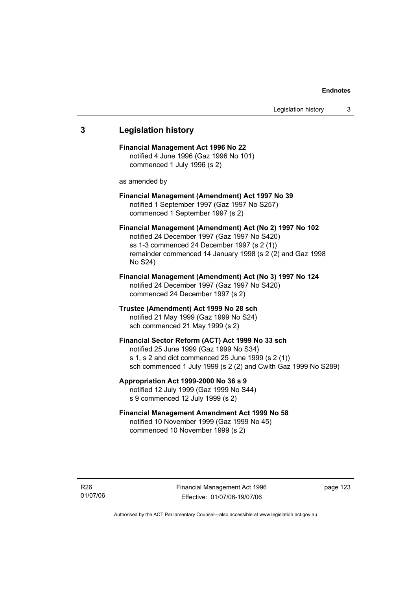# **3 Legislation history Financial Management Act 1996 No 22**  notified 4 June 1996 (Gaz 1996 No 101) commenced 1 July 1996 (s 2) as amended by **Financial Management (Amendment) Act 1997 No 39**  notified 1 September 1997 (Gaz 1997 No S257) commenced 1 September 1997 (s 2) **Financial Management (Amendment) Act (No 2) 1997 No 102**  notified 24 December 1997 (Gaz 1997 No S420) ss 1-3 commenced 24 December 1997 (s 2 (1)) remainder commenced 14 January 1998 (s 2 (2) and Gaz 1998 No S24) **Financial Management (Amendment) Act (No 3) 1997 No 124**  notified 24 December 1997 (Gaz 1997 No S420) commenced 24 December 1997 (s 2) **Trustee (Amendment) Act 1999 No 28 sch**  notified 21 May 1999 (Gaz 1999 No S24) sch commenced 21 May 1999 (s 2) **Financial Sector Reform (ACT) Act 1999 No 33 sch**  notified 25 June 1999 (Gaz 1999 No S34) s 1, s 2 and dict commenced 25 June 1999 (s 2 (1)) sch commenced 1 July 1999 (s 2 (2) and Cwlth Gaz 1999 No S289) **Appropriation Act 1999-2000 No 36 s 9**  notified 12 July 1999 (Gaz 1999 No S44) s 9 commenced 12 July 1999 (s 2) **Financial Management Amendment Act 1999 No 58**  notified 10 November 1999 (Gaz 1999 No 45) commenced 10 November 1999 (s 2)

page 123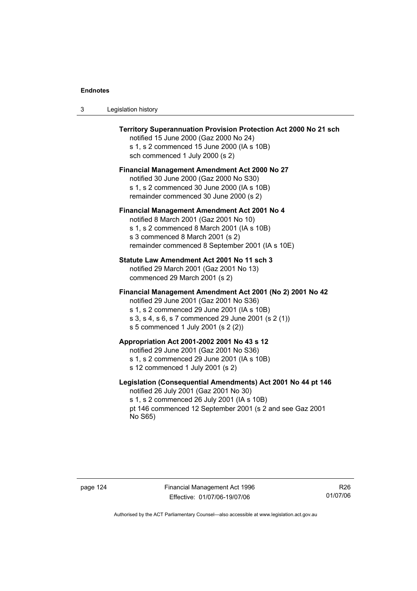| Legislation history<br>3 |  |
|--------------------------|--|
|--------------------------|--|

| Territory Superannuation Provision Protection Act 2000 No 21 sch<br>notified 15 June 2000 (Gaz 2000 No 24)<br>s 1, s 2 commenced 15 June 2000 (IA s 10B)<br>sch commenced 1 July 2000 (s 2)                                                      |
|--------------------------------------------------------------------------------------------------------------------------------------------------------------------------------------------------------------------------------------------------|
| <b>Financial Management Amendment Act 2000 No 27</b><br>notified 30 June 2000 (Gaz 2000 No S30)<br>s 1, s 2 commenced 30 June 2000 (IA s 10B)<br>remainder commenced 30 June 2000 (s 2)                                                          |
| Financial Management Amendment Act 2001 No 4<br>notified 8 March 2001 (Gaz 2001 No 10)<br>s 1, s 2 commenced 8 March 2001 (IA s 10B)<br>s 3 commenced 8 March 2001 (s 2)<br>remainder commenced 8 September 2001 (IA s 10E)                      |
| Statute Law Amendment Act 2001 No 11 sch 3<br>notified 29 March 2001 (Gaz 2001 No 13)<br>commenced 29 March 2001 (s 2)                                                                                                                           |
| Financial Management Amendment Act 2001 (No 2) 2001 No 42<br>notified 29 June 2001 (Gaz 2001 No S36)<br>s 1, s 2 commenced 29 June 2001 (IA s 10B)<br>s 3, s 4, s 6, s 7 commenced 29 June 2001 (s 2 (1))<br>s 5 commenced 1 July 2001 (s 2 (2)) |
| Appropriation Act 2001-2002 2001 No 43 s 12<br>notified 29 June 2001 (Gaz 2001 No S36)<br>s 1, s 2 commenced 29 June 2001 (IA s 10B)<br>s 12 commenced 1 July 2001 (s 2)                                                                         |
| Legislation (Consequential Amendments) Act 2001 No 44 pt 146<br>notified 26 July 2001 (Gaz 2001 No 30)<br>s 1, s 2 commenced 26 July 2001 (IA s 10B)<br>pt 146 commenced 12 September 2001 (s 2 and see Gaz 2001<br>No S65)                      |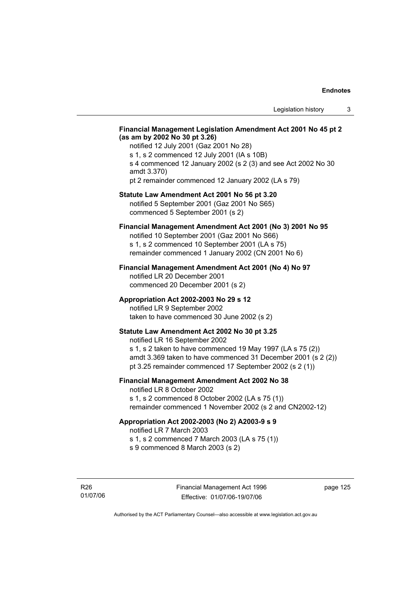#### **Financial Management Legislation Amendment Act 2001 No 45 pt 2 (as am by 2002 No 30 pt 3.26)**

notified 12 July 2001 (Gaz 2001 No 28) s 1, s 2 commenced 12 July 2001 (IA s 10B) s 4 commenced 12 January 2002 (s 2 (3) and see Act 2002 No 30 amdt 3.370) pt 2 remainder commenced 12 January 2002 (LA s 79)

#### **Statute Law Amendment Act 2001 No 56 pt 3.20**

notified 5 September 2001 (Gaz 2001 No S65) commenced 5 September 2001 (s 2)

# **Financial Management Amendment Act 2001 (No 3) 2001 No 95**

notified 10 September 2001 (Gaz 2001 No S66) s 1, s 2 commenced 10 September 2001 (LA s 75) remainder commenced 1 January 2002 (CN 2001 No 6)

#### **Financial Management Amendment Act 2001 (No 4) No 97**

notified LR 20 December 2001 commenced 20 December 2001 (s 2)

#### **Appropriation Act 2002-2003 No 29 s 12**

notified LR 9 September 2002 taken to have commenced 30 June 2002 (s 2)

#### **Statute Law Amendment Act 2002 No 30 pt 3.25**

notified LR 16 September 2002 s 1, s 2 taken to have commenced 19 May 1997 (LA s 75 (2)) amdt 3.369 taken to have commenced 31 December 2001 (s 2 (2)) pt 3.25 remainder commenced 17 September 2002 (s 2 (1))

## **Financial Management Amendment Act 2002 No 38**

notified LR 8 October 2002 s 1, s 2 commenced 8 October 2002 (LA s 75 (1)) remainder commenced 1 November 2002 (s 2 and CN2002-12)

#### **Appropriation Act 2002-2003 (No 2) A2003-9 s 9**

notified LR 7 March 2003

s 1, s 2 commenced 7 March 2003 (LA s 75 (1))

s 9 commenced 8 March 2003 (s 2)

R26 01/07/06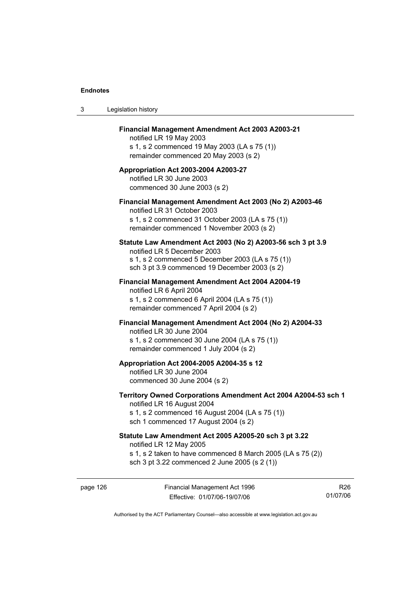$3$ 

| Legislation history                                                                                                                                                                              |
|--------------------------------------------------------------------------------------------------------------------------------------------------------------------------------------------------|
| <b>Financial Management Amendment Act 2003 A2003-21</b><br>notified LR 19 May 2003<br>s 1, s 2 commenced 19 May 2003 (LA s 75 (1))<br>remainder commenced 20 May 2003 (s 2)                      |
| Appropriation Act 2003-2004 A2003-27<br>notified LR 30 June 2003<br>commenced 30 June 2003 (s 2)                                                                                                 |
| Financial Management Amendment Act 2003 (No 2) A2003-46<br>notified LR 31 October 2003<br>s 1, s 2 commenced 31 October 2003 (LA s 75 (1))<br>remainder commenced 1 November 2003 (s 2)          |
| Statute Law Amendment Act 2003 (No 2) A2003-56 sch 3 pt 3.9<br>notified LR 5 December 2003<br>s 1, s 2 commenced 5 December 2003 (LA s 75 (1))<br>sch 3 pt 3.9 commenced 19 December 2003 (s 2)  |
| Financial Management Amendment Act 2004 A2004-19<br>notified LR 6 April 2004<br>s 1, s 2 commenced 6 April 2004 (LA s 75 (1))<br>remainder commenced 7 April 2004 (s 2)                          |
| Financial Management Amendment Act 2004 (No 2) A2004-33<br>notified LR 30 June 2004<br>s 1, s 2 commenced 30 June 2004 (LA s 75 (1))<br>remainder commenced 1 July 2004 (s 2)                    |
| Appropriation Act 2004-2005 A2004-35 s 12<br>notified LR 30 June 2004<br>commenced 30 June 2004 (s 2)                                                                                            |
| Territory Owned Corporations Amendment Act 2004 A2004-53 sch 1<br>notified LR 16 August 2004<br>s 1, s 2 commenced 16 August 2004 (LA s 75 (1))<br>sch 1 commenced 17 August 2004 (s 2)          |
| Statute Law Amendment Act 2005 A2005-20 sch 3 pt 3.22<br>notified LR 12 May 2005<br>s 1, s 2 taken to have commenced 8 March 2005 (LA s 75 (2))<br>sch 3 pt 3.22 commenced 2 June 2005 (s 2 (1)) |
|                                                                                                                                                                                                  |

page 126 Financial Management Act 1996 Effective: 01/07/06-19/07/06

R26 01/07/06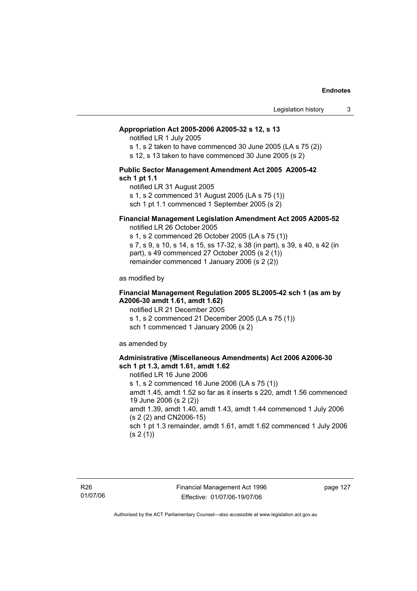#### **Appropriation Act 2005-2006 A2005-32 s 12, s 13**

notified LR 1 July 2005

s 1, s 2 taken to have commenced 30 June 2005 (LA s 75 (2))

s 12, s 13 taken to have commenced 30 June 2005 (s 2)

#### **Public Sector Management Amendment Act 2005 A2005-42 sch 1 pt 1.1**

notified LR 31 August 2005 s 1, s 2 commenced 31 August 2005 (LA s 75 (1)) sch 1 pt 1.1 commenced 1 September 2005 (s 2)

#### **Financial Management Legislation Amendment Act 2005 A2005-52**

notified LR 26 October 2005

s 1, s 2 commenced 26 October 2005 (LA s 75 (1)) s 7, s 9, s 10, s 14, s 15, ss 17-32, s 38 (in part), s 39, s 40, s 42 (in part), s 49 commenced 27 October 2005 (s 2 (1)) remainder commenced 1 January 2006 (s 2 (2))

as modified by

#### **Financial Management Regulation 2005 SL2005-42 sch 1 (as am by A2006-30 amdt 1.61, amdt 1.62)**

notified LR 21 December 2005 s 1, s 2 commenced 21 December 2005 (LA s 75 (1)) sch 1 commenced 1 January 2006 (s 2)

as amended by

#### **Administrative (Miscellaneous Amendments) Act 2006 A2006-30 sch 1 pt 1.3, amdt 1.61, amdt 1.62**

notified LR 16 June 2006 s 1, s 2 commenced 16 June 2006 (LA s 75 (1)) amdt 1.45, amdt 1.52 so far as it inserts s 220, amdt 1.56 commenced 19 June 2006 (s 2 (2)) amdt 1.39, amdt 1.40, amdt 1.43, amdt 1.44 commenced 1 July 2006 (s 2 (2) and CN2006-15) sch 1 pt 1.3 remainder, amdt 1.61, amdt 1.62 commenced 1 July 2006  $(s 2(1))$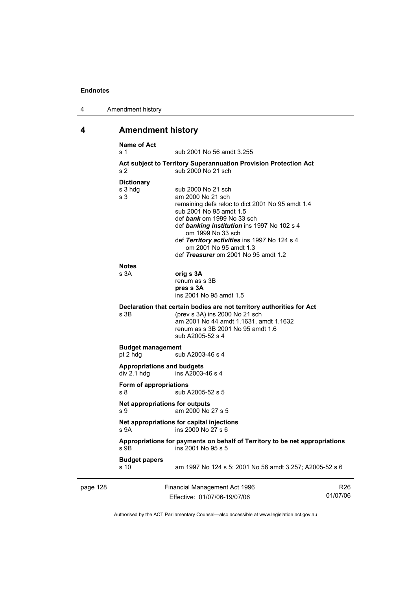| 4 | Amendment history |
|---|-------------------|
|---|-------------------|

# **4 Amendment history**

|          | <b>Name of Act</b><br>s 1                                               | sub 2001 No 56 amdt 3.255                                                                                                                                                                                                                                                                                                                  |                             |  |
|----------|-------------------------------------------------------------------------|--------------------------------------------------------------------------------------------------------------------------------------------------------------------------------------------------------------------------------------------------------------------------------------------------------------------------------------------|-----------------------------|--|
|          | s <sub>2</sub>                                                          | Act subject to Territory Superannuation Provision Protection Act<br>sub 2000 No 21 sch                                                                                                                                                                                                                                                     |                             |  |
|          | <b>Dictionary</b><br>s 3 hdg<br>s <sub>3</sub>                          | sub 2000 No 21 sch<br>am 2000 No 21 sch<br>remaining defs reloc to dict 2001 No 95 amdt 1.4<br>sub 2001 No 95 amdt 1.5<br>def bank om 1999 No 33 sch<br>def banking institution ins 1997 No 102 s 4<br>om 1999 No 33 sch<br>def Territory activities ins 1997 No 124 s 4<br>om 2001 No 95 amdt 1.3<br>def Treasurer om 2001 No 95 amdt 1.2 |                             |  |
|          | <b>Notes</b><br>s 3A                                                    | orig s 3A<br>renum as s 3B<br>pres s 3A<br>ins 2001 No 95 amdt 1.5                                                                                                                                                                                                                                                                         |                             |  |
|          | s 3B                                                                    | Declaration that certain bodies are not territory authorities for Act<br>(prev s 3A) ins 2000 No 21 sch<br>am 2001 No 44 amdt 1.1631, amdt 1.1632<br>renum as s 3B 2001 No 95 amdt 1.6<br>sub A2005-52 s 4                                                                                                                                 |                             |  |
|          | <b>Budget management</b><br>pt 2 hdg                                    | sub A2003-46 s 4                                                                                                                                                                                                                                                                                                                           |                             |  |
|          | <b>Appropriations and budgets</b><br>div 2.1 hdg                        | ins A2003-46 s 4                                                                                                                                                                                                                                                                                                                           |                             |  |
|          | Form of appropriations<br>s 8                                           | sub A2005-52 s 5                                                                                                                                                                                                                                                                                                                           |                             |  |
|          | Net appropriations for outputs<br>s 9                                   | am 2000 No 27 s 5                                                                                                                                                                                                                                                                                                                          |                             |  |
|          | Net appropriations for capital injections<br>ins 2000 No 27 s 6<br>s 9A |                                                                                                                                                                                                                                                                                                                                            |                             |  |
|          | s 9B                                                                    | Appropriations for payments on behalf of Territory to be net appropriations<br>ins 2001 No 95 s 5                                                                                                                                                                                                                                          |                             |  |
|          | <b>Budget papers</b><br>s 10                                            | am 1997 No 124 s 5; 2001 No 56 amdt 3.257; A2005-52 s 6                                                                                                                                                                                                                                                                                    |                             |  |
| page 128 |                                                                         | <b>Financial Management Act 1996</b><br>Effective: 01/07/06-19/07/06                                                                                                                                                                                                                                                                       | R <sub>26</sub><br>01/07/06 |  |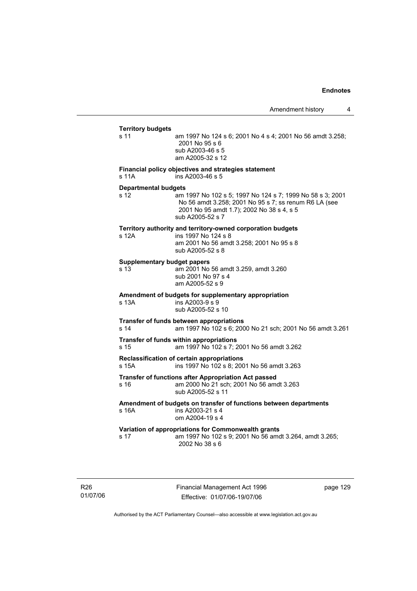#### **Territory budgets**  s 11 am 1997 No 124 s 6; 2001 No 4 s 4; 2001 No 56 amdt 3.258; 2001 No 95 s 6 sub A2003-46 s 5 am A2005-32 s 12 **Financial policy objectives and strategies statement**  s 11A ins A2003-46 s 5 **Departmental budgets** s 12 am 1997 No 102 s 5; 1997 No 124 s 7; 1999 No 58 s 3; 2001 No 56 amdt 3.258; 2001 No 95 s 7; ss renum R6 LA (see 2001 No 95 amdt 1.7); 2002 No 38 s 4, s 5 sub A2005-52 s 7 **Territory authority and territory-owned corporation budgets**  s 12A ins 1997 No 124 s 8 am 2001 No 56 amdt 3.258; 2001 No 95 s 8 sub A2005-52 s 8 **Supplementary budget papers**  s 13 am 2001 No 56 amdt 3.259, amdt 3.260 sub 2001 No 97 s 4 am A2005-52 s 9 **Amendment of budgets for supplementary appropriation**  s 13A ins A2003-9 s 9 sub A2005-52 s 10 **Transfer of funds between appropriations** s 14 am 1997 No 102 s 6; 2000 No 21 sch; 2001 No 56 amdt 3.261 **Transfer of funds within appropriations** s 15 am 1997 No 102 s 7; 2001 No 56 amdt 3.262 **Reclassification of certain appropriations** s 15A ins 1997 No 102 s 8; 2001 No 56 amdt 3.263 **Transfer of functions after Appropriation Act passed**  s 16 am 2000 No 21 sch; 2001 No 56 amdt 3.263 sub A2005-52 s 11 **Amendment of budgets on transfer of functions between departments**   $ins$  A2003-21 s 4 om A2004-19 s 4 **Variation of appropriations for Commonwealth grants** s 17 am 1997 No 102 s 9; 2001 No 56 amdt 3.264, amdt 3.265; 2002 No 38 s 6

R26 01/07/06 Financial Management Act 1996 Effective: 01/07/06-19/07/06

page 129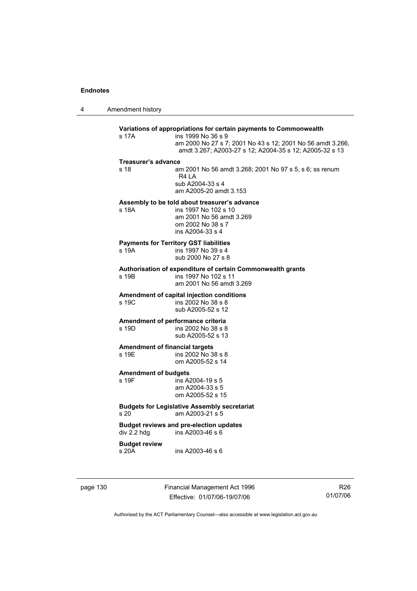4 Amendment history

## **Variations of appropriations for certain payments to Commonwealth** s 17A ins 1999 No 36 s 9 am 2000 No 27 s 7; 2001 No 43 s 12; 2001 No 56 amdt 3.266, amdt 3.267; A2003-27 s 12; A2004-35 s 12; A2005-32 s 13 **Treasurer's advance**  s 18 am 2001 No 56 amdt 3.268; 2001 No 97 s 5, s 6; ss renum R4 LA sub A2004-33 s 4 am A2005-20 amdt 3.153 **Assembly to be told about treasurer's advance** s 18A ins 1997 No 102 s 10 am 2001 No 56 amdt 3.269 om 2002 No 38 s 7 ins A2004-33 s 4 **Payments for Territory GST liabilities** ins 1997 No 39 s 4 sub 2000 No 27 s 8 **Authorisation of expenditure of certain Commonwealth grants**  s 19B ins 1997 No 102 s 11 am 2001 No 56 amdt 3.269 **Amendment of capital injection conditions**  ins 2002 No 38 s 8 sub A2005-52 s 12 **Amendment of performance criteria**<br>s 19D ins 2002 No 38 s 8 ins 2002 No 38 s 8 sub A2005-52 s 13 **Amendment of financial targets**  s 19E ins 2002 No 38 s 8 om A2005-52 s 14 **Amendment of budgets**   $ins$  A2004-19 s 5 am A2004-33 s 5 om A2005-52 s 15 **Budgets for Legislative Assembly secretariat**  s 20 am A2003-21 s 5 **Budget reviews and pre-election updates**  div 2.2 hdg ins A2003-46 s 6 **Budget review**  s 20A ins A2003-46 s 6

page 130 Financial Management Act 1996 Effective: 01/07/06-19/07/06

R26 01/07/06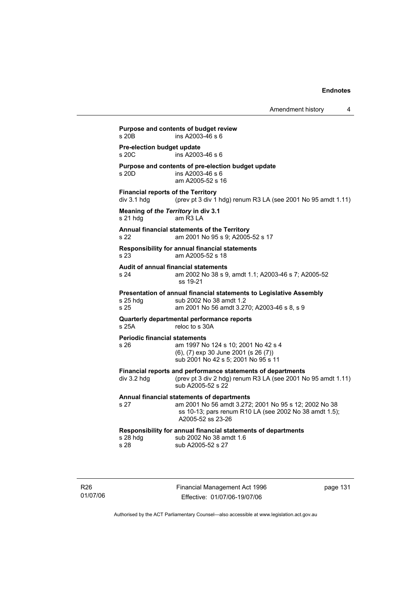| Pre-election budget update                   |                                                                                                                                                                                    |
|----------------------------------------------|------------------------------------------------------------------------------------------------------------------------------------------------------------------------------------|
| s 20C                                        | ins A2003-46 s 6                                                                                                                                                                   |
| s 20D                                        | Purpose and contents of pre-election budget update<br>ins A2003-46 s 6<br>am A2005-52 s 16                                                                                         |
| div 3.1 hdg                                  | <b>Financial reports of the Territory</b><br>(prev pt 3 div 1 hdg) renum R3 LA (see 2001 No 95 amdt 1.11)                                                                          |
| s 21 hdg                                     | Meaning of the Territory in div 3.1<br>am R3 LA                                                                                                                                    |
| s 22                                         | Annual financial statements of the Territory<br>am 2001 No 95 s 9; A2005-52 s 17                                                                                                   |
| s 23                                         | Responsibility for annual financial statements<br>am A2005-52 s 18                                                                                                                 |
| s 24                                         | Audit of annual financial statements<br>am 2002 No 38 s 9, amdt 1.1; A2003-46 s 7; A2005-52<br>ss 19-21                                                                            |
| s 25 hda<br>s 25                             | Presentation of annual financial statements to Legislative Assembly<br>sub 2002 No 38 amdt 1.2<br>am 2001 No 56 amdt 3.270; A2003-46 s 8, s 9                                      |
| s 25A                                        | Quarterly departmental performance reports<br>reloc to s 30A                                                                                                                       |
| <b>Periodic financial statements</b><br>s 26 | am 1997 No 124 s 10; 2001 No 42 s 4<br>(6), (7) exp 30 June 2001 (s 26 (7))<br>sub 2001 No 42 s 5; 2001 No 95 s 11                                                                 |
| div 3.2 hdg                                  | Financial reports and performance statements of departments<br>(prev pt 3 div 2 hdg) renum R3 LA (see 2001 No 95 amdt 1.11)<br>sub A2005-52 s 22                                   |
| s 27                                         | Annual financial statements of departments<br>am 2001 No 56 amdt 3.272; 2001 No 95 s 12; 2002 No 38<br>ss 10-13; pars renum R10 LA (see 2002 No 38 amdt 1.5);<br>A2005-52 ss 23-26 |
| s 28 hdg<br>s <sub>28</sub>                  | Responsibility for annual financial statements of departments<br>sub 2002 No 38 amdt 1.6<br>sub A2005-52 s 27                                                                      |

R26 01/07/06 Financial Management Act 1996 Effective: 01/07/06-19/07/06

page 131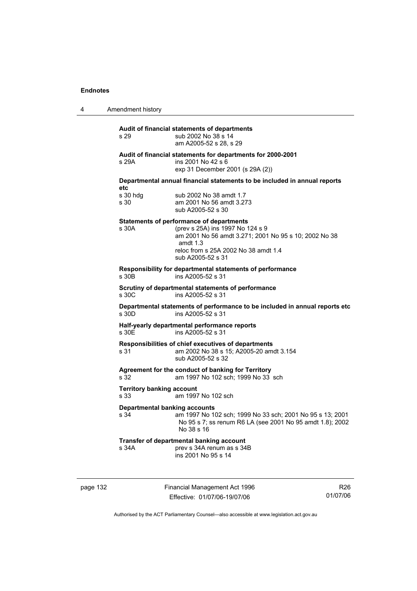4 Amendment history

## **Audit of financial statements of departments**  s 29 sub 2002 No 38 s 14 am A2005-52 s 28, s 29 **Audit of financial statements for departments for 2000-2001**  s 29A ins 2001 No 42 s 6 exp 31 December 2001 (s 29A (2)) **Departmental annual financial statements to be included in annual reports etc**  sub 2002 No 38 amdt 1.7 s 30 am 2001 No 56 amdt 3.273 sub A2005-52 s 30 **Statements of performance of departments**  s 30A (prev s 25A) ins 1997 No 124 s 9 am 2001 No 56 amdt 3.271; 2001 No 95 s 10; 2002 No 38 amdt 1.3 reloc from s 25A 2002 No 38 amdt 1.4 sub A2005-52 s 31 **Responsibility for departmental statements of performance**  s 30B ins A2005-52 s 31 **Scrutiny of departmental statements of performance**  s 30C ins A2005-52 s 31 **Departmental statements of performance to be included in annual reports etc**  s 30D ins A2005-52 s 31 **Half-yearly departmental performance reports**  s 30E ins A2005-52 s 31 **Responsibilities of chief executives of departments**  s 31 am 2002 No 38 s 15; A2005-20 amdt 3.154 sub A2005-52 s 32 **Agreement for the conduct of banking for Territory** s 32 am 1997 No 102 sch; 1999 No 33 sch **Territory banking account** s 33 am 1997 No 102 sch **Departmental banking accounts**  s 34 am 1997 No 102 sch; 1999 No 33 sch; 2001 No 95 s 13; 2001 No 95 s 7; ss renum R6 LA (see 2001 No 95 amdt 1.8); 2002 No 38 s 16 **Transfer of departmental banking account**  s 34A **prev s 34A renum as s 34B** ins 2001 No 95 s 14

page 132 Financial Management Act 1996 Effective: 01/07/06-19/07/06

R26 01/07/06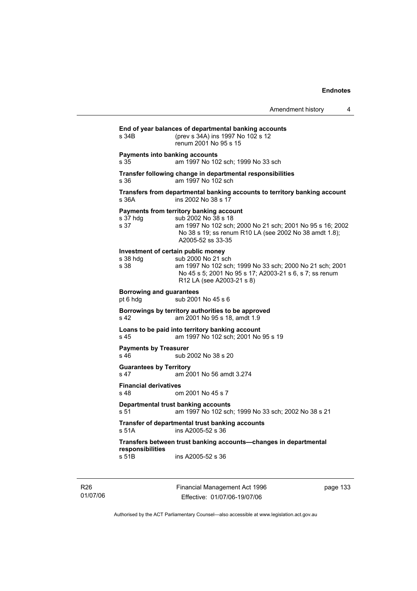| Amendment history |  |
|-------------------|--|
|-------------------|--|

| s 34B                                                    | End of year balances of departmental banking accounts<br>(prev s 34A) ins 1997 No 102 s 12<br>renum 2001 No 95 s 15                                                                                        |
|----------------------------------------------------------|------------------------------------------------------------------------------------------------------------------------------------------------------------------------------------------------------------|
| <b>Payments into banking accounts</b><br>s <sub>35</sub> | am 1997 No 102 sch; 1999 No 33 sch                                                                                                                                                                         |
| s 36                                                     | Transfer following change in departmental responsibilities<br>am 1997 No 102 sch                                                                                                                           |
| s.36A                                                    | Transfers from departmental banking accounts to territory banking account<br>ins 2002 No 38 s 17                                                                                                           |
| s 37 hdg<br>s 37                                         | Payments from territory banking account<br>sub 2002 No 38 s 18<br>am 1997 No 102 sch; 2000 No 21 sch; 2001 No 95 s 16; 2002<br>No 38 s 19; ss renum R10 LA (see 2002 No 38 amdt 1.8);<br>A2005-52 ss 33-35 |
| Investment of certain public money<br>s 38 hdg<br>s 38   | sub 2000 No 21 sch<br>am 1997 No 102 sch; 1999 No 33 sch; 2000 No 21 sch; 2001<br>No 45 s 5; 2001 No 95 s 17; A2003-21 s 6, s 7; ss renum<br>R12 LA (see A2003-21 s 8)                                     |
| <b>Borrowing and guarantees</b><br>pt 6 hdg              | sub 2001 No 45 s 6                                                                                                                                                                                         |
| s 42                                                     | Borrowings by territory authorities to be approved<br>am 2001 No 95 s 18, amdt 1.9                                                                                                                         |
| s <sub>45</sub>                                          | Loans to be paid into territory banking account<br>am 1997 No 102 sch; 2001 No 95 s 19                                                                                                                     |
| <b>Payments by Treasurer</b><br>s 46                     | sub 2002 No 38 s 20                                                                                                                                                                                        |
| <b>Guarantees by Territory</b><br>s <sub>47</sub>        | am 2001 No 56 amdt 3.274                                                                                                                                                                                   |
| <b>Financial derivatives</b><br>s <sub>48</sub>          | om 2001 No 45 s 7                                                                                                                                                                                          |
| s 51                                                     | <b>Departmental trust banking accounts</b><br>am 1997 No 102 sch; 1999 No 33 sch; 2002 No 38 s 21                                                                                                          |
| s 51A                                                    | Transfer of departmental trust banking accounts<br>ins A2005-52 s 36                                                                                                                                       |
| responsibilities<br>s 51B                                | Transfers between trust banking accounts-changes in departmental<br>ins A2005-52 s 36                                                                                                                      |

R26 01/07/06 Financial Management Act 1996 Effective: 01/07/06-19/07/06

page 133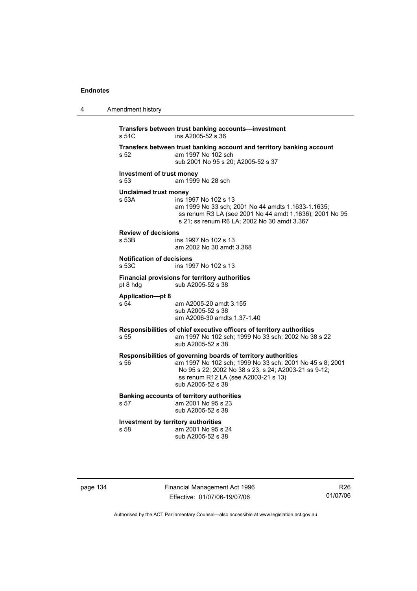| 4 | Amendment history                           |                                                                                                                                                                                                                                               |
|---|---------------------------------------------|-----------------------------------------------------------------------------------------------------------------------------------------------------------------------------------------------------------------------------------------------|
|   | s 51C                                       | Transfers between trust banking accounts-investment<br>ins A2005-52 s 36                                                                                                                                                                      |
|   | s 52                                        | Transfers between trust banking account and territory banking account<br>am 1997 No 102 sch<br>sub 2001 No 95 s 20; A2005-52 s 37                                                                                                             |
|   | Investment of trust money<br>s 53           | am 1999 No 28 sch                                                                                                                                                                                                                             |
|   | Unclaimed trust money<br>s 53A              | ins 1997 No 102 s 13<br>am 1999 No 33 sch; 2001 No 44 amdts 1.1633-1.1635;<br>ss renum R3 LA (see 2001 No 44 amdt 1.1636); 2001 No 95<br>s 21; ss renum R6 LA; 2002 No 30 amdt 3.367                                                          |
|   | <b>Review of decisions</b><br>s 53B         | ins 1997 No 102 s 13<br>am 2002 No 30 amdt 3.368                                                                                                                                                                                              |
|   | <b>Notification of decisions</b><br>s 53C   | ins 1997 No 102 s 13                                                                                                                                                                                                                          |
|   | pt 8 hdg                                    | Financial provisions for territory authorities<br>sub A2005-52 s 38                                                                                                                                                                           |
|   | <b>Application-pt 8</b><br>s 54             | am A2005-20 amdt 3.155<br>sub A2005-52 s 38<br>am A2006-30 amdts 1.37-1.40                                                                                                                                                                    |
|   | s 55                                        | Responsibilities of chief executive officers of territory authorities<br>am 1997 No 102 sch; 1999 No 33 sch; 2002 No 38 s 22<br>sub A2005-52 s 38                                                                                             |
|   | s 56                                        | Responsibilities of governing boards of territory authorities<br>am 1997 No 102 sch; 1999 No 33 sch; 2001 No 45 s 8; 2001<br>No 95 s 22; 2002 No 38 s 23, s 24; A2003-21 ss 9-12;<br>ss renum R12 LA (see A2003-21 s 13)<br>sub A2005-52 s 38 |
|   | s 57                                        | <b>Banking accounts of territory authorities</b><br>am 2001 No 95 s 23<br>sub A2005-52 s 38                                                                                                                                                   |
|   | Investment by territory authorities<br>s 58 | am 2001 No 95 s 24<br>sub A2005-52 s 38                                                                                                                                                                                                       |
|   |                                             |                                                                                                                                                                                                                                               |

page 134 Financial Management Act 1996 Effective: 01/07/06-19/07/06

R26 01/07/06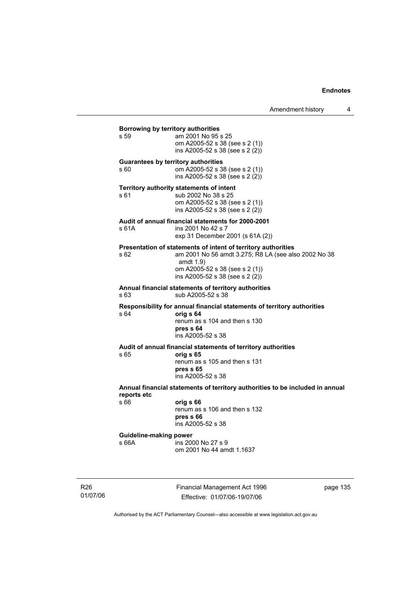**Borrowing by territory authorities**<br>s 59 am 2001 No 95 am 2001 No 95 s 25 om A2005-52 s 38 (see s 2 (1)) ins A2005-52 s 38 (see s 2 (2)) **Guarantees by territory authorities**  s 60 om A2005-52 s 38 (see s 2 (1)) ins A2005-52 s 38 (see s 2 (2)) **Territory authority statements of intent**  s 61 sub 2002 No 38 s 25 om A2005-52 s 38 (see s 2 (1)) ins A2005-52 s 38 (see s 2 (2)) **Audit of annual financial statements for 2000-2001**  ins 2001 No 42 s 7 exp 31 December 2001 (s 61A (2)) **Presentation of statements of intent of territory authorities**  s 62 am 2001 No 56 amdt 3.275; R8 LA (see also 2002 No 38 amdt 1.9) om A2005-52 s 38 (see s 2 (1)) ins A2005-52 s 38 (see s 2 (2)) **Annual financial statements of territory authorities**  s 63 sub A2005-52 s 38 **Responsibility for annual financial statements of territory authorities**  s 64 **orig s 64** renum as s 104 and then s 130 **pres s 64**  ins A2005-52 s 38 **Audit of annual financial statements of territory authorities**  s 65 **orig s 65**  renum as s 105 and then s 131 **pres s 65**  ins A2005-52 s 38 **Annual financial statements of territory authorities to be included in annual reports etc**  s 66 **orig s 66**  renum as s 106 and then s 132 **pres s 66**  ins A2005-52 s 38 **Guideline-making power**  s 66A ins 2000 No 27 s 9 om 2001 No 44 amdt 1.1637

R26 01/07/06 Financial Management Act 1996 Effective: 01/07/06-19/07/06

page 135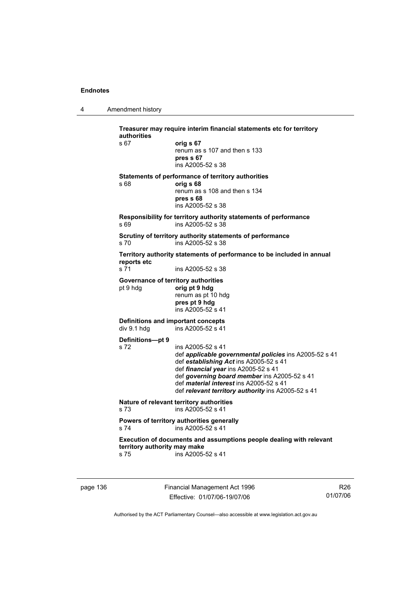4 Amendment history

**Treasurer may require interim financial statements etc for territory authorities** s 67 **orig s 67**  renum as s 107 and then s 133 **pres s 67**  ins A2005-52 s 38 **Statements of performance of territory authorities**  s 68 **orig s 68**  renum as s 108 and then s 134 **pres s 68**  ins A2005-52 s 38 **Responsibility for territory authority statements of performance**  s 69 ins A2005-52 s 38 **Scrutiny of territory authority statements of performance**  s 70 ins A2005-52 s 38 **Territory authority statements of performance to be included in annual reports etc**  s 71 ins A2005-52 s 38 **Governance of territory authorities**<br>
orig pt 9 hdg<br>
orig pt 9 hdg pt 9 hdg **orig pt 9 hdg**  renum as pt 10 hdg **pres pt 9 hdg**  ins A2005-52 s 41 **Definitions and important concepts**  div 9.1 hdg ins A2005-52 s 41 **Definitions—pt 9**  s 72 ins A2005-52 s 41 def *applicable governmental policies* ins A2005-52 s 41 def *establishing Act* ins A2005-52 s 41 def *financial year* ins A2005-52 s 41 def *governing board member* ins A2005-52 s 41 def *material interest* ins A2005-52 s 41 def *relevant territory authority* ins A2005-52 s 41 **Nature of relevant territory authorities**  s 73 ins A2005-52 s 41 **Powers of territory authorities generally**<br>s 74  $\frac{1}{2}$  ins A2005-52 s 41  $ins$  A2005-52 s 41 **Execution of documents and assumptions people dealing with relevant territory authority may make**  s 75 ins A2005-52 s 41

page 136 Financial Management Act 1996 Effective: 01/07/06-19/07/06

R26 01/07/06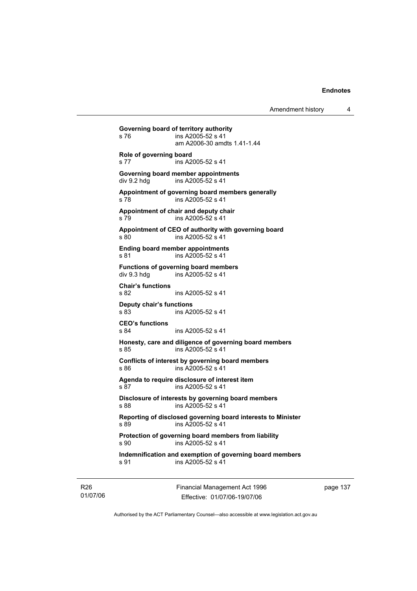Amendment history 4

**Governing board of territory authority**  s 76 ins A2005-52 s 41 am A2006-30 amdts 1.41-1.44 **Role of governing board**  s 77 ins A2005-52 s 41 **Governing board member appointments**  div 9.2 hdg ins A2005-52 s 41 **Appointment of governing board members generally**  s 78 ins A2005-52 s 41 **Appointment of chair and deputy chair**  s 79 ins A2005-52 s 41 **Appointment of CEO of authority with governing board**  s 80 ins A2005-52 s 41 **Ending board member appointments**  s 81 ins A2005-52 s 41 **Functions of governing board members**  div 9.3 hdg ins A2005-52 s 41 **Chair's functions**  s 82 ins A2005-52 s 41 **Deputy chair's functions**  ins A2005-52 s 41 **CEO's functions**  s 84 ins A2005-52 s 41 **Honesty, care and diligence of governing board members**  s 85 ins A2005-52 s 41 **Conflicts of interest by governing board members**  s 86 ins A2005-52 s 41 **Agenda to require disclosure of interest item**  s 87 ins A2005-52 s 41 **Disclosure of interests by governing board members**  s 88 ins A2005-52 s 41 **Reporting of disclosed governing board interests to Minister**  s 89 ins A2005-52 s 41 **Protection of governing board members from liability**  s 90 ins A2005-52 s 41 **Indemnification and exemption of governing board members**  s 91 ins A2005-52 s 41

R26 01/07/06 Financial Management Act 1996 Effective: 01/07/06-19/07/06

page 137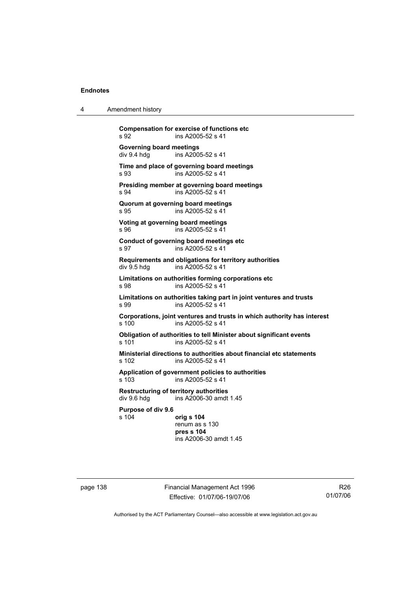4 Amendment history

| s 92                                       | <b>Compensation for exercise of functions etc</b><br>ins A2005-52 s 41                       |
|--------------------------------------------|----------------------------------------------------------------------------------------------|
| Governing board meetings<br>div 9.4 hdg    | ins A2005-52 s 41                                                                            |
| s 93                                       | Time and place of governing board meetings<br>ins A2005-52 s 41                              |
| s 94                                       | Presiding member at governing board meetings<br>ins A2005-52 s 41                            |
| s 95                                       | Quorum at governing board meetings<br>ins A2005-52 s 41                                      |
| Voting at governing board meetings<br>s 96 | ins A2005-52 s 41                                                                            |
| s 97                                       | Conduct of governing board meetings etc<br>ins A2005-52 s 41                                 |
| div 9.5 hdg                                | Requirements and obligations for territory authorities<br>ins A2005-52 s 41                  |
| s 98                                       | Limitations on authorities forming corporations etc<br>ins A2005-52 s 41                     |
| s 99                                       | Limitations on authorities taking part in joint ventures and trusts<br>ins A2005-52 s 41     |
| s 100                                      | Corporations, joint ventures and trusts in which authority has interest<br>ins A2005-52 s 41 |
| s 101                                      | Obligation of authorities to tell Minister about significant events<br>ins A2005-52 s 41     |
| s 102                                      | Ministerial directions to authorities about financial etc statements<br>ins A2005-52 s 41    |
| s 103                                      | Application of government policies to authorities<br>ins A2005-52 s 41                       |
| div 9.6 hdg                                | <b>Restructuring of territory authorities</b><br>ins A2006-30 amdt 1.45                      |
| Purpose of div 9.6<br>s 104                | orig s 104<br>renum as s 130<br>pres s 104<br>ins A2006-30 amdt 1.45                         |

page 138 Financial Management Act 1996 Effective: 01/07/06-19/07/06

R26 01/07/06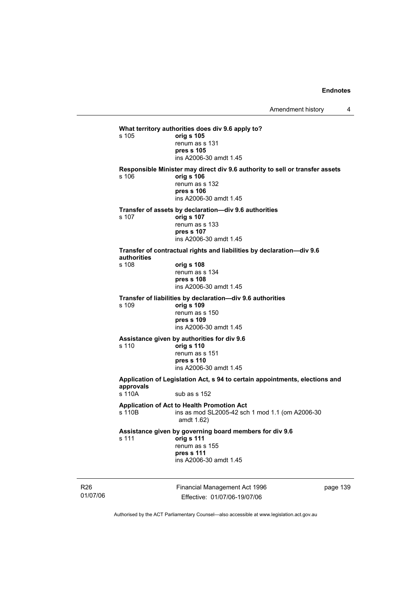Financial Management Act 1996 Effective: 01/07/06-19/07/06 page 139 **What territory authorities does div 9.6 apply to?**  s 105 **orig s 105** renum as s 131 **pres s 105**  ins A2006-30 amdt 1.45 **Responsible Minister may direct div 9.6 authority to sell or transfer assets**  s 106 **orig s 106** renum as s 132 **pres s 106**  ins A2006-30 amdt 1.45 **Transfer of assets by declaration—div 9.6 authorities**  s 107 **orig s 107** renum as s 133 **pres s 107**  ins A2006-30 amdt 1.45 **Transfer of contractual rights and liabilities by declaration—div 9.6 authorities**  s 108 **orig s 108** renum as s 134 **pres s 108**  ins A2006-30 amdt 1.45 **Transfer of liabilities by declaration—div 9.6 authorities**  s 109 **orig s 109** renum as s 150 **pres s 109**  ins A2006-30 amdt 1.45 **Assistance given by authorities for div 9.6**  s 110 **orig s 110** renum as s 151 **pres s 110**  ins A2006-30 amdt 1.45 **Application of Legislation Act, s 94 to certain appointments, elections and approvals**  s 110A sub as s 152 **Application of Act to Health Promotion Act**  ins as mod SL2005-42 sch 1 mod 1.1 (om A2006-30 amdt 1.62) **Assistance given by governing board members for div 9.6**  s 111 **orig s 111** renum as s 155 **pres s 111**  ins A2006-30 amdt 1.45

Authorised by the ACT Parliamentary Counsel—also accessible at www.legislation.act.gov.au

R26 01/07/06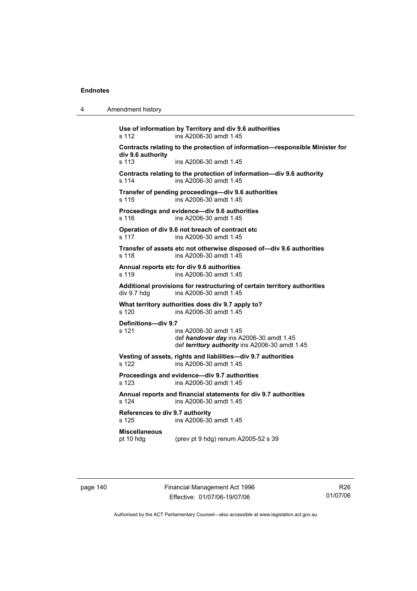| 4 | Amendment history |
|---|-------------------|
|---|-------------------|

**Use of information by Territory and div 9.6 authorities**  s 112 ins A2006-30 amdt 1.45 **Contracts relating to the protection of information—responsible Minister for div 9.6 authority**  s 113 ins A2006-30 amdt 1.45 **Contracts relating to the protection of information—div 9.6 authority**  s 114 ins A2006-30 amdt 1.45 **Transfer of pending proceedings—div 9.6 authorities**  s 115 ins A2006-30 amdt 1.45 **Proceedings and evidence—div 9.6 authorities**  s 116 ins A2006-30 amdt 1.45 **Operation of div 9.6 not breach of contract etc**  s 117 ins A2006-30 amdt 1.45 **Transfer of assets etc not otherwise disposed of—div 9.6 authorities**  s 118 ins A2006-30 amdt 1.45 **Annual reports etc for div 9.6 authorities**  s 119 ins A2006-30 amdt 1.45 **Additional provisions for restructuring of certain territory authorities**  div 9.7 hdg ins A2006-30 amdt 1.45 **What territory authorities does div 9.7 apply to?**  s 120 ins A2006-30 amdt 1.45 **Definitions—div 9.7**  s 121 ins A2006-30 amdt 1.45 def *handover day* ins A2006-30 amdt 1.45 def *territory authority* ins A2006-30 amdt 1.45 **Vesting of assets, rights and liabilities—div 9.7 authorities**  s 122 ins A2006-30 amdt 1.45 **Proceedings and evidence—div 9.7 authorities**  s 123 ins A2006-30 amdt 1.45 **Annual reports and financial statements for div 9.7 authorities**  s 124 ins A2006-30 amdt 1.45 **References to div 9.7 authority**  ins A2006-30 amdt 1.45 **Miscellaneous**  pt 10 hdg (prev pt 9 hdg) renum A2005-52 s 39

page 140 Financial Management Act 1996 Effective: 01/07/06-19/07/06

R26 01/07/06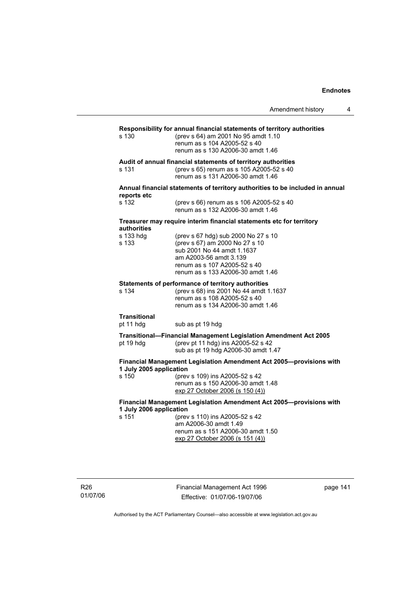|                                                                     | Amendment history                                                                                                                                                                                  | 4 |
|---------------------------------------------------------------------|----------------------------------------------------------------------------------------------------------------------------------------------------------------------------------------------------|---|
| s 130                                                               | Responsibility for annual financial statements of territory authorities<br>(prev s 64) am 2001 No 95 amdt 1.10<br>renum as s 104 A2005-52 s 40<br>renum as s 130 A2006-30 amdt 1.46                |   |
| s 131                                                               | Audit of annual financial statements of territory authorities<br>(prev s 65) renum as s 105 A2005-52 s 40<br>renum as s 131 A2006-30 amdt 1.46                                                     |   |
|                                                                     | Annual financial statements of territory authorities to be included in annual                                                                                                                      |   |
| reports etc<br>s 132                                                | (prev s 66) renum as s 106 A2005-52 s 40<br>renum as s 132 A2006-30 amdt 1.46                                                                                                                      |   |
|                                                                     | Treasurer may require interim financial statements etc for territory                                                                                                                               |   |
| authorities<br>s 133 hdg<br>s 133                                   | (prev s 67 hdg) sub 2000 No 27 s 10<br>(prev s 67) am 2000 No 27 s 10<br>sub 2001 No 44 amdt 1.1637<br>am A2003-56 amdt 3.139<br>renum as s 107 A2005-52 s 40<br>renum as s 133 A2006-30 amdt 1.46 |   |
| s 134                                                               | Statements of performance of territory authorities<br>(prev s 68) ins 2001 No 44 amdt 1.1637<br>renum as s 108 A2005-52 s 40<br>renum as s 134 A2006-30 amdt 1.46                                  |   |
| <b>Transitional</b><br>pt 11 hdg                                    | sub as pt 19 hdg                                                                                                                                                                                   |   |
| pt 19 hdg                                                           | Transitional-Financial Management Legislation Amendment Act 2005<br>(prev pt 11 hdg) ins A2005-52 s 42<br>sub as pt 19 hdg A2006-30 amdt 1.47                                                      |   |
| 1 July 2005 application<br>s 150                                    | Financial Management Legislation Amendment Act 2005-provisions with<br>(prev s 109) ins A2005-52 s 42<br>renum as s 150 A2006-30 amdt 1.48<br>exp 27 October 2006 (s 150 (4))                      |   |
| Financial Management Legislation Amendment Act 2005-provisions with |                                                                                                                                                                                                    |   |
| 1 July 2006 application<br>s 151                                    | (prev s 110) ins A2005-52 s 42<br>am A2006-30 amdt 1.49<br>renum as s 151 A2006-30 amdt 1.50<br>exp 27 October 2006 (s 151 (4))                                                                    |   |

R26 01/07/06 Financial Management Act 1996 Effective: 01/07/06-19/07/06

page 141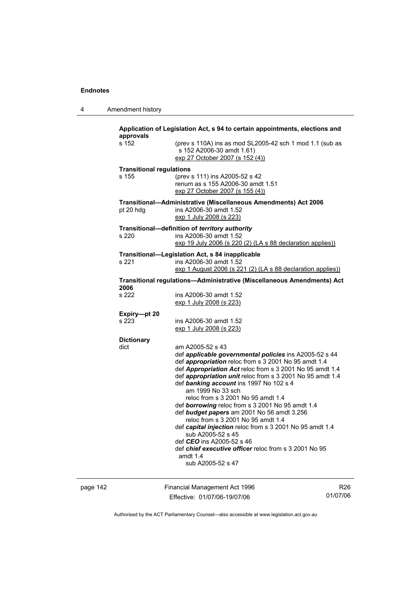| 4 | Amendment history |
|---|-------------------|
|---|-------------------|

| approvals                       | Application of Legislation Act, s 94 to certain appointments, elections and                                              |
|---------------------------------|--------------------------------------------------------------------------------------------------------------------------|
| s 152                           | (prev s 110A) ins as mod SL2005-42 sch 1 mod 1.1 (sub as<br>s 152 A2006-30 amdt 1.61)<br>exp 27 October 2007 (s 152 (4)) |
| <b>Transitional regulations</b> |                                                                                                                          |
| s 155                           | (prev s 111) ins A2005-52 s 42<br>renum as s 155 A2006-30 amdt 1.51<br>exp 27 October 2007 (s 155 (4))                   |
| pt 20 hdg                       | Transitional-Administrative (Miscellaneous Amendments) Act 2006<br>ins A2006-30 amdt 1.52<br>exp 1 July 2008 (s 223)     |
|                                 | Transitional-definition of territory authority                                                                           |
| s 220                           | ins A2006-30 amdt 1.52<br>exp 19 July 2006 (s 220 (2) (LA s 88 declaration applies))                                     |
|                                 | Transitional-Legislation Act, s 84 inapplicable                                                                          |
| s 221                           | ins A2006-30 amdt 1.52                                                                                                   |
|                                 | exp 1 August 2006 (s 221 (2) (LA s 88 declaration applies))                                                              |
| 2006                            | Transitional regulations-Administrative (Miscellaneous Amendments) Act                                                   |
| s 222                           | ins A2006-30 amdt 1.52                                                                                                   |
|                                 | exp 1 July 2008 (s 223)                                                                                                  |
| Expiry-pt 20                    |                                                                                                                          |
| s 223                           | ins A2006-30 amdt 1.52                                                                                                   |
|                                 | exp 1 July 2008 (s 223)                                                                                                  |
| <b>Dictionary</b>               |                                                                                                                          |
| dict                            | am A2005-52 s 43                                                                                                         |
|                                 | def applicable governmental policies ins A2005-52 s 44                                                                   |
|                                 | def appropriation reloc from s 3 2001 No 95 amdt 1.4<br>def Appropriation Act reloc from s 3 2001 No 95 amdt 1.4         |
|                                 | def appropriation unit reloc from s 3 2001 No 95 amdt 1.4                                                                |
|                                 | def banking account ins 1997 No 102 s 4                                                                                  |
|                                 | am 1999 No 33 sch                                                                                                        |
|                                 | reloc from s 3 2001 No 95 amdt 1.4                                                                                       |
|                                 | def borrowing reloc from s 3 2001 No 95 amdt 1.4                                                                         |
|                                 | def budget papers am 2001 No 56 amdt 3.256<br>reloc from s 3 2001 No 95 amdt 1.4                                         |
|                                 | def capital injection reloc from s 3 2001 No 95 amdt 1.4                                                                 |
|                                 | sub A2005-52 s 45                                                                                                        |
|                                 | def CEO ins A2005-52 s 46                                                                                                |
|                                 | def chief executive officer reloc from s 3 2001 No 95                                                                    |
|                                 | amdt $1.4$                                                                                                               |
|                                 | sub A2005-52 s 47                                                                                                        |
|                                 |                                                                                                                          |

page 142 Financial Management Act 1996 Effective: 01/07/06-19/07/06

R26 01/07/06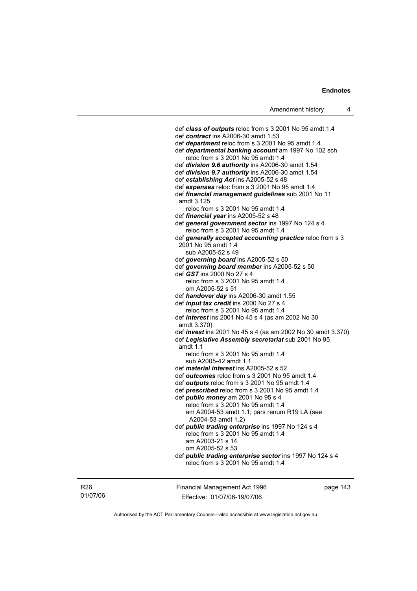def *class of outputs* reloc from s 3 2001 No 95 amdt 1.4 def *contract* ins A2006-30 amdt 1.53 def *department* reloc from s 3 2001 No 95 amdt 1.4 def *departmental banking account* am 1997 No 102 sch reloc from s 3 2001 No 95 amdt 1.4 def *division 9.6 authority* ins A2006-30 amdt 1.54 def *division 9.7 authority* ins A2006-30 amdt 1.54 def *establishing Act* ins A2005-52 s 48 def *expenses* reloc from s 3 2001 No 95 amdt 1.4 def *financial management guidelines* sub 2001 No 11 amdt 3.125 reloc from s 3 2001 No 95 amdt 1.4 def *financial year* ins A2005-52 s 48 def *general government sector* ins 1997 No 124 s 4 reloc from s 3 2001 No 95 amdt 1.4 def *generally accepted accounting practice* reloc from s 3 2001 No 95 amdt 1.4 sub A2005-52 s 49 def *governing board* ins A2005-52 s 50 def *governing board member* ins A2005-52 s 50 def *GST* ins 2000 No 27 s 4 reloc from s 3 2001 No 95 amdt 1.4 om A2005-52 s 51 def *handover day* ins A2006-30 amdt 1.55 def *input tax credit* ins 2000 No 27 s 4 reloc from s 3 2001 No 95 amdt 1.4 def *interest* ins 2001 No 45 s 4 (as am 2002 No 30 amdt 3.370) def *invest* ins 2001 No 45 s 4 (as am 2002 No 30 amdt 3.370) def *Legislative Assembly secretariat* sub 2001 No 95 amdt 1.1 reloc from s 3 2001 No 95 amdt 1.4 sub A2005-42 amdt 1.1 def *material interest* ins A2005-52 s 52 def *outcomes* reloc from s 3 2001 No 95 amdt 1.4 def *outputs* reloc from s 3 2001 No 95 amdt 1.4 def *prescribed* reloc from s 3 2001 No 95 amdt 1.4 def *public money* am 2001 No 95 s 4 reloc from s 3 2001 No 95 amdt 1.4 am A2004-53 amdt 1.1; pars renum R19 LA (see A2004-53 amdt 1.2) def *public trading enterprise* ins 1997 No 124 s 4 reloc from s 3 2001 No 95 amdt 1.4 am A2003-21 s 14 om A2005-52 s 53 def *public trading enterprise sector* ins 1997 No 124 s 4 reloc from s 3 2001 No 95 amdt 1.4

R26 01/07/06 Financial Management Act 1996 Effective: 01/07/06-19/07/06

page 143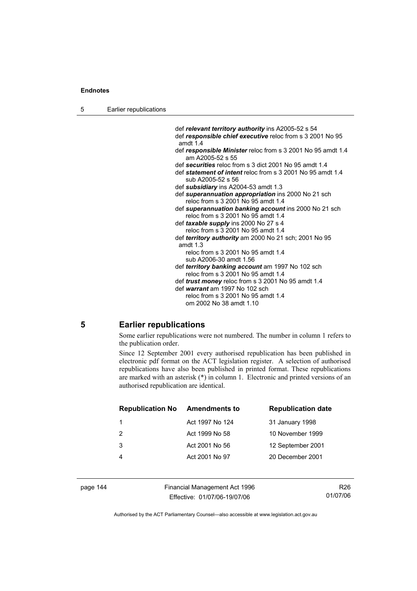| 5 | Earlier republications |
|---|------------------------|
|---|------------------------|

 def *relevant territory authority* ins A2005-52 s 54 def *responsible chief executive* reloc from s 3 2001 No 95 amdt 1.4 def *responsible Minister* reloc from s 3 2001 No 95 amdt 1.4 am A2005-52 s 55 def *securities* reloc from s 3 dict 2001 No 95 amdt 1.4 def *statement of intent* reloc from s 3 2001 No 95 amdt 1.4 sub A2005-52 s 56 def *subsidiary* ins A2004-53 amdt 1.3 def *superannuation appropriation* ins 2000 No 21 sch reloc from s 3 2001 No 95 amdt 1.4 def *superannuation banking account* ins 2000 No 21 sch reloc from s 3 2001 No 95 amdt 1.4 def *taxable supply* ins 2000 No 27 s 4 reloc from s 3 2001 No 95 amdt 1.4 def *territory authority* am 2000 No 21 sch; 2001 No 95 amdt 1.3 reloc from s 3 2001 No 95 amdt 1.4 sub A2006-30 amdt 1.56 def *territory banking account* am 1997 No 102 sch reloc from s 3 2001 No 95 amdt 1.4 def *trust money* reloc from s 3 2001 No 95 amdt 1.4 def *warrant* am 1997 No 102 sch reloc from s 3 2001 No 95 amdt 1.4 om 2002 No 38 amdt 1.10

# **5 Earlier republications**

Some earlier republications were not numbered. The number in column 1 refers to the publication order.

Since 12 September 2001 every authorised republication has been published in electronic pdf format on the ACT legislation register. A selection of authorised republications have also been published in printed format. These republications are marked with an asterisk (\*) in column 1. Electronic and printed versions of an authorised republication are identical.

| <b>Republication No</b> | <b>Amendments to</b> | <b>Republication date</b> |
|-------------------------|----------------------|---------------------------|
| 1                       | Act 1997 No 124      | 31 January 1998           |
| 2                       | Act 1999 No 58       | 10 November 1999          |
| 3                       | Act 2001 No 56       | 12 September 2001         |
|                         | Act 2001 No 97       | 20 December 2001          |
|                         |                      |                           |

page 144 Financial Management Act 1996 Effective: 01/07/06-19/07/06

R26 01/07/06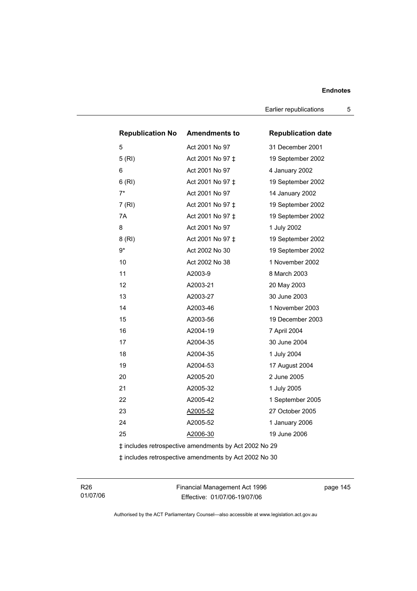Earlier republications 5

| <b>Republication No</b> | <b>Amendments to</b>                                  | <b>Republication date</b> |
|-------------------------|-------------------------------------------------------|---------------------------|
| 5                       | Act 2001 No 97                                        | 31 December 2001          |
| 5(RI)                   | Act 2001 No 97 ‡                                      | 19 September 2002         |
| 6                       | Act 2001 No 97                                        | 4 January 2002            |
| 6(RI)                   | Act 2001 No 97 ‡                                      | 19 September 2002         |
| $7^*$                   | Act 2001 No 97                                        | 14 January 2002           |
| 7(RI)                   | Act 2001 No 97 ‡                                      | 19 September 2002         |
| 7A                      | Act 2001 No 97 ‡                                      | 19 September 2002         |
| 8                       | Act 2001 No 97                                        | 1 July 2002               |
| 8(RI)                   | Act 2001 No 97 ‡                                      | 19 September 2002         |
| $9*$                    | Act 2002 No 30                                        | 19 September 2002         |
| 10                      | Act 2002 No 38                                        | 1 November 2002           |
| 11                      | A2003-9                                               | 8 March 2003              |
| 12                      | A2003-21                                              | 20 May 2003               |
| 13                      | A2003-27                                              | 30 June 2003              |
| 14                      | A2003-46                                              | 1 November 2003           |
| 15                      | A2003-56                                              | 19 December 2003          |
| 16                      | A2004-19                                              | 7 April 2004              |
| 17                      | A2004-35                                              | 30 June 2004              |
| 18                      | A2004-35                                              | 1 July 2004               |
| 19                      | A2004-53                                              | 17 August 2004            |
| 20                      | A2005-20                                              | 2 June 2005               |
| 21                      | A2005-32                                              | 1 July 2005               |
| 22                      | A2005-42                                              | 1 September 2005          |
| 23                      | A2005-52                                              | 27 October 2005           |
| 24                      | A2005-52                                              | 1 January 2006            |
| 25                      | A2006-30                                              | 19 June 2006              |
|                         | ‡ includes retrospective amendments by Act 2002 No 29 |                           |

‡ includes retrospective amendments by Act 2002 No 30

R26 01/07/06 Financial Management Act 1996 Effective: 01/07/06-19/07/06

page 145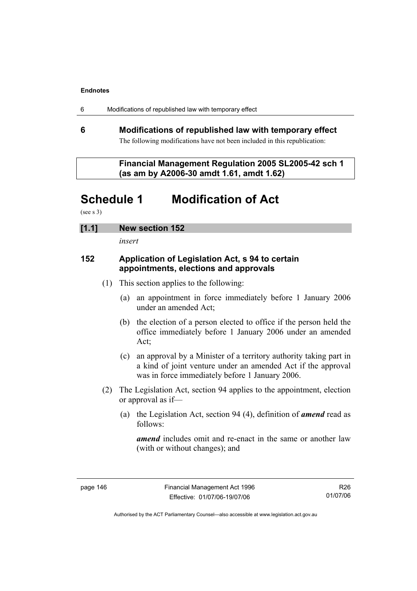| 6 | Modifications of republished law with temporary effect |
|---|--------------------------------------------------------|
|---|--------------------------------------------------------|

# **6 Modifications of republished law with temporary effect**  The following modifications have not been included in this republication:

# **Financial Management Regulation 2005 SL2005-42 sch 1 (as am by A2006-30 amdt 1.61, amdt 1.62)**

# **Schedule 1 Modification of Act**

(see s 3)

# **[1.1] New section 152**

*insert* 

# **152 Application of Legislation Act, s 94 to certain appointments, elections and approvals**

- (1) This section applies to the following:
	- (a) an appointment in force immediately before 1 January 2006 under an amended Act;
	- (b) the election of a person elected to office if the person held the office immediately before 1 January 2006 under an amended Act;
	- (c) an approval by a Minister of a territory authority taking part in a kind of joint venture under an amended Act if the approval was in force immediately before 1 January 2006.
- (2) The Legislation Act, section 94 applies to the appointment, election or approval as if—
	- (a) the Legislation Act, section 94 (4), definition of *amend* read as follows:

 *amend* includes omit and re-enact in the same or another law (with or without changes); and

R26 01/07/06